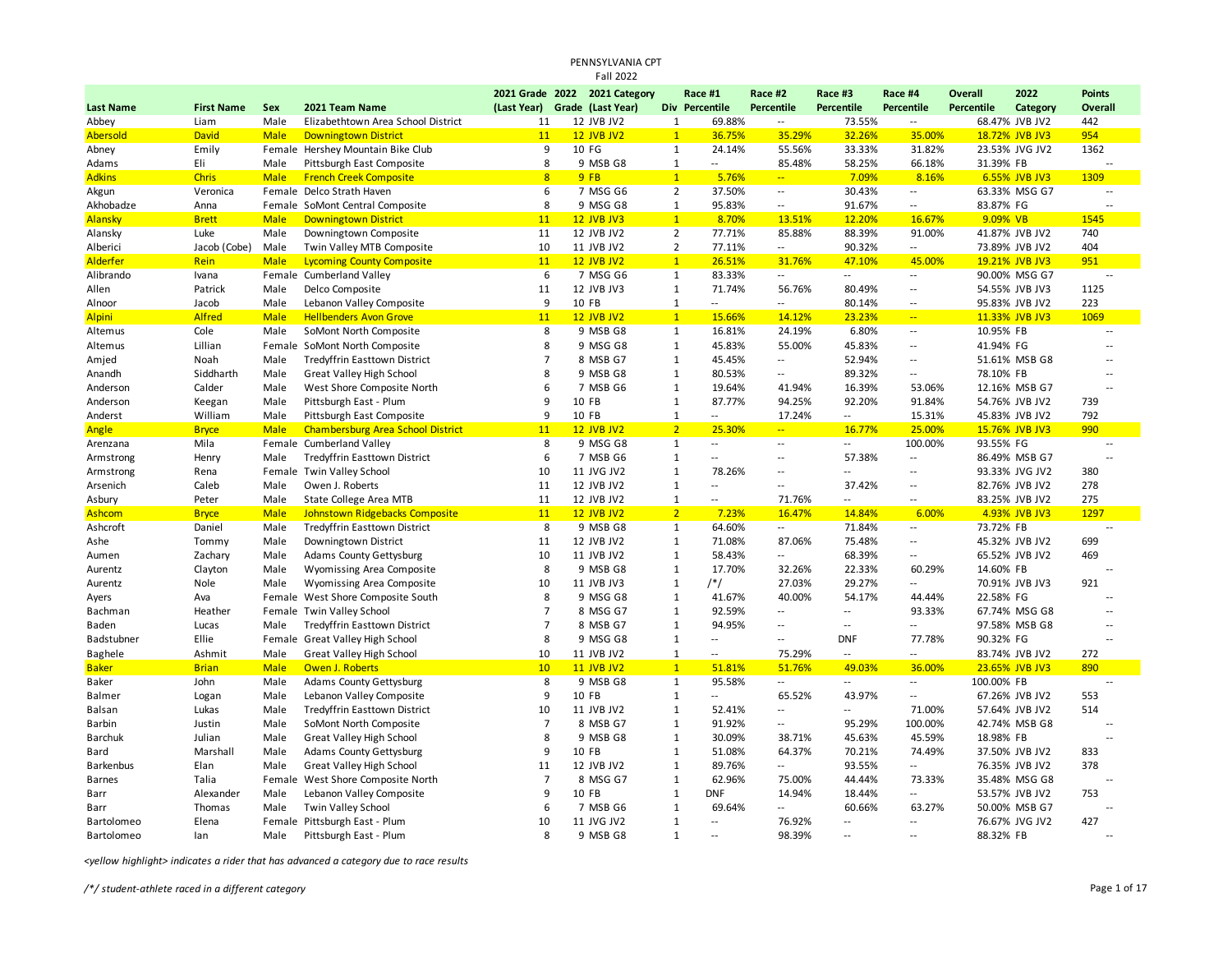|                           |                        |                     |                                                                       |                               | <b>Fall 2022</b>                |                              |                                    |                                    |                          |                            |                   |                |                          |  |
|---------------------------|------------------------|---------------------|-----------------------------------------------------------------------|-------------------------------|---------------------------------|------------------------------|------------------------------------|------------------------------------|--------------------------|----------------------------|-------------------|----------------|--------------------------|--|
|                           |                        |                     |                                                                       | 2021 Grade 2022               | 2021 Category                   |                              | Race #1                            | Race #2                            | Race #3                  | Race #4                    | <b>Overall</b>    | 2022           | <b>Points</b>            |  |
| <b>Last Name</b>          | <b>First Name</b>      | Sex                 | 2021 Team Name                                                        | (Last Year) Grade (Last Year) |                                 |                              | Div Percentile                     | Percentile                         | Percentile               | <b>Percentile</b>          | <b>Percentile</b> | Category       | Overall                  |  |
| Abbey                     | Liam                   | Male                | Elizabethtown Area School District                                    | 11                            | 12 JVB JV2                      | $\mathbf{1}$                 | 69.88%                             | $\overline{a}$                     | 73.55%                   | $\overline{\phantom{a}}$   |                   | 68.47% JVB JV2 | 442                      |  |
| <b>Abersold</b>           | David                  | <b>Male</b>         | <b>Downingtown District</b>                                           | 11                            | <b>12 JVB JV2</b>               | $\mathbf{1}$                 | 36.75%                             | 35.29%                             | 32.26%                   | 35.00%                     |                   | 18.72% JVB JV3 | 954                      |  |
| Abney                     | Emily                  |                     | Female Hershey Mountain Bike Club                                     | 9                             | 10 FG                           | $\mathbf{1}$                 | 24.14%                             | 55.56%                             | 33.33%                   | 31.82%                     |                   | 23.53% JVG JV2 | 1362                     |  |
| Adams                     | Eli                    | Male                | Pittsburgh East Composite                                             | 8                             | 9 MSB G8                        | $\mathbf{1}$                 | $\overline{a}$                     | 85.48%                             | 58.25%                   | 66.18%                     | 31.39% FB         |                |                          |  |
| <b>Adkins</b>             | <b>Chris</b>           | <b>Male</b>         | <b>French Creek Composite</b>                                         | 8                             | 9FB                             | $\mathbf{1}$                 | 5.76%                              | $\sim$                             | 7.09%                    | 8.16%                      |                   | 6.55% JVB JV3  | 1309                     |  |
| Akgun                     | Veronica               |                     | Female Delco Strath Haven                                             | 6                             | 7 MSG G6                        | $\overline{2}$               | 37.50%                             | $\overline{\phantom{a}}$           | 30.43%                   | $\overline{a}$             |                   | 63.33% MSG G7  | $\overline{\phantom{a}}$ |  |
| Akhobadze                 | Anna                   |                     | Female SoMont Central Composite                                       | 8                             | 9 MSG G8                        | $\mathbf{1}$                 | 95.83%                             | $\overline{\phantom{a}}$           | 91.67%                   | --                         | 83.87% FG         |                | $\overline{a}$           |  |
| Alansky                   | <b>Brett</b>           | <b>Male</b>         | <b>Downingtown District</b>                                           | 11                            | <b>12 JVB JV3</b>               | $\mathbf{1}$                 | 8.70%                              | 13.51%                             | 12.20%                   | 16.67%                     | 9.09% VB          |                | 1545                     |  |
| Alansky                   | Luke                   | Male                | Downingtown Composite                                                 | 11                            | 12 JVB JV2                      | $\overline{2}$               | 77.71%                             | 85.88%                             | 88.39%                   | 91.00%                     |                   | 41.87% JVB JV2 | 740                      |  |
| Alberici                  | Jacob (Cobe)           | Male                | Twin Valley MTB Composite                                             | 10                            | 11 JVB JV2                      | $\overline{2}$               | 77.11%                             | $\overline{\phantom{a}}$           | 90.32%                   | --                         |                   | 73.89% JVB JV2 | 404                      |  |
| <b>Alderfer</b>           | Rein                   | <b>Male</b>         | <b>Lycoming County Composite</b>                                      | 11                            | <b>12 JVB JV2</b>               | $\mathbf{1}$                 | 26.51%                             | 31.76%                             | 47.10%                   | 45.00%                     |                   | 19.21% JVB JV3 | 951                      |  |
| Alibrando                 | Ivana                  |                     | Female Cumberland Valley                                              | 6                             | 7 MSG G6                        | $\mathbf{1}$                 | 83.33%                             | $\overline{\phantom{a}}$           | $\overline{a}$           | $\overline{\phantom{a}}$   |                   | 90.00% MSG G7  | $\overline{\phantom{a}}$ |  |
| Allen                     | Patrick                | Male                | Delco Composite                                                       | 11                            | 12 JVB JV3                      | $\mathbf{1}$                 | 71.74%                             | 56.76%                             | 80.49%                   | $\overline{\phantom{a}}$   |                   | 54.55% JVB JV3 | 1125                     |  |
| Alnoor                    | Jacob                  | Male                | Lebanon Valley Composite                                              | 9                             | 10 FB                           | $\mathbf{1}$                 | $\overline{\phantom{a}}$           | $\overline{\phantom{a}}$           | 80.14%                   | --                         |                   | 95.83% JVB JV2 | 223                      |  |
| <b>Alpini</b>             | <b>Alfred</b>          | <b>Male</b>         | <b>Hellbenders Avon Grove</b>                                         | 11                            | <b>12 JVB JV2</b>               | $\mathbf{1}$                 | 15.66%                             | 14.12%                             | 23.23%                   | $\mathbb{Z}[\mathbb{Z}_p]$ |                   | 11.33% JVB JV3 | 1069                     |  |
| Altemus                   | Cole                   | Male                | SoMont North Composite                                                | 8                             | 9 MSB G8                        | $\mathbf{1}$                 | 16.81%                             | 24.19%                             | 6.80%                    | н.                         | 10.95% FB         |                | Ξ.                       |  |
| Altemus                   | Lillian                |                     | Female SoMont North Composite                                         | 8                             | 9 MSG G8                        | $\mathbf{1}$                 | 45.83%                             | 55.00%                             | 45.83%                   | $\overline{\phantom{a}}$   | 41.94% FG         |                | $\overline{a}$           |  |
| Amjed                     | Noah                   | Male                | Tredyffrin Easttown District                                          | $\overline{7}$                | 8 MSB G7                        | $\mathbf{1}$                 | 45.45%                             | $\overline{\phantom{a}}$           | 52.94%                   | ۰.                         |                   | 51.61% MSB G8  | $\overline{a}$           |  |
| Anandh                    | Siddharth              | Male                | Great Valley High School                                              | 8                             | 9 MSB G8                        | $\mathbf{1}$                 | 80.53%                             | $\overline{\phantom{a}}$           | 89.32%                   |                            | 78.10% FB         |                | Ξ.                       |  |
| Anderson                  | Calder                 | Male                | West Shore Composite North                                            | 6                             | 7 MSB G6                        | $\mathbf{1}$                 | 19.64%                             | 41.94%                             | 16.39%                   | 53.06%                     |                   | 12.16% MSB G7  | $\overline{a}$           |  |
| Anderson                  | Keegan                 | Male                | Pittsburgh East - Plum                                                | 9                             | 10 FB                           | $\mathbf{1}$                 | 87.77%                             | 94.25%                             | 92.20%                   | 91.84%                     |                   | 54.76% JVB JV2 | 739                      |  |
| Anderst                   | William                | Male                | Pittsburgh East Composite                                             | 9                             | 10 FB                           | 1                            | $\overline{a}$                     | 17.24%                             | $\overline{a}$           | 15.31%                     |                   | 45.83% JVB JV2 | 792                      |  |
| Angle                     | <b>Bryce</b>           | <b>Male</b>         | <b>Chambersburg Area School District</b>                              | 11                            | <b>12 JVB JV2</b>               | 2 <sup>1</sup>               | 25.30%                             | $\Box$                             | 16.77%                   | 25.00%                     |                   | 15.76% JVB JV3 | 990                      |  |
| Arenzana                  | Mila                   |                     | Female Cumberland Valley                                              | 8                             | 9 MSG G8                        | $\mathbf{1}$                 | $\sim$                             | $\overline{\phantom{a}}$           | --                       | 100.00%                    | 93.55% FG         |                | $\sim$                   |  |
| Armstrong                 | Henry                  | Male                | <b>Tredyffrin Easttown District</b>                                   | 6                             | 7 MSB G6                        | $\mathbf{1}$                 | $\overline{a}$                     | $\overline{\phantom{a}}$<br>μ.     | 57.38%                   | <br>$\overline{a}$         |                   | 86.49% MSB G7  | $\overline{a}$           |  |
| Armstrong                 | Rena                   |                     | Female Twin Valley School                                             | 10                            | 11 JVG JV2                      | $\mathbf{1}$                 | 78.26%<br>$\overline{\phantom{a}}$ | $\overline{\phantom{a}}$           | $\overline{\phantom{a}}$ | Ξ.                         |                   | 93.33% JVG JV2 | 380                      |  |
| Arsenich                  | Caleb                  | Male                | Owen J. Roberts                                                       | 11<br>11                      | 12 JVB JV2                      | $\mathbf{1}$<br>$\mathbf{1}$ |                                    |                                    | 37.42%                   |                            |                   | 82.76% JVB JV2 | 278<br>275               |  |
| Asbury                    | Peter                  | Male                | <b>State College Area MTB</b>                                         | 11                            | 12 JVB JV2<br><b>12 JVB JV2</b> | 2 <sup>2</sup>               | $\sim$                             | 71.76%                             | --                       | --                         |                   | 83.25% JVB JV2 |                          |  |
| <b>Ashcom</b><br>Ashcroft | <b>Bryce</b><br>Daniel | <b>Male</b><br>Male | <b>Johnstown Ridgebacks Composite</b><br>Tredyffrin Easttown District | 8                             | 9 MSB G8                        | $\mathbf{1}$                 | 7.23%<br>64.60%                    | 16.47%<br>$\overline{\phantom{a}}$ | 14.84%<br>71.84%         | 6.00%<br>--                | 73.72% FB         | 4.93% JVB JV3  | 1297<br>$\overline{a}$   |  |
| Ashe                      | Tommy                  | Male                | Downingtown District                                                  | 11                            | 12 JVB JV2                      | $\mathbf{1}$                 | 71.08%                             | 87.06%                             | 75.48%                   |                            |                   | 45.32% JVB JV2 | 699                      |  |
| Aumen                     | Zachary                | Male                | <b>Adams County Gettysburg</b>                                        | 10                            | 11 JVB JV2                      | $\mathbf{1}$                 | 58.43%                             | $\sim$                             | 68.39%                   | --                         |                   | 65.52% JVB JV2 | 469                      |  |
| Aurentz                   | Clayton                | Male                | Wyomissing Area Composite                                             | 8                             | 9 MSB G8                        | $\mathbf{1}$                 | 17.70%                             | 32.26%                             | 22.33%                   | 60.29%                     | 14.60% FB         |                | Ξ.                       |  |
| Aurentz                   | Nole                   | Male                | Wyomissing Area Composite                                             | 10                            | 11 JVB JV3                      | $\mathbf{1}$                 | $/*/$                              | 27.03%                             | 29.27%                   | щ.                         |                   | 70.91% JVB JV3 | 921                      |  |
| Ayers                     | Ava                    |                     | Female West Shore Composite South                                     | 8                             | 9 MSG G8                        | $1\,$                        | 41.67%                             | 40.00%                             | 54.17%                   | 44.44%                     | 22.58% FG         |                | $\overline{a}$           |  |
| Bachman                   | Heather                |                     | Female Twin Valley School                                             | $\overline{7}$                | 8 MSG G7                        | $\mathbf{1}$                 | 92.59%                             | $\overline{\phantom{a}}$           | $\overline{\phantom{a}}$ | 93.33%                     |                   | 67.74% MSG G8  | $\overline{a}$           |  |
| Baden                     | Lucas                  | Male                | Tredyffrin Easttown District                                          | $\overline{7}$                | 8 MSB G7                        | $\mathbf{1}$                 | 94.95%                             | 44                                 | $\sim$                   | $\overline{\phantom{a}}$   |                   | 97.58% MSB G8  | Ξ.                       |  |
| Badstubner                | Ellie                  |                     | Female Great Valley High School                                       | 8                             | 9 MSG G8                        | $\mathbf{1}$                 | $\overline{a}$                     | μ.                                 | <b>DNF</b>               | 77.78%                     | 90.32% FG         |                |                          |  |
| Baghele                   | Ashmit                 | Male                | Great Valley High School                                              | 10                            | 11 JVB JV2                      | $\mathbf{1}$                 | $\sim$                             | 75.29%                             | --                       |                            |                   | 83.74% JVB JV2 | 272                      |  |
| <b>Baker</b>              | <b>Brian</b>           | <b>Male</b>         | Owen J. Roberts                                                       | 10                            | <b>11 JVB JV2</b>               | $\overline{1}$               | 51.81%                             | 51.76%                             | 49.03%                   | 36.00%                     |                   | 23.65% JVB JV3 | 890                      |  |
| Baker                     | John                   | Male                | <b>Adams County Gettysburg</b>                                        | 8                             | 9 MSB G8                        | $\mathbf{1}$                 | 95.58%                             | $\overline{\phantom{a}}$           | $\overline{\phantom{a}}$ | --                         | 100.00% FB        |                | $\overline{a}$           |  |
| <b>Balmer</b>             | Logan                  | Male                | Lebanon Valley Composite                                              | 9                             | 10 FB                           | $\mathbf{1}$                 | $\overline{a}$                     | 65.52%                             | 43.97%                   | $\overline{\phantom{a}}$   |                   | 67.26% JVB JV2 | 553                      |  |
| Balsan                    | Lukas                  | Male                | Tredyffrin Easttown District                                          | 10                            | 11 JVB JV2                      | $\mathbf{1}$                 | 52.41%                             | $\overline{\phantom{a}}$           | $\sim$                   | 71.00%                     |                   | 57.64% JVB JV2 | 514                      |  |
| Barbin                    | Justin                 | Male                | SoMont North Composite                                                | $\overline{7}$                | 8 MSB G7                        | $\mathbf{1}$                 | 91.92%                             | $\overline{\phantom{a}}$           | 95.29%                   | 100.00%                    |                   | 42.74% MSB G8  | $\overline{\phantom{a}}$ |  |
| <b>Barchuk</b>            | Julian                 | Male                | <b>Great Valley High School</b>                                       | 8                             | 9 MSB G8                        | $\mathbf{1}$                 | 30.09%                             | 38.71%                             | 45.63%                   | 45.59%                     | 18.98% FB         |                | $\overline{a}$           |  |
| Bard                      | Marshall               | Male                | <b>Adams County Gettysburg</b>                                        | 9                             | 10 FB                           | $\mathbf{1}$                 | 51.08%                             | 64.37%                             | 70.21%                   | 74.49%                     |                   | 37.50% JVB JV2 | 833                      |  |
| Barkenbus                 | Elan                   | Male                | <b>Great Valley High School</b>                                       | 11                            | 12 JVB JV2                      | $\mathbf{1}$                 | 89.76%                             | $\overline{\phantom{a}}$           | 93.55%                   | Ξ.                         |                   | 76.35% JVB JV2 | 378                      |  |
| <b>Barnes</b>             | Talia                  |                     | Female West Shore Composite North                                     | $\overline{7}$                | 8 MSG G7                        | $\mathbf{1}$                 | 62.96%                             | 75.00%                             | 44.44%                   | 73.33%                     |                   | 35.48% MSG G8  | Ξ.                       |  |
| Barr                      | Alexander              | Male                | Lebanon Valley Composite                                              | 9                             | 10 FB                           | $\mathbf{1}$                 | <b>DNF</b>                         | 14.94%                             | 18.44%                   | --                         |                   | 53.57% JVB JV2 | 753                      |  |
| Barr                      | Thomas                 | Male                | Twin Valley School                                                    | 6                             | 7 MSB G6                        | $\mathbf{1}$                 | 69.64%                             | $\overline{\phantom{a}}$           | 60.66%                   | 63.27%                     |                   | 50.00% MSB G7  | $\overline{a}$           |  |
| <b>Bartolomeo</b>         | Elena                  |                     | Female Pittsburgh East - Plum                                         | 10                            | 11 JVG JV2                      | $1\,$                        | --                                 | 76.92%                             | $\overline{\phantom{a}}$ | --                         |                   | 76.67% JVG JV2 | 427                      |  |
| Bartolomeo                | lan                    | Male                | Pittsburgh East - Plum                                                | 8                             | 9 MSB G8                        | $\mathbf{1}$                 | $\overline{a}$                     | 98.39%                             | $\sim$                   | Ξ.                         | 88.32% FB         |                |                          |  |

PENNSYLVANIA CPT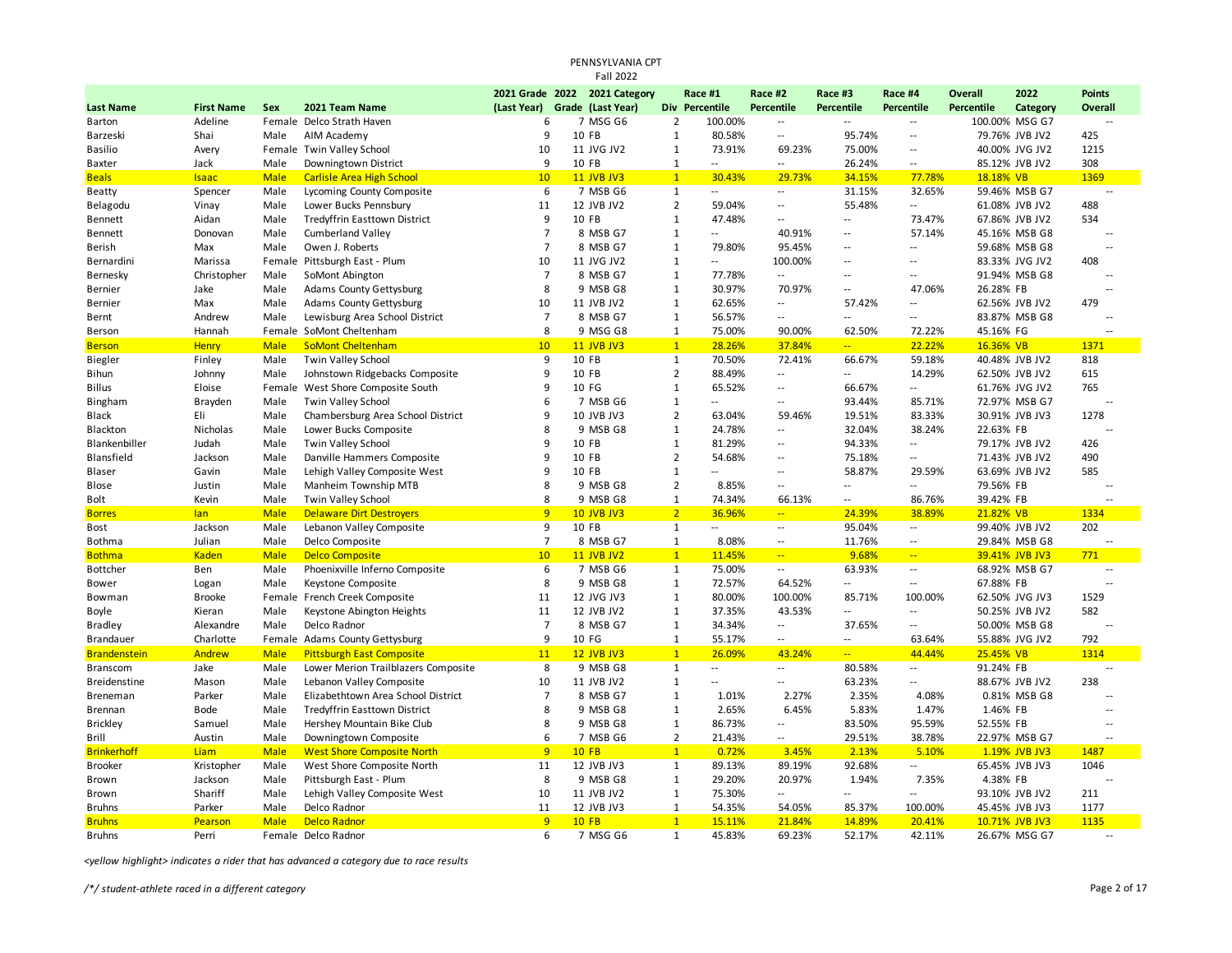| <b>Fall 2022</b><br>2021 Grade 2022 2021 Category<br>2022<br>Race #1<br>Race #2<br>Race #3<br>Race #4<br><b>Overall</b><br><b>Points</b><br>Grade (Last Year)<br>Div Percentile<br>Percentile<br>Percentile<br><b>Last Name</b><br><b>First Name</b><br><b>Sex</b><br>2021 Team Name<br>(Last Year)<br>Percentile<br><b>Percentile</b><br>Category<br>Overall<br>Adeline<br>Female Delco Strath Haven<br>6<br>7 MSG G6<br>$\overline{2}$<br>100.00%<br>100.00% MSG G7<br>Barton<br>$\overline{\phantom{a}}$<br>$\sim$ $\sim$<br>$\overline{\phantom{a}}$<br>$\overline{\phantom{a}}$<br>9<br>10 FB<br>$\mathbf 1$<br>80.58%<br>95.74%<br>Shai<br>79.76% JVB JV2<br>425<br>Barzeski<br>Male<br>AIM Academy<br>$\overline{\phantom{a}}$<br>$\overline{\phantom{a}}$<br><b>Twin Valley School</b><br>10<br>73.91%<br><b>Basilio</b><br>Avery<br>Female<br>11 JVG JV2<br>$\mathbf{1}$<br>69.23%<br>75.00%<br>$\overline{\phantom{a}}$<br>40.00% JVG JV2<br>1215<br>Jack<br>Male<br>Downingtown District<br>9<br>10 FB<br>$\mathbf{1}$<br>26.24%<br>85.12% JVB JV2<br>308<br><b>Baxter</b><br>$\overline{a}$<br>$\sim$<br>$-$<br>1<br><b>Beals</b><br><b>Male</b><br><b>Carlisle Area High School</b><br>10<br><b>11 JVB JV3</b><br>30.43%<br>34.15%<br>18.18% VB<br>1369<br><b>Isaac</b><br>29.73%<br>77.78%<br>6<br>7 MSB G6<br>31.15%<br>32.65%<br><b>Beatty</b><br>Spencer<br>Male<br>Lycoming County Composite<br>$\mathbf{1}$<br>59.46% MSB G7<br>$\sim$<br>$\mathcal{L}_{\mathcal{A}}$<br>11<br>$\overline{2}$<br>Vinay<br>Male<br>Lower Bucks Pennsbury<br>12 JVB JV2<br>59.04%<br>55.48%<br>$\overline{a}$<br>61.08% JVB JV2<br>488<br>Belagodu<br>$\overline{\phantom{a}}$<br>9<br>$\mathbf{1}$<br>Tredyffrin Easttown District<br>10 FB<br>73.47%<br>534<br>Aidan<br>Male<br>47.48%<br>67.86% JVB JV2<br>Bennett<br>$\mathcal{L}$<br>$\sim$ $\sim$<br>$\overline{7}$<br>Bennett<br>Donovan<br>Male<br><b>Cumberland Valley</b><br>8 MSB G7<br>$\mathbf{1}$<br>40.91%<br>57.14%<br>45.16% MSB G8<br>$\overline{\phantom{a}}$<br>$\sim$<br>Max<br>Male<br>Owen J. Roberts<br>$\overline{7}$<br>8 MSB G7<br>$\mathbf{1}$<br>79.80%<br>95.45%<br>$\overline{a}$<br>59.68% MSB G8<br>Berish<br>$\sim$ $-$<br>$\overline{a}$<br>Marissa<br>Female Pittsburgh East - Plum<br>10<br>$\mathbf{1}$<br>408<br>Bernardini<br>11 JVG JV2<br>$\overline{a}$<br>100.00%<br>83.33% JVG JV2<br>$\sim$ $\sim$<br>$\overline{\phantom{a}}$<br>$\overline{7}$<br>Bernesky<br>Christopher<br>Male<br>SoMont Abington<br>8 MSB G7<br>$\mathbf{1}$<br>77.78%<br>91.94% MSB G8<br>$\mathcal{L}_{\mathcal{A}}$<br>$\sim$ $\sim$<br>$\overline{\phantom{a}}$<br>--<br>Jake<br>Male<br><b>Adams County Gettysburg</b><br>8<br>9 MSB G8<br>$\mathbf{1}$<br>30.97%<br>70.97%<br>47.06%<br>26.28% FB<br>Bernier<br>$\overline{\phantom{a}}$<br>$\overline{a}$<br>10<br>$\mathbf{1}$<br>479<br>Max<br>Male<br><b>Adams County Gettysburg</b><br>11 JVB JV2<br>62.65%<br>$\overline{\phantom{a}}$<br>57.42%<br>62.56% JVB JV2<br>Bernier<br>$\overline{\phantom{a}}$<br>$\overline{7}$<br>Andrew<br>Male<br>Lewisburg Area School District<br>8 MSB G7<br>$\mathbf{1}$<br>56.57%<br>83.87% MSB G8<br>Bernt<br>$\mathcal{L}$<br>$\sim$ $\sim$<br>$\overline{\phantom{a}}$<br>--<br>Hannah<br>Female SoMont Cheltenham<br>8<br>9 MSG G8<br>$\mathbf{1}$<br>75.00%<br>90.00%<br>62.50%<br>72.22%<br>45.16% FG<br>Berson<br><b>SoMont Cheltenham</b><br>10<br><b>11 JVB JV3</b><br>$\mathbf{1}$<br>22.22%<br>16.36% VB<br><b>Berson</b><br><b>Henry</b><br><b>Male</b><br>28.26%<br>37.84%<br>$\mathbb{Z}[\mathbb{Z}_p]$<br>1371<br>9<br>Finley<br>Male<br><b>Twin Valley School</b><br>10 FB<br>$\mathbf{1}$<br>70.50%<br>72.41%<br>66.67%<br>59.18%<br>40.48% JVB JV2<br>818<br>Biegler<br>Male<br>Johnstown Ridgebacks Composite<br>9<br>10 FB<br>$\overline{2}$<br>88.49%<br>14.29%<br>62.50% JVB JV2<br>615<br>Bihun<br>Johnny<br>$\sim$ $\sim$<br>$\sim$ $\sim$<br>Female West Shore Composite South<br>9<br>10 FG<br>$\mathbf{1}$<br>66.67%<br>765<br><b>Billus</b><br>Eloise<br>65.52%<br>$\overline{a}$<br>61.76% JVG JV2<br>$\sim$<br>Bingham<br>Brayden<br>Male<br>Twin Valley School<br>6<br>7 MSB G6<br>$\mathbf{1}$<br>93.44%<br>85.71%<br>72.97% MSB G7<br>$\overline{\phantom{a}}$<br>--<br>$\overline{2}$<br>Eli<br>Male<br>Chambersburg Area School District<br>9<br>10 JVB JV3<br>63.04%<br>59.46%<br>19.51%<br>83.33%<br>30.91% JVB JV3<br>1278<br>Black<br>8<br>$\mathbf{1}$<br>32.04%<br>Blackton<br>Nicholas<br>Male<br>Lower Bucks Composite<br>9 MSB G8<br>24.78%<br>$\overline{\phantom{a}}$<br>38.24%<br>22.63% FB<br>Blankenbiller<br>Judah<br>Male<br>Twin Valley School<br>9<br>10 FB<br>$\mathbf{1}$<br>81.29%<br>94.33%<br>79.17% JVB JV2<br>426<br>$\overline{\phantom{a}}$<br>$\overline{\phantom{a}}$<br>Blansfield<br>Jackson<br>Male<br>Danville Hammers Composite<br>9<br>10 FB<br>$\overline{2}$<br>54.68%<br>75.18%<br>71.43% JVB JV2<br>490<br>$\overline{a}$<br>$\overline{\phantom{a}}$<br>9<br>10 FB<br>$\mathbf{1}$<br>58.87%<br>585<br>Blaser<br>Gavin<br>Male<br>Lehigh Valley Composite West<br>29.59%<br>63.69% JVB JV2<br><br>$\overline{\phantom{a}}$<br>$\overline{2}$<br>Justin<br>Male<br>Manheim Township MTB<br>8<br>9 MSB G8<br>8.85%<br>79.56% FB<br>Blose<br>$\overline{\phantom{a}}$<br>$\sim$<br>$\overline{a}$<br>$\overline{\phantom{a}}$<br>Male<br>Twin Valley School<br>8<br>9 MSB G8<br>$\mathbf{1}$<br>74.34%<br>86.76%<br>39.42% FB<br>Bolt<br>Kevin<br>66.13%<br>$\sim$<br>$\overline{2}$<br><b>Delaware Dirt Destroyers</b><br>9<br>36.96%<br>38.89%<br><b>Male</b><br><b>10 JVB JV3</b><br>$\mathbb{Z}_{\geq 0}$<br>24.39%<br>21.82% VB<br>1334<br><b>Borres</b><br>lan<br>Jackson<br>Male<br>Lebanon Valley Composite<br>9<br>10 FB<br>$\mathbf{1}$<br>95.04%<br>99.40% JVB JV2<br>202<br>Bost<br><br>$\overline{\phantom{a}}$<br>$\sim$<br>Male<br>Delco Composite<br>$\overline{7}$<br>8 MSB G7<br>8.08%<br>11.76%<br>Bothma<br>Julian<br>$\mathbf{1}$<br>29.84% MSB G8<br>$\sim$<br>$\overline{\phantom{a}}$<br>$\overline{1}$<br>9.68%<br><b>Kaden</b><br><b>Male</b><br><b>Delco Composite</b><br>10<br><b>11 JVB JV2</b><br>11.45%<br>$\mathbb{Z}^2$<br>39.41% JVB JV3<br>771<br><b>Bothma</b><br>$\frac{1}{2}$<br>Male<br>Phoenixville Inferno Composite<br>6<br>7 MSB G6<br>$\mathbf{1}$<br>75.00%<br>63.93%<br>68.92% MSB G7<br><b>Bottcher</b><br>Ben<br>$\overline{\phantom{a}}$<br>$\sim$<br>$\overline{a}$<br>8<br>9 MSB G8<br>$\mathbf{1}$<br>72.57%<br>64.52%<br>67.88% FB<br>Logan<br>Male<br>Keystone Composite<br>$\sim$<br>$\overline{a}$<br>Bower<br>$\overline{a}$<br>11<br>$\mathbf{1}$<br><b>Brooke</b><br>French Creek Composite<br>12 JVG JV3<br>80.00%<br>100.00%<br>85.71%<br>100.00%<br>62.50% JVG JV3<br>1529<br>Bowman<br>Female<br>Kieran<br>Male<br>Keystone Abington Heights<br>11<br>12 JVB JV2<br>$\mathbf{1}$<br>37.35%<br>43.53%<br>50.25% JVB JV2<br>582<br>Boyle<br>$\sim$<br><br>$\overline{7}$<br>8 MSB G7<br>$\mathbf{1}$<br>34.34%<br>37.65%<br><b>Bradley</b><br>Alexandre<br>Male<br>Delco Radnor<br>$\overline{\phantom{a}}$<br>50.00% MSB G8<br>$\overline{\phantom{a}}$<br>$\overline{a}$<br>9<br>$\mathbf{1}$<br>Brandauer<br>Charlotte<br>Female Adams County Gettysburg<br>10 FG<br>55.17%<br>792<br>$\sim$<br>$\sim$<br>63.64%<br>55.88% JVG JV2<br><b>Brandenstein</b><br>Andrew<br><b>Male</b><br><b>Pittsburgh East Composite</b><br>11<br><b>12 JVB JV3</b><br>$\mathbf{1}$<br>26.09%<br>43.24%<br>44.44%<br>25.45% VB<br>1314<br>$\mathbb{Z}[\mathbb{Z}_p]$<br>Jake<br>Male<br>Lower Merion Trailblazers Composite<br>8<br>9 MSB G8<br>$\mathbf{1}$<br>80.58%<br>91.24% FB<br><b>Branscom</b><br>$\overline{\phantom{a}}$<br>$\sim$<br>$\overline{a}$<br>$\overline{a}$<br>$\mathbf{1}$<br>63.23%<br><b>Breidenstine</b><br>Lebanon Valley Composite<br>10<br>11 JVB JV2<br>88.67% JVB JV2<br>238<br>Mason<br>Male<br>$\overline{a}$<br>Ξ.<br>$\overline{\phantom{a}}$<br>Breneman<br>Parker<br>Male<br>Elizabethtown Area School District<br>$\overline{7}$<br>8 MSB G7<br>$\mathbf{1}$<br>1.01%<br>2.27%<br>2.35%<br>0.81% MSB G8<br>4.08%<br>Male<br>8<br>9 MSB G8<br>$\mathbf{1}$<br>2.65%<br>6.45%<br>5.83%<br>1.47%<br>1.46% FB<br>Brennan<br>Bode<br><b>Tredyffrin Easttown District</b><br>$\overline{a}$<br>8<br>$\mathbf{1}$<br><b>Brickley</b><br>Male<br>Hershey Mountain Bike Club<br>9 MSB G8<br>86.73%<br>83.50%<br>95.59%<br>52.55% FB<br>Samuel<br>$\overline{\phantom{a}}$<br>$\overline{a}$<br>Austin<br>Male<br>Downingtown Composite<br>6<br>7 MSB G6<br>$\overline{2}$<br>21.43%<br>29.51%<br>38.78%<br>22.97% MSB G7<br>Brill<br>$\overline{\phantom{a}}$<br>$\overline{a}$<br>$\overline{9}$<br><b>10 FB</b><br>$\overline{1}$<br>3.45%<br>2.13%<br>5.10%<br>1487<br><b>Brinkerhoff</b><br>Liam<br><b>Male</b><br><b>West Shore Composite North</b><br>0.72%<br>1.19% JVB JV3<br>11<br>$\mathbf{1}$<br>92.68%<br>1046<br><b>Brooker</b><br>Kristopher<br>Male<br>West Shore Composite North<br>12 JVB JV3<br>89.13%<br>89.19%<br>65.45% JVB JV3<br>$\sim$<br>Jackson<br>Male<br>Pittsburgh East - Plum<br>8<br>9 MSB G8<br>$\mathbf{1}$<br>29.20%<br>20.97%<br>1.94%<br>7.35%<br>4.38% FB<br>Brown<br>$\overline{a}$<br>Shariff<br>10<br>11 JVB JV2<br>$\mathbf{1}$<br>75.30%<br>Male<br>Lehigh Valley Composite West<br>$\overline{\phantom{a}}$<br>$\overline{a}$<br>93.10% JVB JV2<br>211<br>Brown<br>$\sim$ $\sim$<br>Delco Radnor<br>11<br>12 JVB JV3<br>$\mathbf{1}$<br>54.05%<br>85.37%<br>1177<br><b>Bruhns</b><br>Parker<br>Male<br>54.35%<br>100.00%<br>45.45% JVB JV3<br><b>Delco Radnor</b><br>$\overline{9}$<br><b>10 FB</b><br>$\mathbf{1}$<br>15.11%<br>21.84%<br>14.89%<br>20.41%<br>1135<br><b>Bruhns</b><br>Pearson<br><b>Male</b><br>10.71% JVB JV3<br>Perri<br>6<br>7 MSG G6<br>$\mathbf{1}$<br>45.83%<br>69.23%<br>52.17%<br>42.11%<br>26.67% MSG G7<br><b>Bruhns</b><br>Female Delco Radnor<br>$\overline{a}$ |  |  |  | PENNSYLVANIA CPT |  |  |  |  |  |
|-----------------------------------------------------------------------------------------------------------------------------------------------------------------------------------------------------------------------------------------------------------------------------------------------------------------------------------------------------------------------------------------------------------------------------------------------------------------------------------------------------------------------------------------------------------------------------------------------------------------------------------------------------------------------------------------------------------------------------------------------------------------------------------------------------------------------------------------------------------------------------------------------------------------------------------------------------------------------------------------------------------------------------------------------------------------------------------------------------------------------------------------------------------------------------------------------------------------------------------------------------------------------------------------------------------------------------------------------------------------------------------------------------------------------------------------------------------------------------------------------------------------------------------------------------------------------------------------------------------------------------------------------------------------------------------------------------------------------------------------------------------------------------------------------------------------------------------------------------------------------------------------------------------------------------------------------------------------------------------------------------------------------------------------------------------------------------------------------------------------------------------------------------------------------------------------------------------------------------------------------------------------------------------------------------------------------------------------------------------------------------------------------------------------------------------------------------------------------------------------------------------------------------------------------------------------------------------------------------------------------------------------------------------------------------------------------------------------------------------------------------------------------------------------------------------------------------------------------------------------------------------------------------------------------------------------------------------------------------------------------------------------------------------------------------------------------------------------------------------------------------------------------------------------------------------------------------------------------------------------------------------------------------------------------------------------------------------------------------------------------------------------------------------------------------------------------------------------------------------------------------------------------------------------------------------------------------------------------------------------------------------------------------------------------------------------------------------------------------------------------------------------------------------------------------------------------------------------------------------------------------------------------------------------------------------------------------------------------------------------------------------------------------------------------------------------------------------------------------------------------------------------------------------------------------------------------------------------------------------------------------------------------------------------------------------------------------------------------------------------------------------------------------------------------------------------------------------------------------------------------------------------------------------------------------------------------------------------------------------------------------------------------------------------------------------------------------------------------------------------------------------------------------------------------------------------------------------------------------------------------------------------------------------------------------------------------------------------------------------------------------------------------------------------------------------------------------------------------------------------------------------------------------------------------------------------------------------------------------------------------------------------------------------------------------------------------------------------------------------------------------------------------------------------------------------------------------------------------------------------------------------------------------------------------------------------------------------------------------------------------------------------------------------------------------------------------------------------------------------------------------------------------------------------------------------------------------------------------------------------------------------------------------------------------------------------------------------------------------------------------------------------------------------------------------------------------------------------------------------------------------------------------------------------------------------------------------------------------------------------------------------------------------------------------------------------------------------------------------------------------------------------------------------------------------------------------------------------------------------------------------------------------------------------------------------------------------------------------------------------------------------------------------------------------------------------------------------------------------------------------------------------------------------------------------------------------------------------------------------------------------------------------------------------------------------------------------------------------------------------------------------------------------------------------------------------------------------------------------------------------------------------------------------------------------------------------------------------------------------------------------------------------------------------------------------------------------------------------------------------------------------------------------------------------------------------------------------------------------------------------------------------------------------------------------------------------------------------------------------------------------------------------------------------------------------------------------------------------------------------------------------------------------------------------------------------------------------------------------------------------------------------------------------------------------------------------------------------------------------------------------------------------------------------------------------------------------------------------------------------------------------------------------------------------------------------------------------------------------------------------------------------------------------------------------------------------------------------------------------------------------------------------------------------------------------------------------------------------------------------------------------------------------------------------------------------------------------------------------------------------------------------------------------------------------------------------------------------------------------------------------------------------------------------------------------------------------------------------------------------------------------------------------------------------------------------------------------------------------------------------------------------------------------------------------------------------------------------------------------------------------------------------------------------------------------------------------------------------------------------------------------------------------------------------------------------------------------------------------------------------------------------------------------------------------------------------------------------------------------------------------------------------------------------------------------------------------------------------------------------------------------------------------------------------------------------------------------------------------------------------------------------------------------------------------------------------------------------------------------------------------------------------------------------------------------------------------------------|--|--|--|------------------|--|--|--|--|--|
|                                                                                                                                                                                                                                                                                                                                                                                                                                                                                                                                                                                                                                                                                                                                                                                                                                                                                                                                                                                                                                                                                                                                                                                                                                                                                                                                                                                                                                                                                                                                                                                                                                                                                                                                                                                                                                                                                                                                                                                                                                                                                                                                                                                                                                                                                                                                                                                                                                                                                                                                                                                                                                                                                                                                                                                                                                                                                                                                                                                                                                                                                                                                                                                                                                                                                                                                                                                                                                                                                                                                                                                                                                                                                                                                                                                                                                                                                                                                                                                                                                                                                                                                                                                                                                                                                                                                                                                                                                                                                                                                                                                                                                                                                                                                                                                                                                                                                                                                                                                                                                                                                                                                                                                                                                                                                                                                                                                                                                                                                                                                                                                                                                                                                                                                                                                                                                                                                                                                                                                                                                                                                                                                                                                                                                                                                                                                                                                                                                                                                                                                                                                                                                                                                                                                                                                                                                                                                                                                                                                                                                                                                                                                                                                                                                                                                                                                                                                                                                                                                                                                                                                                                                                                                                                                                                                                                                                                                                                                                                                                                                                                                                                                                                                                                                                                                                                                                                                                                                                                                                                                                                                                                                                                                                                                                                                                                                                                                                                                                                                                                                                                                                                                                                                                                                                                                                                                                                                                                                                                                                                                                                                                                                                                                                                                                                                                                                                                                                                                                                 |  |  |  |                  |  |  |  |  |  |
|                                                                                                                                                                                                                                                                                                                                                                                                                                                                                                                                                                                                                                                                                                                                                                                                                                                                                                                                                                                                                                                                                                                                                                                                                                                                                                                                                                                                                                                                                                                                                                                                                                                                                                                                                                                                                                                                                                                                                                                                                                                                                                                                                                                                                                                                                                                                                                                                                                                                                                                                                                                                                                                                                                                                                                                                                                                                                                                                                                                                                                                                                                                                                                                                                                                                                                                                                                                                                                                                                                                                                                                                                                                                                                                                                                                                                                                                                                                                                                                                                                                                                                                                                                                                                                                                                                                                                                                                                                                                                                                                                                                                                                                                                                                                                                                                                                                                                                                                                                                                                                                                                                                                                                                                                                                                                                                                                                                                                                                                                                                                                                                                                                                                                                                                                                                                                                                                                                                                                                                                                                                                                                                                                                                                                                                                                                                                                                                                                                                                                                                                                                                                                                                                                                                                                                                                                                                                                                                                                                                                                                                                                                                                                                                                                                                                                                                                                                                                                                                                                                                                                                                                                                                                                                                                                                                                                                                                                                                                                                                                                                                                                                                                                                                                                                                                                                                                                                                                                                                                                                                                                                                                                                                                                                                                                                                                                                                                                                                                                                                                                                                                                                                                                                                                                                                                                                                                                                                                                                                                                                                                                                                                                                                                                                                                                                                                                                                                                                                                                                 |  |  |  |                  |  |  |  |  |  |
|                                                                                                                                                                                                                                                                                                                                                                                                                                                                                                                                                                                                                                                                                                                                                                                                                                                                                                                                                                                                                                                                                                                                                                                                                                                                                                                                                                                                                                                                                                                                                                                                                                                                                                                                                                                                                                                                                                                                                                                                                                                                                                                                                                                                                                                                                                                                                                                                                                                                                                                                                                                                                                                                                                                                                                                                                                                                                                                                                                                                                                                                                                                                                                                                                                                                                                                                                                                                                                                                                                                                                                                                                                                                                                                                                                                                                                                                                                                                                                                                                                                                                                                                                                                                                                                                                                                                                                                                                                                                                                                                                                                                                                                                                                                                                                                                                                                                                                                                                                                                                                                                                                                                                                                                                                                                                                                                                                                                                                                                                                                                                                                                                                                                                                                                                                                                                                                                                                                                                                                                                                                                                                                                                                                                                                                                                                                                                                                                                                                                                                                                                                                                                                                                                                                                                                                                                                                                                                                                                                                                                                                                                                                                                                                                                                                                                                                                                                                                                                                                                                                                                                                                                                                                                                                                                                                                                                                                                                                                                                                                                                                                                                                                                                                                                                                                                                                                                                                                                                                                                                                                                                                                                                                                                                                                                                                                                                                                                                                                                                                                                                                                                                                                                                                                                                                                                                                                                                                                                                                                                                                                                                                                                                                                                                                                                                                                                                                                                                                                                                 |  |  |  |                  |  |  |  |  |  |
|                                                                                                                                                                                                                                                                                                                                                                                                                                                                                                                                                                                                                                                                                                                                                                                                                                                                                                                                                                                                                                                                                                                                                                                                                                                                                                                                                                                                                                                                                                                                                                                                                                                                                                                                                                                                                                                                                                                                                                                                                                                                                                                                                                                                                                                                                                                                                                                                                                                                                                                                                                                                                                                                                                                                                                                                                                                                                                                                                                                                                                                                                                                                                                                                                                                                                                                                                                                                                                                                                                                                                                                                                                                                                                                                                                                                                                                                                                                                                                                                                                                                                                                                                                                                                                                                                                                                                                                                                                                                                                                                                                                                                                                                                                                                                                                                                                                                                                                                                                                                                                                                                                                                                                                                                                                                                                                                                                                                                                                                                                                                                                                                                                                                                                                                                                                                                                                                                                                                                                                                                                                                                                                                                                                                                                                                                                                                                                                                                                                                                                                                                                                                                                                                                                                                                                                                                                                                                                                                                                                                                                                                                                                                                                                                                                                                                                                                                                                                                                                                                                                                                                                                                                                                                                                                                                                                                                                                                                                                                                                                                                                                                                                                                                                                                                                                                                                                                                                                                                                                                                                                                                                                                                                                                                                                                                                                                                                                                                                                                                                                                                                                                                                                                                                                                                                                                                                                                                                                                                                                                                                                                                                                                                                                                                                                                                                                                                                                                                                                                                 |  |  |  |                  |  |  |  |  |  |
|                                                                                                                                                                                                                                                                                                                                                                                                                                                                                                                                                                                                                                                                                                                                                                                                                                                                                                                                                                                                                                                                                                                                                                                                                                                                                                                                                                                                                                                                                                                                                                                                                                                                                                                                                                                                                                                                                                                                                                                                                                                                                                                                                                                                                                                                                                                                                                                                                                                                                                                                                                                                                                                                                                                                                                                                                                                                                                                                                                                                                                                                                                                                                                                                                                                                                                                                                                                                                                                                                                                                                                                                                                                                                                                                                                                                                                                                                                                                                                                                                                                                                                                                                                                                                                                                                                                                                                                                                                                                                                                                                                                                                                                                                                                                                                                                                                                                                                                                                                                                                                                                                                                                                                                                                                                                                                                                                                                                                                                                                                                                                                                                                                                                                                                                                                                                                                                                                                                                                                                                                                                                                                                                                                                                                                                                                                                                                                                                                                                                                                                                                                                                                                                                                                                                                                                                                                                                                                                                                                                                                                                                                                                                                                                                                                                                                                                                                                                                                                                                                                                                                                                                                                                                                                                                                                                                                                                                                                                                                                                                                                                                                                                                                                                                                                                                                                                                                                                                                                                                                                                                                                                                                                                                                                                                                                                                                                                                                                                                                                                                                                                                                                                                                                                                                                                                                                                                                                                                                                                                                                                                                                                                                                                                                                                                                                                                                                                                                                                                                                 |  |  |  |                  |  |  |  |  |  |
|                                                                                                                                                                                                                                                                                                                                                                                                                                                                                                                                                                                                                                                                                                                                                                                                                                                                                                                                                                                                                                                                                                                                                                                                                                                                                                                                                                                                                                                                                                                                                                                                                                                                                                                                                                                                                                                                                                                                                                                                                                                                                                                                                                                                                                                                                                                                                                                                                                                                                                                                                                                                                                                                                                                                                                                                                                                                                                                                                                                                                                                                                                                                                                                                                                                                                                                                                                                                                                                                                                                                                                                                                                                                                                                                                                                                                                                                                                                                                                                                                                                                                                                                                                                                                                                                                                                                                                                                                                                                                                                                                                                                                                                                                                                                                                                                                                                                                                                                                                                                                                                                                                                                                                                                                                                                                                                                                                                                                                                                                                                                                                                                                                                                                                                                                                                                                                                                                                                                                                                                                                                                                                                                                                                                                                                                                                                                                                                                                                                                                                                                                                                                                                                                                                                                                                                                                                                                                                                                                                                                                                                                                                                                                                                                                                                                                                                                                                                                                                                                                                                                                                                                                                                                                                                                                                                                                                                                                                                                                                                                                                                                                                                                                                                                                                                                                                                                                                                                                                                                                                                                                                                                                                                                                                                                                                                                                                                                                                                                                                                                                                                                                                                                                                                                                                                                                                                                                                                                                                                                                                                                                                                                                                                                                                                                                                                                                                                                                                                                                                 |  |  |  |                  |  |  |  |  |  |
|                                                                                                                                                                                                                                                                                                                                                                                                                                                                                                                                                                                                                                                                                                                                                                                                                                                                                                                                                                                                                                                                                                                                                                                                                                                                                                                                                                                                                                                                                                                                                                                                                                                                                                                                                                                                                                                                                                                                                                                                                                                                                                                                                                                                                                                                                                                                                                                                                                                                                                                                                                                                                                                                                                                                                                                                                                                                                                                                                                                                                                                                                                                                                                                                                                                                                                                                                                                                                                                                                                                                                                                                                                                                                                                                                                                                                                                                                                                                                                                                                                                                                                                                                                                                                                                                                                                                                                                                                                                                                                                                                                                                                                                                                                                                                                                                                                                                                                                                                                                                                                                                                                                                                                                                                                                                                                                                                                                                                                                                                                                                                                                                                                                                                                                                                                                                                                                                                                                                                                                                                                                                                                                                                                                                                                                                                                                                                                                                                                                                                                                                                                                                                                                                                                                                                                                                                                                                                                                                                                                                                                                                                                                                                                                                                                                                                                                                                                                                                                                                                                                                                                                                                                                                                                                                                                                                                                                                                                                                                                                                                                                                                                                                                                                                                                                                                                                                                                                                                                                                                                                                                                                                                                                                                                                                                                                                                                                                                                                                                                                                                                                                                                                                                                                                                                                                                                                                                                                                                                                                                                                                                                                                                                                                                                                                                                                                                                                                                                                                                                 |  |  |  |                  |  |  |  |  |  |
|                                                                                                                                                                                                                                                                                                                                                                                                                                                                                                                                                                                                                                                                                                                                                                                                                                                                                                                                                                                                                                                                                                                                                                                                                                                                                                                                                                                                                                                                                                                                                                                                                                                                                                                                                                                                                                                                                                                                                                                                                                                                                                                                                                                                                                                                                                                                                                                                                                                                                                                                                                                                                                                                                                                                                                                                                                                                                                                                                                                                                                                                                                                                                                                                                                                                                                                                                                                                                                                                                                                                                                                                                                                                                                                                                                                                                                                                                                                                                                                                                                                                                                                                                                                                                                                                                                                                                                                                                                                                                                                                                                                                                                                                                                                                                                                                                                                                                                                                                                                                                                                                                                                                                                                                                                                                                                                                                                                                                                                                                                                                                                                                                                                                                                                                                                                                                                                                                                                                                                                                                                                                                                                                                                                                                                                                                                                                                                                                                                                                                                                                                                                                                                                                                                                                                                                                                                                                                                                                                                                                                                                                                                                                                                                                                                                                                                                                                                                                                                                                                                                                                                                                                                                                                                                                                                                                                                                                                                                                                                                                                                                                                                                                                                                                                                                                                                                                                                                                                                                                                                                                                                                                                                                                                                                                                                                                                                                                                                                                                                                                                                                                                                                                                                                                                                                                                                                                                                                                                                                                                                                                                                                                                                                                                                                                                                                                                                                                                                                                                                 |  |  |  |                  |  |  |  |  |  |
|                                                                                                                                                                                                                                                                                                                                                                                                                                                                                                                                                                                                                                                                                                                                                                                                                                                                                                                                                                                                                                                                                                                                                                                                                                                                                                                                                                                                                                                                                                                                                                                                                                                                                                                                                                                                                                                                                                                                                                                                                                                                                                                                                                                                                                                                                                                                                                                                                                                                                                                                                                                                                                                                                                                                                                                                                                                                                                                                                                                                                                                                                                                                                                                                                                                                                                                                                                                                                                                                                                                                                                                                                                                                                                                                                                                                                                                                                                                                                                                                                                                                                                                                                                                                                                                                                                                                                                                                                                                                                                                                                                                                                                                                                                                                                                                                                                                                                                                                                                                                                                                                                                                                                                                                                                                                                                                                                                                                                                                                                                                                                                                                                                                                                                                                                                                                                                                                                                                                                                                                                                                                                                                                                                                                                                                                                                                                                                                                                                                                                                                                                                                                                                                                                                                                                                                                                                                                                                                                                                                                                                                                                                                                                                                                                                                                                                                                                                                                                                                                                                                                                                                                                                                                                                                                                                                                                                                                                                                                                                                                                                                                                                                                                                                                                                                                                                                                                                                                                                                                                                                                                                                                                                                                                                                                                                                                                                                                                                                                                                                                                                                                                                                                                                                                                                                                                                                                                                                                                                                                                                                                                                                                                                                                                                                                                                                                                                                                                                                                                                 |  |  |  |                  |  |  |  |  |  |
|                                                                                                                                                                                                                                                                                                                                                                                                                                                                                                                                                                                                                                                                                                                                                                                                                                                                                                                                                                                                                                                                                                                                                                                                                                                                                                                                                                                                                                                                                                                                                                                                                                                                                                                                                                                                                                                                                                                                                                                                                                                                                                                                                                                                                                                                                                                                                                                                                                                                                                                                                                                                                                                                                                                                                                                                                                                                                                                                                                                                                                                                                                                                                                                                                                                                                                                                                                                                                                                                                                                                                                                                                                                                                                                                                                                                                                                                                                                                                                                                                                                                                                                                                                                                                                                                                                                                                                                                                                                                                                                                                                                                                                                                                                                                                                                                                                                                                                                                                                                                                                                                                                                                                                                                                                                                                                                                                                                                                                                                                                                                                                                                                                                                                                                                                                                                                                                                                                                                                                                                                                                                                                                                                                                                                                                                                                                                                                                                                                                                                                                                                                                                                                                                                                                                                                                                                                                                                                                                                                                                                                                                                                                                                                                                                                                                                                                                                                                                                                                                                                                                                                                                                                                                                                                                                                                                                                                                                                                                                                                                                                                                                                                                                                                                                                                                                                                                                                                                                                                                                                                                                                                                                                                                                                                                                                                                                                                                                                                                                                                                                                                                                                                                                                                                                                                                                                                                                                                                                                                                                                                                                                                                                                                                                                                                                                                                                                                                                                                                                                 |  |  |  |                  |  |  |  |  |  |
|                                                                                                                                                                                                                                                                                                                                                                                                                                                                                                                                                                                                                                                                                                                                                                                                                                                                                                                                                                                                                                                                                                                                                                                                                                                                                                                                                                                                                                                                                                                                                                                                                                                                                                                                                                                                                                                                                                                                                                                                                                                                                                                                                                                                                                                                                                                                                                                                                                                                                                                                                                                                                                                                                                                                                                                                                                                                                                                                                                                                                                                                                                                                                                                                                                                                                                                                                                                                                                                                                                                                                                                                                                                                                                                                                                                                                                                                                                                                                                                                                                                                                                                                                                                                                                                                                                                                                                                                                                                                                                                                                                                                                                                                                                                                                                                                                                                                                                                                                                                                                                                                                                                                                                                                                                                                                                                                                                                                                                                                                                                                                                                                                                                                                                                                                                                                                                                                                                                                                                                                                                                                                                                                                                                                                                                                                                                                                                                                                                                                                                                                                                                                                                                                                                                                                                                                                                                                                                                                                                                                                                                                                                                                                                                                                                                                                                                                                                                                                                                                                                                                                                                                                                                                                                                                                                                                                                                                                                                                                                                                                                                                                                                                                                                                                                                                                                                                                                                                                                                                                                                                                                                                                                                                                                                                                                                                                                                                                                                                                                                                                                                                                                                                                                                                                                                                                                                                                                                                                                                                                                                                                                                                                                                                                                                                                                                                                                                                                                                                                                 |  |  |  |                  |  |  |  |  |  |
|                                                                                                                                                                                                                                                                                                                                                                                                                                                                                                                                                                                                                                                                                                                                                                                                                                                                                                                                                                                                                                                                                                                                                                                                                                                                                                                                                                                                                                                                                                                                                                                                                                                                                                                                                                                                                                                                                                                                                                                                                                                                                                                                                                                                                                                                                                                                                                                                                                                                                                                                                                                                                                                                                                                                                                                                                                                                                                                                                                                                                                                                                                                                                                                                                                                                                                                                                                                                                                                                                                                                                                                                                                                                                                                                                                                                                                                                                                                                                                                                                                                                                                                                                                                                                                                                                                                                                                                                                                                                                                                                                                                                                                                                                                                                                                                                                                                                                                                                                                                                                                                                                                                                                                                                                                                                                                                                                                                                                                                                                                                                                                                                                                                                                                                                                                                                                                                                                                                                                                                                                                                                                                                                                                                                                                                                                                                                                                                                                                                                                                                                                                                                                                                                                                                                                                                                                                                                                                                                                                                                                                                                                                                                                                                                                                                                                                                                                                                                                                                                                                                                                                                                                                                                                                                                                                                                                                                                                                                                                                                                                                                                                                                                                                                                                                                                                                                                                                                                                                                                                                                                                                                                                                                                                                                                                                                                                                                                                                                                                                                                                                                                                                                                                                                                                                                                                                                                                                                                                                                                                                                                                                                                                                                                                                                                                                                                                                                                                                                                                                 |  |  |  |                  |  |  |  |  |  |
|                                                                                                                                                                                                                                                                                                                                                                                                                                                                                                                                                                                                                                                                                                                                                                                                                                                                                                                                                                                                                                                                                                                                                                                                                                                                                                                                                                                                                                                                                                                                                                                                                                                                                                                                                                                                                                                                                                                                                                                                                                                                                                                                                                                                                                                                                                                                                                                                                                                                                                                                                                                                                                                                                                                                                                                                                                                                                                                                                                                                                                                                                                                                                                                                                                                                                                                                                                                                                                                                                                                                                                                                                                                                                                                                                                                                                                                                                                                                                                                                                                                                                                                                                                                                                                                                                                                                                                                                                                                                                                                                                                                                                                                                                                                                                                                                                                                                                                                                                                                                                                                                                                                                                                                                                                                                                                                                                                                                                                                                                                                                                                                                                                                                                                                                                                                                                                                                                                                                                                                                                                                                                                                                                                                                                                                                                                                                                                                                                                                                                                                                                                                                                                                                                                                                                                                                                                                                                                                                                                                                                                                                                                                                                                                                                                                                                                                                                                                                                                                                                                                                                                                                                                                                                                                                                                                                                                                                                                                                                                                                                                                                                                                                                                                                                                                                                                                                                                                                                                                                                                                                                                                                                                                                                                                                                                                                                                                                                                                                                                                                                                                                                                                                                                                                                                                                                                                                                                                                                                                                                                                                                                                                                                                                                                                                                                                                                                                                                                                                                                 |  |  |  |                  |  |  |  |  |  |
|                                                                                                                                                                                                                                                                                                                                                                                                                                                                                                                                                                                                                                                                                                                                                                                                                                                                                                                                                                                                                                                                                                                                                                                                                                                                                                                                                                                                                                                                                                                                                                                                                                                                                                                                                                                                                                                                                                                                                                                                                                                                                                                                                                                                                                                                                                                                                                                                                                                                                                                                                                                                                                                                                                                                                                                                                                                                                                                                                                                                                                                                                                                                                                                                                                                                                                                                                                                                                                                                                                                                                                                                                                                                                                                                                                                                                                                                                                                                                                                                                                                                                                                                                                                                                                                                                                                                                                                                                                                                                                                                                                                                                                                                                                                                                                                                                                                                                                                                                                                                                                                                                                                                                                                                                                                                                                                                                                                                                                                                                                                                                                                                                                                                                                                                                                                                                                                                                                                                                                                                                                                                                                                                                                                                                                                                                                                                                                                                                                                                                                                                                                                                                                                                                                                                                                                                                                                                                                                                                                                                                                                                                                                                                                                                                                                                                                                                                                                                                                                                                                                                                                                                                                                                                                                                                                                                                                                                                                                                                                                                                                                                                                                                                                                                                                                                                                                                                                                                                                                                                                                                                                                                                                                                                                                                                                                                                                                                                                                                                                                                                                                                                                                                                                                                                                                                                                                                                                                                                                                                                                                                                                                                                                                                                                                                                                                                                                                                                                                                                                 |  |  |  |                  |  |  |  |  |  |
|                                                                                                                                                                                                                                                                                                                                                                                                                                                                                                                                                                                                                                                                                                                                                                                                                                                                                                                                                                                                                                                                                                                                                                                                                                                                                                                                                                                                                                                                                                                                                                                                                                                                                                                                                                                                                                                                                                                                                                                                                                                                                                                                                                                                                                                                                                                                                                                                                                                                                                                                                                                                                                                                                                                                                                                                                                                                                                                                                                                                                                                                                                                                                                                                                                                                                                                                                                                                                                                                                                                                                                                                                                                                                                                                                                                                                                                                                                                                                                                                                                                                                                                                                                                                                                                                                                                                                                                                                                                                                                                                                                                                                                                                                                                                                                                                                                                                                                                                                                                                                                                                                                                                                                                                                                                                                                                                                                                                                                                                                                                                                                                                                                                                                                                                                                                                                                                                                                                                                                                                                                                                                                                                                                                                                                                                                                                                                                                                                                                                                                                                                                                                                                                                                                                                                                                                                                                                                                                                                                                                                                                                                                                                                                                                                                                                                                                                                                                                                                                                                                                                                                                                                                                                                                                                                                                                                                                                                                                                                                                                                                                                                                                                                                                                                                                                                                                                                                                                                                                                                                                                                                                                                                                                                                                                                                                                                                                                                                                                                                                                                                                                                                                                                                                                                                                                                                                                                                                                                                                                                                                                                                                                                                                                                                                                                                                                                                                                                                                                                                 |  |  |  |                  |  |  |  |  |  |
|                                                                                                                                                                                                                                                                                                                                                                                                                                                                                                                                                                                                                                                                                                                                                                                                                                                                                                                                                                                                                                                                                                                                                                                                                                                                                                                                                                                                                                                                                                                                                                                                                                                                                                                                                                                                                                                                                                                                                                                                                                                                                                                                                                                                                                                                                                                                                                                                                                                                                                                                                                                                                                                                                                                                                                                                                                                                                                                                                                                                                                                                                                                                                                                                                                                                                                                                                                                                                                                                                                                                                                                                                                                                                                                                                                                                                                                                                                                                                                                                                                                                                                                                                                                                                                                                                                                                                                                                                                                                                                                                                                                                                                                                                                                                                                                                                                                                                                                                                                                                                                                                                                                                                                                                                                                                                                                                                                                                                                                                                                                                                                                                                                                                                                                                                                                                                                                                                                                                                                                                                                                                                                                                                                                                                                                                                                                                                                                                                                                                                                                                                                                                                                                                                                                                                                                                                                                                                                                                                                                                                                                                                                                                                                                                                                                                                                                                                                                                                                                                                                                                                                                                                                                                                                                                                                                                                                                                                                                                                                                                                                                                                                                                                                                                                                                                                                                                                                                                                                                                                                                                                                                                                                                                                                                                                                                                                                                                                                                                                                                                                                                                                                                                                                                                                                                                                                                                                                                                                                                                                                                                                                                                                                                                                                                                                                                                                                                                                                                                                                 |  |  |  |                  |  |  |  |  |  |
|                                                                                                                                                                                                                                                                                                                                                                                                                                                                                                                                                                                                                                                                                                                                                                                                                                                                                                                                                                                                                                                                                                                                                                                                                                                                                                                                                                                                                                                                                                                                                                                                                                                                                                                                                                                                                                                                                                                                                                                                                                                                                                                                                                                                                                                                                                                                                                                                                                                                                                                                                                                                                                                                                                                                                                                                                                                                                                                                                                                                                                                                                                                                                                                                                                                                                                                                                                                                                                                                                                                                                                                                                                                                                                                                                                                                                                                                                                                                                                                                                                                                                                                                                                                                                                                                                                                                                                                                                                                                                                                                                                                                                                                                                                                                                                                                                                                                                                                                                                                                                                                                                                                                                                                                                                                                                                                                                                                                                                                                                                                                                                                                                                                                                                                                                                                                                                                                                                                                                                                                                                                                                                                                                                                                                                                                                                                                                                                                                                                                                                                                                                                                                                                                                                                                                                                                                                                                                                                                                                                                                                                                                                                                                                                                                                                                                                                                                                                                                                                                                                                                                                                                                                                                                                                                                                                                                                                                                                                                                                                                                                                                                                                                                                                                                                                                                                                                                                                                                                                                                                                                                                                                                                                                                                                                                                                                                                                                                                                                                                                                                                                                                                                                                                                                                                                                                                                                                                                                                                                                                                                                                                                                                                                                                                                                                                                                                                                                                                                                                                 |  |  |  |                  |  |  |  |  |  |
|                                                                                                                                                                                                                                                                                                                                                                                                                                                                                                                                                                                                                                                                                                                                                                                                                                                                                                                                                                                                                                                                                                                                                                                                                                                                                                                                                                                                                                                                                                                                                                                                                                                                                                                                                                                                                                                                                                                                                                                                                                                                                                                                                                                                                                                                                                                                                                                                                                                                                                                                                                                                                                                                                                                                                                                                                                                                                                                                                                                                                                                                                                                                                                                                                                                                                                                                                                                                                                                                                                                                                                                                                                                                                                                                                                                                                                                                                                                                                                                                                                                                                                                                                                                                                                                                                                                                                                                                                                                                                                                                                                                                                                                                                                                                                                                                                                                                                                                                                                                                                                                                                                                                                                                                                                                                                                                                                                                                                                                                                                                                                                                                                                                                                                                                                                                                                                                                                                                                                                                                                                                                                                                                                                                                                                                                                                                                                                                                                                                                                                                                                                                                                                                                                                                                                                                                                                                                                                                                                                                                                                                                                                                                                                                                                                                                                                                                                                                                                                                                                                                                                                                                                                                                                                                                                                                                                                                                                                                                                                                                                                                                                                                                                                                                                                                                                                                                                                                                                                                                                                                                                                                                                                                                                                                                                                                                                                                                                                                                                                                                                                                                                                                                                                                                                                                                                                                                                                                                                                                                                                                                                                                                                                                                                                                                                                                                                                                                                                                                                                 |  |  |  |                  |  |  |  |  |  |
|                                                                                                                                                                                                                                                                                                                                                                                                                                                                                                                                                                                                                                                                                                                                                                                                                                                                                                                                                                                                                                                                                                                                                                                                                                                                                                                                                                                                                                                                                                                                                                                                                                                                                                                                                                                                                                                                                                                                                                                                                                                                                                                                                                                                                                                                                                                                                                                                                                                                                                                                                                                                                                                                                                                                                                                                                                                                                                                                                                                                                                                                                                                                                                                                                                                                                                                                                                                                                                                                                                                                                                                                                                                                                                                                                                                                                                                                                                                                                                                                                                                                                                                                                                                                                                                                                                                                                                                                                                                                                                                                                                                                                                                                                                                                                                                                                                                                                                                                                                                                                                                                                                                                                                                                                                                                                                                                                                                                                                                                                                                                                                                                                                                                                                                                                                                                                                                                                                                                                                                                                                                                                                                                                                                                                                                                                                                                                                                                                                                                                                                                                                                                                                                                                                                                                                                                                                                                                                                                                                                                                                                                                                                                                                                                                                                                                                                                                                                                                                                                                                                                                                                                                                                                                                                                                                                                                                                                                                                                                                                                                                                                                                                                                                                                                                                                                                                                                                                                                                                                                                                                                                                                                                                                                                                                                                                                                                                                                                                                                                                                                                                                                                                                                                                                                                                                                                                                                                                                                                                                                                                                                                                                                                                                                                                                                                                                                                                                                                                                                                 |  |  |  |                  |  |  |  |  |  |
|                                                                                                                                                                                                                                                                                                                                                                                                                                                                                                                                                                                                                                                                                                                                                                                                                                                                                                                                                                                                                                                                                                                                                                                                                                                                                                                                                                                                                                                                                                                                                                                                                                                                                                                                                                                                                                                                                                                                                                                                                                                                                                                                                                                                                                                                                                                                                                                                                                                                                                                                                                                                                                                                                                                                                                                                                                                                                                                                                                                                                                                                                                                                                                                                                                                                                                                                                                                                                                                                                                                                                                                                                                                                                                                                                                                                                                                                                                                                                                                                                                                                                                                                                                                                                                                                                                                                                                                                                                                                                                                                                                                                                                                                                                                                                                                                                                                                                                                                                                                                                                                                                                                                                                                                                                                                                                                                                                                                                                                                                                                                                                                                                                                                                                                                                                                                                                                                                                                                                                                                                                                                                                                                                                                                                                                                                                                                                                                                                                                                                                                                                                                                                                                                                                                                                                                                                                                                                                                                                                                                                                                                                                                                                                                                                                                                                                                                                                                                                                                                                                                                                                                                                                                                                                                                                                                                                                                                                                                                                                                                                                                                                                                                                                                                                                                                                                                                                                                                                                                                                                                                                                                                                                                                                                                                                                                                                                                                                                                                                                                                                                                                                                                                                                                                                                                                                                                                                                                                                                                                                                                                                                                                                                                                                                                                                                                                                                                                                                                                                                 |  |  |  |                  |  |  |  |  |  |
|                                                                                                                                                                                                                                                                                                                                                                                                                                                                                                                                                                                                                                                                                                                                                                                                                                                                                                                                                                                                                                                                                                                                                                                                                                                                                                                                                                                                                                                                                                                                                                                                                                                                                                                                                                                                                                                                                                                                                                                                                                                                                                                                                                                                                                                                                                                                                                                                                                                                                                                                                                                                                                                                                                                                                                                                                                                                                                                                                                                                                                                                                                                                                                                                                                                                                                                                                                                                                                                                                                                                                                                                                                                                                                                                                                                                                                                                                                                                                                                                                                                                                                                                                                                                                                                                                                                                                                                                                                                                                                                                                                                                                                                                                                                                                                                                                                                                                                                                                                                                                                                                                                                                                                                                                                                                                                                                                                                                                                                                                                                                                                                                                                                                                                                                                                                                                                                                                                                                                                                                                                                                                                                                                                                                                                                                                                                                                                                                                                                                                                                                                                                                                                                                                                                                                                                                                                                                                                                                                                                                                                                                                                                                                                                                                                                                                                                                                                                                                                                                                                                                                                                                                                                                                                                                                                                                                                                                                                                                                                                                                                                                                                                                                                                                                                                                                                                                                                                                                                                                                                                                                                                                                                                                                                                                                                                                                                                                                                                                                                                                                                                                                                                                                                                                                                                                                                                                                                                                                                                                                                                                                                                                                                                                                                                                                                                                                                                                                                                                                                 |  |  |  |                  |  |  |  |  |  |
|                                                                                                                                                                                                                                                                                                                                                                                                                                                                                                                                                                                                                                                                                                                                                                                                                                                                                                                                                                                                                                                                                                                                                                                                                                                                                                                                                                                                                                                                                                                                                                                                                                                                                                                                                                                                                                                                                                                                                                                                                                                                                                                                                                                                                                                                                                                                                                                                                                                                                                                                                                                                                                                                                                                                                                                                                                                                                                                                                                                                                                                                                                                                                                                                                                                                                                                                                                                                                                                                                                                                                                                                                                                                                                                                                                                                                                                                                                                                                                                                                                                                                                                                                                                                                                                                                                                                                                                                                                                                                                                                                                                                                                                                                                                                                                                                                                                                                                                                                                                                                                                                                                                                                                                                                                                                                                                                                                                                                                                                                                                                                                                                                                                                                                                                                                                                                                                                                                                                                                                                                                                                                                                                                                                                                                                                                                                                                                                                                                                                                                                                                                                                                                                                                                                                                                                                                                                                                                                                                                                                                                                                                                                                                                                                                                                                                                                                                                                                                                                                                                                                                                                                                                                                                                                                                                                                                                                                                                                                                                                                                                                                                                                                                                                                                                                                                                                                                                                                                                                                                                                                                                                                                                                                                                                                                                                                                                                                                                                                                                                                                                                                                                                                                                                                                                                                                                                                                                                                                                                                                                                                                                                                                                                                                                                                                                                                                                                                                                                                                                 |  |  |  |                  |  |  |  |  |  |
|                                                                                                                                                                                                                                                                                                                                                                                                                                                                                                                                                                                                                                                                                                                                                                                                                                                                                                                                                                                                                                                                                                                                                                                                                                                                                                                                                                                                                                                                                                                                                                                                                                                                                                                                                                                                                                                                                                                                                                                                                                                                                                                                                                                                                                                                                                                                                                                                                                                                                                                                                                                                                                                                                                                                                                                                                                                                                                                                                                                                                                                                                                                                                                                                                                                                                                                                                                                                                                                                                                                                                                                                                                                                                                                                                                                                                                                                                                                                                                                                                                                                                                                                                                                                                                                                                                                                                                                                                                                                                                                                                                                                                                                                                                                                                                                                                                                                                                                                                                                                                                                                                                                                                                                                                                                                                                                                                                                                                                                                                                                                                                                                                                                                                                                                                                                                                                                                                                                                                                                                                                                                                                                                                                                                                                                                                                                                                                                                                                                                                                                                                                                                                                                                                                                                                                                                                                                                                                                                                                                                                                                                                                                                                                                                                                                                                                                                                                                                                                                                                                                                                                                                                                                                                                                                                                                                                                                                                                                                                                                                                                                                                                                                                                                                                                                                                                                                                                                                                                                                                                                                                                                                                                                                                                                                                                                                                                                                                                                                                                                                                                                                                                                                                                                                                                                                                                                                                                                                                                                                                                                                                                                                                                                                                                                                                                                                                                                                                                                                                                 |  |  |  |                  |  |  |  |  |  |
|                                                                                                                                                                                                                                                                                                                                                                                                                                                                                                                                                                                                                                                                                                                                                                                                                                                                                                                                                                                                                                                                                                                                                                                                                                                                                                                                                                                                                                                                                                                                                                                                                                                                                                                                                                                                                                                                                                                                                                                                                                                                                                                                                                                                                                                                                                                                                                                                                                                                                                                                                                                                                                                                                                                                                                                                                                                                                                                                                                                                                                                                                                                                                                                                                                                                                                                                                                                                                                                                                                                                                                                                                                                                                                                                                                                                                                                                                                                                                                                                                                                                                                                                                                                                                                                                                                                                                                                                                                                                                                                                                                                                                                                                                                                                                                                                                                                                                                                                                                                                                                                                                                                                                                                                                                                                                                                                                                                                                                                                                                                                                                                                                                                                                                                                                                                                                                                                                                                                                                                                                                                                                                                                                                                                                                                                                                                                                                                                                                                                                                                                                                                                                                                                                                                                                                                                                                                                                                                                                                                                                                                                                                                                                                                                                                                                                                                                                                                                                                                                                                                                                                                                                                                                                                                                                                                                                                                                                                                                                                                                                                                                                                                                                                                                                                                                                                                                                                                                                                                                                                                                                                                                                                                                                                                                                                                                                                                                                                                                                                                                                                                                                                                                                                                                                                                                                                                                                                                                                                                                                                                                                                                                                                                                                                                                                                                                                                                                                                                                                                 |  |  |  |                  |  |  |  |  |  |
|                                                                                                                                                                                                                                                                                                                                                                                                                                                                                                                                                                                                                                                                                                                                                                                                                                                                                                                                                                                                                                                                                                                                                                                                                                                                                                                                                                                                                                                                                                                                                                                                                                                                                                                                                                                                                                                                                                                                                                                                                                                                                                                                                                                                                                                                                                                                                                                                                                                                                                                                                                                                                                                                                                                                                                                                                                                                                                                                                                                                                                                                                                                                                                                                                                                                                                                                                                                                                                                                                                                                                                                                                                                                                                                                                                                                                                                                                                                                                                                                                                                                                                                                                                                                                                                                                                                                                                                                                                                                                                                                                                                                                                                                                                                                                                                                                                                                                                                                                                                                                                                                                                                                                                                                                                                                                                                                                                                                                                                                                                                                                                                                                                                                                                                                                                                                                                                                                                                                                                                                                                                                                                                                                                                                                                                                                                                                                                                                                                                                                                                                                                                                                                                                                                                                                                                                                                                                                                                                                                                                                                                                                                                                                                                                                                                                                                                                                                                                                                                                                                                                                                                                                                                                                                                                                                                                                                                                                                                                                                                                                                                                                                                                                                                                                                                                                                                                                                                                                                                                                                                                                                                                                                                                                                                                                                                                                                                                                                                                                                                                                                                                                                                                                                                                                                                                                                                                                                                                                                                                                                                                                                                                                                                                                                                                                                                                                                                                                                                                                                 |  |  |  |                  |  |  |  |  |  |
|                                                                                                                                                                                                                                                                                                                                                                                                                                                                                                                                                                                                                                                                                                                                                                                                                                                                                                                                                                                                                                                                                                                                                                                                                                                                                                                                                                                                                                                                                                                                                                                                                                                                                                                                                                                                                                                                                                                                                                                                                                                                                                                                                                                                                                                                                                                                                                                                                                                                                                                                                                                                                                                                                                                                                                                                                                                                                                                                                                                                                                                                                                                                                                                                                                                                                                                                                                                                                                                                                                                                                                                                                                                                                                                                                                                                                                                                                                                                                                                                                                                                                                                                                                                                                                                                                                                                                                                                                                                                                                                                                                                                                                                                                                                                                                                                                                                                                                                                                                                                                                                                                                                                                                                                                                                                                                                                                                                                                                                                                                                                                                                                                                                                                                                                                                                                                                                                                                                                                                                                                                                                                                                                                                                                                                                                                                                                                                                                                                                                                                                                                                                                                                                                                                                                                                                                                                                                                                                                                                                                                                                                                                                                                                                                                                                                                                                                                                                                                                                                                                                                                                                                                                                                                                                                                                                                                                                                                                                                                                                                                                                                                                                                                                                                                                                                                                                                                                                                                                                                                                                                                                                                                                                                                                                                                                                                                                                                                                                                                                                                                                                                                                                                                                                                                                                                                                                                                                                                                                                                                                                                                                                                                                                                                                                                                                                                                                                                                                                                                                 |  |  |  |                  |  |  |  |  |  |
|                                                                                                                                                                                                                                                                                                                                                                                                                                                                                                                                                                                                                                                                                                                                                                                                                                                                                                                                                                                                                                                                                                                                                                                                                                                                                                                                                                                                                                                                                                                                                                                                                                                                                                                                                                                                                                                                                                                                                                                                                                                                                                                                                                                                                                                                                                                                                                                                                                                                                                                                                                                                                                                                                                                                                                                                                                                                                                                                                                                                                                                                                                                                                                                                                                                                                                                                                                                                                                                                                                                                                                                                                                                                                                                                                                                                                                                                                                                                                                                                                                                                                                                                                                                                                                                                                                                                                                                                                                                                                                                                                                                                                                                                                                                                                                                                                                                                                                                                                                                                                                                                                                                                                                                                                                                                                                                                                                                                                                                                                                                                                                                                                                                                                                                                                                                                                                                                                                                                                                                                                                                                                                                                                                                                                                                                                                                                                                                                                                                                                                                                                                                                                                                                                                                                                                                                                                                                                                                                                                                                                                                                                                                                                                                                                                                                                                                                                                                                                                                                                                                                                                                                                                                                                                                                                                                                                                                                                                                                                                                                                                                                                                                                                                                                                                                                                                                                                                                                                                                                                                                                                                                                                                                                                                                                                                                                                                                                                                                                                                                                                                                                                                                                                                                                                                                                                                                                                                                                                                                                                                                                                                                                                                                                                                                                                                                                                                                                                                                                                                 |  |  |  |                  |  |  |  |  |  |
|                                                                                                                                                                                                                                                                                                                                                                                                                                                                                                                                                                                                                                                                                                                                                                                                                                                                                                                                                                                                                                                                                                                                                                                                                                                                                                                                                                                                                                                                                                                                                                                                                                                                                                                                                                                                                                                                                                                                                                                                                                                                                                                                                                                                                                                                                                                                                                                                                                                                                                                                                                                                                                                                                                                                                                                                                                                                                                                                                                                                                                                                                                                                                                                                                                                                                                                                                                                                                                                                                                                                                                                                                                                                                                                                                                                                                                                                                                                                                                                                                                                                                                                                                                                                                                                                                                                                                                                                                                                                                                                                                                                                                                                                                                                                                                                                                                                                                                                                                                                                                                                                                                                                                                                                                                                                                                                                                                                                                                                                                                                                                                                                                                                                                                                                                                                                                                                                                                                                                                                                                                                                                                                                                                                                                                                                                                                                                                                                                                                                                                                                                                                                                                                                                                                                                                                                                                                                                                                                                                                                                                                                                                                                                                                                                                                                                                                                                                                                                                                                                                                                                                                                                                                                                                                                                                                                                                                                                                                                                                                                                                                                                                                                                                                                                                                                                                                                                                                                                                                                                                                                                                                                                                                                                                                                                                                                                                                                                                                                                                                                                                                                                                                                                                                                                                                                                                                                                                                                                                                                                                                                                                                                                                                                                                                                                                                                                                                                                                                                                                 |  |  |  |                  |  |  |  |  |  |
|                                                                                                                                                                                                                                                                                                                                                                                                                                                                                                                                                                                                                                                                                                                                                                                                                                                                                                                                                                                                                                                                                                                                                                                                                                                                                                                                                                                                                                                                                                                                                                                                                                                                                                                                                                                                                                                                                                                                                                                                                                                                                                                                                                                                                                                                                                                                                                                                                                                                                                                                                                                                                                                                                                                                                                                                                                                                                                                                                                                                                                                                                                                                                                                                                                                                                                                                                                                                                                                                                                                                                                                                                                                                                                                                                                                                                                                                                                                                                                                                                                                                                                                                                                                                                                                                                                                                                                                                                                                                                                                                                                                                                                                                                                                                                                                                                                                                                                                                                                                                                                                                                                                                                                                                                                                                                                                                                                                                                                                                                                                                                                                                                                                                                                                                                                                                                                                                                                                                                                                                                                                                                                                                                                                                                                                                                                                                                                                                                                                                                                                                                                                                                                                                                                                                                                                                                                                                                                                                                                                                                                                                                                                                                                                                                                                                                                                                                                                                                                                                                                                                                                                                                                                                                                                                                                                                                                                                                                                                                                                                                                                                                                                                                                                                                                                                                                                                                                                                                                                                                                                                                                                                                                                                                                                                                                                                                                                                                                                                                                                                                                                                                                                                                                                                                                                                                                                                                                                                                                                                                                                                                                                                                                                                                                                                                                                                                                                                                                                                                                 |  |  |  |                  |  |  |  |  |  |
|                                                                                                                                                                                                                                                                                                                                                                                                                                                                                                                                                                                                                                                                                                                                                                                                                                                                                                                                                                                                                                                                                                                                                                                                                                                                                                                                                                                                                                                                                                                                                                                                                                                                                                                                                                                                                                                                                                                                                                                                                                                                                                                                                                                                                                                                                                                                                                                                                                                                                                                                                                                                                                                                                                                                                                                                                                                                                                                                                                                                                                                                                                                                                                                                                                                                                                                                                                                                                                                                                                                                                                                                                                                                                                                                                                                                                                                                                                                                                                                                                                                                                                                                                                                                                                                                                                                                                                                                                                                                                                                                                                                                                                                                                                                                                                                                                                                                                                                                                                                                                                                                                                                                                                                                                                                                                                                                                                                                                                                                                                                                                                                                                                                                                                                                                                                                                                                                                                                                                                                                                                                                                                                                                                                                                                                                                                                                                                                                                                                                                                                                                                                                                                                                                                                                                                                                                                                                                                                                                                                                                                                                                                                                                                                                                                                                                                                                                                                                                                                                                                                                                                                                                                                                                                                                                                                                                                                                                                                                                                                                                                                                                                                                                                                                                                                                                                                                                                                                                                                                                                                                                                                                                                                                                                                                                                                                                                                                                                                                                                                                                                                                                                                                                                                                                                                                                                                                                                                                                                                                                                                                                                                                                                                                                                                                                                                                                                                                                                                                                                 |  |  |  |                  |  |  |  |  |  |
|                                                                                                                                                                                                                                                                                                                                                                                                                                                                                                                                                                                                                                                                                                                                                                                                                                                                                                                                                                                                                                                                                                                                                                                                                                                                                                                                                                                                                                                                                                                                                                                                                                                                                                                                                                                                                                                                                                                                                                                                                                                                                                                                                                                                                                                                                                                                                                                                                                                                                                                                                                                                                                                                                                                                                                                                                                                                                                                                                                                                                                                                                                                                                                                                                                                                                                                                                                                                                                                                                                                                                                                                                                                                                                                                                                                                                                                                                                                                                                                                                                                                                                                                                                                                                                                                                                                                                                                                                                                                                                                                                                                                                                                                                                                                                                                                                                                                                                                                                                                                                                                                                                                                                                                                                                                                                                                                                                                                                                                                                                                                                                                                                                                                                                                                                                                                                                                                                                                                                                                                                                                                                                                                                                                                                                                                                                                                                                                                                                                                                                                                                                                                                                                                                                                                                                                                                                                                                                                                                                                                                                                                                                                                                                                                                                                                                                                                                                                                                                                                                                                                                                                                                                                                                                                                                                                                                                                                                                                                                                                                                                                                                                                                                                                                                                                                                                                                                                                                                                                                                                                                                                                                                                                                                                                                                                                                                                                                                                                                                                                                                                                                                                                                                                                                                                                                                                                                                                                                                                                                                                                                                                                                                                                                                                                                                                                                                                                                                                                                                                 |  |  |  |                  |  |  |  |  |  |
|                                                                                                                                                                                                                                                                                                                                                                                                                                                                                                                                                                                                                                                                                                                                                                                                                                                                                                                                                                                                                                                                                                                                                                                                                                                                                                                                                                                                                                                                                                                                                                                                                                                                                                                                                                                                                                                                                                                                                                                                                                                                                                                                                                                                                                                                                                                                                                                                                                                                                                                                                                                                                                                                                                                                                                                                                                                                                                                                                                                                                                                                                                                                                                                                                                                                                                                                                                                                                                                                                                                                                                                                                                                                                                                                                                                                                                                                                                                                                                                                                                                                                                                                                                                                                                                                                                                                                                                                                                                                                                                                                                                                                                                                                                                                                                                                                                                                                                                                                                                                                                                                                                                                                                                                                                                                                                                                                                                                                                                                                                                                                                                                                                                                                                                                                                                                                                                                                                                                                                                                                                                                                                                                                                                                                                                                                                                                                                                                                                                                                                                                                                                                                                                                                                                                                                                                                                                                                                                                                                                                                                                                                                                                                                                                                                                                                                                                                                                                                                                                                                                                                                                                                                                                                                                                                                                                                                                                                                                                                                                                                                                                                                                                                                                                                                                                                                                                                                                                                                                                                                                                                                                                                                                                                                                                                                                                                                                                                                                                                                                                                                                                                                                                                                                                                                                                                                                                                                                                                                                                                                                                                                                                                                                                                                                                                                                                                                                                                                                                                                 |  |  |  |                  |  |  |  |  |  |
|                                                                                                                                                                                                                                                                                                                                                                                                                                                                                                                                                                                                                                                                                                                                                                                                                                                                                                                                                                                                                                                                                                                                                                                                                                                                                                                                                                                                                                                                                                                                                                                                                                                                                                                                                                                                                                                                                                                                                                                                                                                                                                                                                                                                                                                                                                                                                                                                                                                                                                                                                                                                                                                                                                                                                                                                                                                                                                                                                                                                                                                                                                                                                                                                                                                                                                                                                                                                                                                                                                                                                                                                                                                                                                                                                                                                                                                                                                                                                                                                                                                                                                                                                                                                                                                                                                                                                                                                                                                                                                                                                                                                                                                                                                                                                                                                                                                                                                                                                                                                                                                                                                                                                                                                                                                                                                                                                                                                                                                                                                                                                                                                                                                                                                                                                                                                                                                                                                                                                                                                                                                                                                                                                                                                                                                                                                                                                                                                                                                                                                                                                                                                                                                                                                                                                                                                                                                                                                                                                                                                                                                                                                                                                                                                                                                                                                                                                                                                                                                                                                                                                                                                                                                                                                                                                                                                                                                                                                                                                                                                                                                                                                                                                                                                                                                                                                                                                                                                                                                                                                                                                                                                                                                                                                                                                                                                                                                                                                                                                                                                                                                                                                                                                                                                                                                                                                                                                                                                                                                                                                                                                                                                                                                                                                                                                                                                                                                                                                                                                                 |  |  |  |                  |  |  |  |  |  |
|                                                                                                                                                                                                                                                                                                                                                                                                                                                                                                                                                                                                                                                                                                                                                                                                                                                                                                                                                                                                                                                                                                                                                                                                                                                                                                                                                                                                                                                                                                                                                                                                                                                                                                                                                                                                                                                                                                                                                                                                                                                                                                                                                                                                                                                                                                                                                                                                                                                                                                                                                                                                                                                                                                                                                                                                                                                                                                                                                                                                                                                                                                                                                                                                                                                                                                                                                                                                                                                                                                                                                                                                                                                                                                                                                                                                                                                                                                                                                                                                                                                                                                                                                                                                                                                                                                                                                                                                                                                                                                                                                                                                                                                                                                                                                                                                                                                                                                                                                                                                                                                                                                                                                                                                                                                                                                                                                                                                                                                                                                                                                                                                                                                                                                                                                                                                                                                                                                                                                                                                                                                                                                                                                                                                                                                                                                                                                                                                                                                                                                                                                                                                                                                                                                                                                                                                                                                                                                                                                                                                                                                                                                                                                                                                                                                                                                                                                                                                                                                                                                                                                                                                                                                                                                                                                                                                                                                                                                                                                                                                                                                                                                                                                                                                                                                                                                                                                                                                                                                                                                                                                                                                                                                                                                                                                                                                                                                                                                                                                                                                                                                                                                                                                                                                                                                                                                                                                                                                                                                                                                                                                                                                                                                                                                                                                                                                                                                                                                                                                                 |  |  |  |                  |  |  |  |  |  |
|                                                                                                                                                                                                                                                                                                                                                                                                                                                                                                                                                                                                                                                                                                                                                                                                                                                                                                                                                                                                                                                                                                                                                                                                                                                                                                                                                                                                                                                                                                                                                                                                                                                                                                                                                                                                                                                                                                                                                                                                                                                                                                                                                                                                                                                                                                                                                                                                                                                                                                                                                                                                                                                                                                                                                                                                                                                                                                                                                                                                                                                                                                                                                                                                                                                                                                                                                                                                                                                                                                                                                                                                                                                                                                                                                                                                                                                                                                                                                                                                                                                                                                                                                                                                                                                                                                                                                                                                                                                                                                                                                                                                                                                                                                                                                                                                                                                                                                                                                                                                                                                                                                                                                                                                                                                                                                                                                                                                                                                                                                                                                                                                                                                                                                                                                                                                                                                                                                                                                                                                                                                                                                                                                                                                                                                                                                                                                                                                                                                                                                                                                                                                                                                                                                                                                                                                                                                                                                                                                                                                                                                                                                                                                                                                                                                                                                                                                                                                                                                                                                                                                                                                                                                                                                                                                                                                                                                                                                                                                                                                                                                                                                                                                                                                                                                                                                                                                                                                                                                                                                                                                                                                                                                                                                                                                                                                                                                                                                                                                                                                                                                                                                                                                                                                                                                                                                                                                                                                                                                                                                                                                                                                                                                                                                                                                                                                                                                                                                                                                                 |  |  |  |                  |  |  |  |  |  |
|                                                                                                                                                                                                                                                                                                                                                                                                                                                                                                                                                                                                                                                                                                                                                                                                                                                                                                                                                                                                                                                                                                                                                                                                                                                                                                                                                                                                                                                                                                                                                                                                                                                                                                                                                                                                                                                                                                                                                                                                                                                                                                                                                                                                                                                                                                                                                                                                                                                                                                                                                                                                                                                                                                                                                                                                                                                                                                                                                                                                                                                                                                                                                                                                                                                                                                                                                                                                                                                                                                                                                                                                                                                                                                                                                                                                                                                                                                                                                                                                                                                                                                                                                                                                                                                                                                                                                                                                                                                                                                                                                                                                                                                                                                                                                                                                                                                                                                                                                                                                                                                                                                                                                                                                                                                                                                                                                                                                                                                                                                                                                                                                                                                                                                                                                                                                                                                                                                                                                                                                                                                                                                                                                                                                                                                                                                                                                                                                                                                                                                                                                                                                                                                                                                                                                                                                                                                                                                                                                                                                                                                                                                                                                                                                                                                                                                                                                                                                                                                                                                                                                                                                                                                                                                                                                                                                                                                                                                                                                                                                                                                                                                                                                                                                                                                                                                                                                                                                                                                                                                                                                                                                                                                                                                                                                                                                                                                                                                                                                                                                                                                                                                                                                                                                                                                                                                                                                                                                                                                                                                                                                                                                                                                                                                                                                                                                                                                                                                                                                                 |  |  |  |                  |  |  |  |  |  |
|                                                                                                                                                                                                                                                                                                                                                                                                                                                                                                                                                                                                                                                                                                                                                                                                                                                                                                                                                                                                                                                                                                                                                                                                                                                                                                                                                                                                                                                                                                                                                                                                                                                                                                                                                                                                                                                                                                                                                                                                                                                                                                                                                                                                                                                                                                                                                                                                                                                                                                                                                                                                                                                                                                                                                                                                                                                                                                                                                                                                                                                                                                                                                                                                                                                                                                                                                                                                                                                                                                                                                                                                                                                                                                                                                                                                                                                                                                                                                                                                                                                                                                                                                                                                                                                                                                                                                                                                                                                                                                                                                                                                                                                                                                                                                                                                                                                                                                                                                                                                                                                                                                                                                                                                                                                                                                                                                                                                                                                                                                                                                                                                                                                                                                                                                                                                                                                                                                                                                                                                                                                                                                                                                                                                                                                                                                                                                                                                                                                                                                                                                                                                                                                                                                                                                                                                                                                                                                                                                                                                                                                                                                                                                                                                                                                                                                                                                                                                                                                                                                                                                                                                                                                                                                                                                                                                                                                                                                                                                                                                                                                                                                                                                                                                                                                                                                                                                                                                                                                                                                                                                                                                                                                                                                                                                                                                                                                                                                                                                                                                                                                                                                                                                                                                                                                                                                                                                                                                                                                                                                                                                                                                                                                                                                                                                                                                                                                                                                                                                                 |  |  |  |                  |  |  |  |  |  |
|                                                                                                                                                                                                                                                                                                                                                                                                                                                                                                                                                                                                                                                                                                                                                                                                                                                                                                                                                                                                                                                                                                                                                                                                                                                                                                                                                                                                                                                                                                                                                                                                                                                                                                                                                                                                                                                                                                                                                                                                                                                                                                                                                                                                                                                                                                                                                                                                                                                                                                                                                                                                                                                                                                                                                                                                                                                                                                                                                                                                                                                                                                                                                                                                                                                                                                                                                                                                                                                                                                                                                                                                                                                                                                                                                                                                                                                                                                                                                                                                                                                                                                                                                                                                                                                                                                                                                                                                                                                                                                                                                                                                                                                                                                                                                                                                                                                                                                                                                                                                                                                                                                                                                                                                                                                                                                                                                                                                                                                                                                                                                                                                                                                                                                                                                                                                                                                                                                                                                                                                                                                                                                                                                                                                                                                                                                                                                                                                                                                                                                                                                                                                                                                                                                                                                                                                                                                                                                                                                                                                                                                                                                                                                                                                                                                                                                                                                                                                                                                                                                                                                                                                                                                                                                                                                                                                                                                                                                                                                                                                                                                                                                                                                                                                                                                                                                                                                                                                                                                                                                                                                                                                                                                                                                                                                                                                                                                                                                                                                                                                                                                                                                                                                                                                                                                                                                                                                                                                                                                                                                                                                                                                                                                                                                                                                                                                                                                                                                                                                                 |  |  |  |                  |  |  |  |  |  |
|                                                                                                                                                                                                                                                                                                                                                                                                                                                                                                                                                                                                                                                                                                                                                                                                                                                                                                                                                                                                                                                                                                                                                                                                                                                                                                                                                                                                                                                                                                                                                                                                                                                                                                                                                                                                                                                                                                                                                                                                                                                                                                                                                                                                                                                                                                                                                                                                                                                                                                                                                                                                                                                                                                                                                                                                                                                                                                                                                                                                                                                                                                                                                                                                                                                                                                                                                                                                                                                                                                                                                                                                                                                                                                                                                                                                                                                                                                                                                                                                                                                                                                                                                                                                                                                                                                                                                                                                                                                                                                                                                                                                                                                                                                                                                                                                                                                                                                                                                                                                                                                                                                                                                                                                                                                                                                                                                                                                                                                                                                                                                                                                                                                                                                                                                                                                                                                                                                                                                                                                                                                                                                                                                                                                                                                                                                                                                                                                                                                                                                                                                                                                                                                                                                                                                                                                                                                                                                                                                                                                                                                                                                                                                                                                                                                                                                                                                                                                                                                                                                                                                                                                                                                                                                                                                                                                                                                                                                                                                                                                                                                                                                                                                                                                                                                                                                                                                                                                                                                                                                                                                                                                                                                                                                                                                                                                                                                                                                                                                                                                                                                                                                                                                                                                                                                                                                                                                                                                                                                                                                                                                                                                                                                                                                                                                                                                                                                                                                                                                                 |  |  |  |                  |  |  |  |  |  |
|                                                                                                                                                                                                                                                                                                                                                                                                                                                                                                                                                                                                                                                                                                                                                                                                                                                                                                                                                                                                                                                                                                                                                                                                                                                                                                                                                                                                                                                                                                                                                                                                                                                                                                                                                                                                                                                                                                                                                                                                                                                                                                                                                                                                                                                                                                                                                                                                                                                                                                                                                                                                                                                                                                                                                                                                                                                                                                                                                                                                                                                                                                                                                                                                                                                                                                                                                                                                                                                                                                                                                                                                                                                                                                                                                                                                                                                                                                                                                                                                                                                                                                                                                                                                                                                                                                                                                                                                                                                                                                                                                                                                                                                                                                                                                                                                                                                                                                                                                                                                                                                                                                                                                                                                                                                                                                                                                                                                                                                                                                                                                                                                                                                                                                                                                                                                                                                                                                                                                                                                                                                                                                                                                                                                                                                                                                                                                                                                                                                                                                                                                                                                                                                                                                                                                                                                                                                                                                                                                                                                                                                                                                                                                                                                                                                                                                                                                                                                                                                                                                                                                                                                                                                                                                                                                                                                                                                                                                                                                                                                                                                                                                                                                                                                                                                                                                                                                                                                                                                                                                                                                                                                                                                                                                                                                                                                                                                                                                                                                                                                                                                                                                                                                                                                                                                                                                                                                                                                                                                                                                                                                                                                                                                                                                                                                                                                                                                                                                                                                                 |  |  |  |                  |  |  |  |  |  |
|                                                                                                                                                                                                                                                                                                                                                                                                                                                                                                                                                                                                                                                                                                                                                                                                                                                                                                                                                                                                                                                                                                                                                                                                                                                                                                                                                                                                                                                                                                                                                                                                                                                                                                                                                                                                                                                                                                                                                                                                                                                                                                                                                                                                                                                                                                                                                                                                                                                                                                                                                                                                                                                                                                                                                                                                                                                                                                                                                                                                                                                                                                                                                                                                                                                                                                                                                                                                                                                                                                                                                                                                                                                                                                                                                                                                                                                                                                                                                                                                                                                                                                                                                                                                                                                                                                                                                                                                                                                                                                                                                                                                                                                                                                                                                                                                                                                                                                                                                                                                                                                                                                                                                                                                                                                                                                                                                                                                                                                                                                                                                                                                                                                                                                                                                                                                                                                                                                                                                                                                                                                                                                                                                                                                                                                                                                                                                                                                                                                                                                                                                                                                                                                                                                                                                                                                                                                                                                                                                                                                                                                                                                                                                                                                                                                                                                                                                                                                                                                                                                                                                                                                                                                                                                                                                                                                                                                                                                                                                                                                                                                                                                                                                                                                                                                                                                                                                                                                                                                                                                                                                                                                                                                                                                                                                                                                                                                                                                                                                                                                                                                                                                                                                                                                                                                                                                                                                                                                                                                                                                                                                                                                                                                                                                                                                                                                                                                                                                                                                                 |  |  |  |                  |  |  |  |  |  |
|                                                                                                                                                                                                                                                                                                                                                                                                                                                                                                                                                                                                                                                                                                                                                                                                                                                                                                                                                                                                                                                                                                                                                                                                                                                                                                                                                                                                                                                                                                                                                                                                                                                                                                                                                                                                                                                                                                                                                                                                                                                                                                                                                                                                                                                                                                                                                                                                                                                                                                                                                                                                                                                                                                                                                                                                                                                                                                                                                                                                                                                                                                                                                                                                                                                                                                                                                                                                                                                                                                                                                                                                                                                                                                                                                                                                                                                                                                                                                                                                                                                                                                                                                                                                                                                                                                                                                                                                                                                                                                                                                                                                                                                                                                                                                                                                                                                                                                                                                                                                                                                                                                                                                                                                                                                                                                                                                                                                                                                                                                                                                                                                                                                                                                                                                                                                                                                                                                                                                                                                                                                                                                                                                                                                                                                                                                                                                                                                                                                                                                                                                                                                                                                                                                                                                                                                                                                                                                                                                                                                                                                                                                                                                                                                                                                                                                                                                                                                                                                                                                                                                                                                                                                                                                                                                                                                                                                                                                                                                                                                                                                                                                                                                                                                                                                                                                                                                                                                                                                                                                                                                                                                                                                                                                                                                                                                                                                                                                                                                                                                                                                                                                                                                                                                                                                                                                                                                                                                                                                                                                                                                                                                                                                                                                                                                                                                                                                                                                                                                                 |  |  |  |                  |  |  |  |  |  |
|                                                                                                                                                                                                                                                                                                                                                                                                                                                                                                                                                                                                                                                                                                                                                                                                                                                                                                                                                                                                                                                                                                                                                                                                                                                                                                                                                                                                                                                                                                                                                                                                                                                                                                                                                                                                                                                                                                                                                                                                                                                                                                                                                                                                                                                                                                                                                                                                                                                                                                                                                                                                                                                                                                                                                                                                                                                                                                                                                                                                                                                                                                                                                                                                                                                                                                                                                                                                                                                                                                                                                                                                                                                                                                                                                                                                                                                                                                                                                                                                                                                                                                                                                                                                                                                                                                                                                                                                                                                                                                                                                                                                                                                                                                                                                                                                                                                                                                                                                                                                                                                                                                                                                                                                                                                                                                                                                                                                                                                                                                                                                                                                                                                                                                                                                                                                                                                                                                                                                                                                                                                                                                                                                                                                                                                                                                                                                                                                                                                                                                                                                                                                                                                                                                                                                                                                                                                                                                                                                                                                                                                                                                                                                                                                                                                                                                                                                                                                                                                                                                                                                                                                                                                                                                                                                                                                                                                                                                                                                                                                                                                                                                                                                                                                                                                                                                                                                                                                                                                                                                                                                                                                                                                                                                                                                                                                                                                                                                                                                                                                                                                                                                                                                                                                                                                                                                                                                                                                                                                                                                                                                                                                                                                                                                                                                                                                                                                                                                                                                                 |  |  |  |                  |  |  |  |  |  |
|                                                                                                                                                                                                                                                                                                                                                                                                                                                                                                                                                                                                                                                                                                                                                                                                                                                                                                                                                                                                                                                                                                                                                                                                                                                                                                                                                                                                                                                                                                                                                                                                                                                                                                                                                                                                                                                                                                                                                                                                                                                                                                                                                                                                                                                                                                                                                                                                                                                                                                                                                                                                                                                                                                                                                                                                                                                                                                                                                                                                                                                                                                                                                                                                                                                                                                                                                                                                                                                                                                                                                                                                                                                                                                                                                                                                                                                                                                                                                                                                                                                                                                                                                                                                                                                                                                                                                                                                                                                                                                                                                                                                                                                                                                                                                                                                                                                                                                                                                                                                                                                                                                                                                                                                                                                                                                                                                                                                                                                                                                                                                                                                                                                                                                                                                                                                                                                                                                                                                                                                                                                                                                                                                                                                                                                                                                                                                                                                                                                                                                                                                                                                                                                                                                                                                                                                                                                                                                                                                                                                                                                                                                                                                                                                                                                                                                                                                                                                                                                                                                                                                                                                                                                                                                                                                                                                                                                                                                                                                                                                                                                                                                                                                                                                                                                                                                                                                                                                                                                                                                                                                                                                                                                                                                                                                                                                                                                                                                                                                                                                                                                                                                                                                                                                                                                                                                                                                                                                                                                                                                                                                                                                                                                                                                                                                                                                                                                                                                                                                                 |  |  |  |                  |  |  |  |  |  |
|                                                                                                                                                                                                                                                                                                                                                                                                                                                                                                                                                                                                                                                                                                                                                                                                                                                                                                                                                                                                                                                                                                                                                                                                                                                                                                                                                                                                                                                                                                                                                                                                                                                                                                                                                                                                                                                                                                                                                                                                                                                                                                                                                                                                                                                                                                                                                                                                                                                                                                                                                                                                                                                                                                                                                                                                                                                                                                                                                                                                                                                                                                                                                                                                                                                                                                                                                                                                                                                                                                                                                                                                                                                                                                                                                                                                                                                                                                                                                                                                                                                                                                                                                                                                                                                                                                                                                                                                                                                                                                                                                                                                                                                                                                                                                                                                                                                                                                                                                                                                                                                                                                                                                                                                                                                                                                                                                                                                                                                                                                                                                                                                                                                                                                                                                                                                                                                                                                                                                                                                                                                                                                                                                                                                                                                                                                                                                                                                                                                                                                                                                                                                                                                                                                                                                                                                                                                                                                                                                                                                                                                                                                                                                                                                                                                                                                                                                                                                                                                                                                                                                                                                                                                                                                                                                                                                                                                                                                                                                                                                                                                                                                                                                                                                                                                                                                                                                                                                                                                                                                                                                                                                                                                                                                                                                                                                                                                                                                                                                                                                                                                                                                                                                                                                                                                                                                                                                                                                                                                                                                                                                                                                                                                                                                                                                                                                                                                                                                                                                                 |  |  |  |                  |  |  |  |  |  |
|                                                                                                                                                                                                                                                                                                                                                                                                                                                                                                                                                                                                                                                                                                                                                                                                                                                                                                                                                                                                                                                                                                                                                                                                                                                                                                                                                                                                                                                                                                                                                                                                                                                                                                                                                                                                                                                                                                                                                                                                                                                                                                                                                                                                                                                                                                                                                                                                                                                                                                                                                                                                                                                                                                                                                                                                                                                                                                                                                                                                                                                                                                                                                                                                                                                                                                                                                                                                                                                                                                                                                                                                                                                                                                                                                                                                                                                                                                                                                                                                                                                                                                                                                                                                                                                                                                                                                                                                                                                                                                                                                                                                                                                                                                                                                                                                                                                                                                                                                                                                                                                                                                                                                                                                                                                                                                                                                                                                                                                                                                                                                                                                                                                                                                                                                                                                                                                                                                                                                                                                                                                                                                                                                                                                                                                                                                                                                                                                                                                                                                                                                                                                                                                                                                                                                                                                                                                                                                                                                                                                                                                                                                                                                                                                                                                                                                                                                                                                                                                                                                                                                                                                                                                                                                                                                                                                                                                                                                                                                                                                                                                                                                                                                                                                                                                                                                                                                                                                                                                                                                                                                                                                                                                                                                                                                                                                                                                                                                                                                                                                                                                                                                                                                                                                                                                                                                                                                                                                                                                                                                                                                                                                                                                                                                                                                                                                                                                                                                                                                                 |  |  |  |                  |  |  |  |  |  |
|                                                                                                                                                                                                                                                                                                                                                                                                                                                                                                                                                                                                                                                                                                                                                                                                                                                                                                                                                                                                                                                                                                                                                                                                                                                                                                                                                                                                                                                                                                                                                                                                                                                                                                                                                                                                                                                                                                                                                                                                                                                                                                                                                                                                                                                                                                                                                                                                                                                                                                                                                                                                                                                                                                                                                                                                                                                                                                                                                                                                                                                                                                                                                                                                                                                                                                                                                                                                                                                                                                                                                                                                                                                                                                                                                                                                                                                                                                                                                                                                                                                                                                                                                                                                                                                                                                                                                                                                                                                                                                                                                                                                                                                                                                                                                                                                                                                                                                                                                                                                                                                                                                                                                                                                                                                                                                                                                                                                                                                                                                                                                                                                                                                                                                                                                                                                                                                                                                                                                                                                                                                                                                                                                                                                                                                                                                                                                                                                                                                                                                                                                                                                                                                                                                                                                                                                                                                                                                                                                                                                                                                                                                                                                                                                                                                                                                                                                                                                                                                                                                                                                                                                                                                                                                                                                                                                                                                                                                                                                                                                                                                                                                                                                                                                                                                                                                                                                                                                                                                                                                                                                                                                                                                                                                                                                                                                                                                                                                                                                                                                                                                                                                                                                                                                                                                                                                                                                                                                                                                                                                                                                                                                                                                                                                                                                                                                                                                                                                                                                                 |  |  |  |                  |  |  |  |  |  |
|                                                                                                                                                                                                                                                                                                                                                                                                                                                                                                                                                                                                                                                                                                                                                                                                                                                                                                                                                                                                                                                                                                                                                                                                                                                                                                                                                                                                                                                                                                                                                                                                                                                                                                                                                                                                                                                                                                                                                                                                                                                                                                                                                                                                                                                                                                                                                                                                                                                                                                                                                                                                                                                                                                                                                                                                                                                                                                                                                                                                                                                                                                                                                                                                                                                                                                                                                                                                                                                                                                                                                                                                                                                                                                                                                                                                                                                                                                                                                                                                                                                                                                                                                                                                                                                                                                                                                                                                                                                                                                                                                                                                                                                                                                                                                                                                                                                                                                                                                                                                                                                                                                                                                                                                                                                                                                                                                                                                                                                                                                                                                                                                                                                                                                                                                                                                                                                                                                                                                                                                                                                                                                                                                                                                                                                                                                                                                                                                                                                                                                                                                                                                                                                                                                                                                                                                                                                                                                                                                                                                                                                                                                                                                                                                                                                                                                                                                                                                                                                                                                                                                                                                                                                                                                                                                                                                                                                                                                                                                                                                                                                                                                                                                                                                                                                                                                                                                                                                                                                                                                                                                                                                                                                                                                                                                                                                                                                                                                                                                                                                                                                                                                                                                                                                                                                                                                                                                                                                                                                                                                                                                                                                                                                                                                                                                                                                                                                                                                                                                                 |  |  |  |                  |  |  |  |  |  |
|                                                                                                                                                                                                                                                                                                                                                                                                                                                                                                                                                                                                                                                                                                                                                                                                                                                                                                                                                                                                                                                                                                                                                                                                                                                                                                                                                                                                                                                                                                                                                                                                                                                                                                                                                                                                                                                                                                                                                                                                                                                                                                                                                                                                                                                                                                                                                                                                                                                                                                                                                                                                                                                                                                                                                                                                                                                                                                                                                                                                                                                                                                                                                                                                                                                                                                                                                                                                                                                                                                                                                                                                                                                                                                                                                                                                                                                                                                                                                                                                                                                                                                                                                                                                                                                                                                                                                                                                                                                                                                                                                                                                                                                                                                                                                                                                                                                                                                                                                                                                                                                                                                                                                                                                                                                                                                                                                                                                                                                                                                                                                                                                                                                                                                                                                                                                                                                                                                                                                                                                                                                                                                                                                                                                                                                                                                                                                                                                                                                                                                                                                                                                                                                                                                                                                                                                                                                                                                                                                                                                                                                                                                                                                                                                                                                                                                                                                                                                                                                                                                                                                                                                                                                                                                                                                                                                                                                                                                                                                                                                                                                                                                                                                                                                                                                                                                                                                                                                                                                                                                                                                                                                                                                                                                                                                                                                                                                                                                                                                                                                                                                                                                                                                                                                                                                                                                                                                                                                                                                                                                                                                                                                                                                                                                                                                                                                                                                                                                                                                                 |  |  |  |                  |  |  |  |  |  |
|                                                                                                                                                                                                                                                                                                                                                                                                                                                                                                                                                                                                                                                                                                                                                                                                                                                                                                                                                                                                                                                                                                                                                                                                                                                                                                                                                                                                                                                                                                                                                                                                                                                                                                                                                                                                                                                                                                                                                                                                                                                                                                                                                                                                                                                                                                                                                                                                                                                                                                                                                                                                                                                                                                                                                                                                                                                                                                                                                                                                                                                                                                                                                                                                                                                                                                                                                                                                                                                                                                                                                                                                                                                                                                                                                                                                                                                                                                                                                                                                                                                                                                                                                                                                                                                                                                                                                                                                                                                                                                                                                                                                                                                                                                                                                                                                                                                                                                                                                                                                                                                                                                                                                                                                                                                                                                                                                                                                                                                                                                                                                                                                                                                                                                                                                                                                                                                                                                                                                                                                                                                                                                                                                                                                                                                                                                                                                                                                                                                                                                                                                                                                                                                                                                                                                                                                                                                                                                                                                                                                                                                                                                                                                                                                                                                                                                                                                                                                                                                                                                                                                                                                                                                                                                                                                                                                                                                                                                                                                                                                                                                                                                                                                                                                                                                                                                                                                                                                                                                                                                                                                                                                                                                                                                                                                                                                                                                                                                                                                                                                                                                                                                                                                                                                                                                                                                                                                                                                                                                                                                                                                                                                                                                                                                                                                                                                                                                                                                                                                                 |  |  |  |                  |  |  |  |  |  |
|                                                                                                                                                                                                                                                                                                                                                                                                                                                                                                                                                                                                                                                                                                                                                                                                                                                                                                                                                                                                                                                                                                                                                                                                                                                                                                                                                                                                                                                                                                                                                                                                                                                                                                                                                                                                                                                                                                                                                                                                                                                                                                                                                                                                                                                                                                                                                                                                                                                                                                                                                                                                                                                                                                                                                                                                                                                                                                                                                                                                                                                                                                                                                                                                                                                                                                                                                                                                                                                                                                                                                                                                                                                                                                                                                                                                                                                                                                                                                                                                                                                                                                                                                                                                                                                                                                                                                                                                                                                                                                                                                                                                                                                                                                                                                                                                                                                                                                                                                                                                                                                                                                                                                                                                                                                                                                                                                                                                                                                                                                                                                                                                                                                                                                                                                                                                                                                                                                                                                                                                                                                                                                                                                                                                                                                                                                                                                                                                                                                                                                                                                                                                                                                                                                                                                                                                                                                                                                                                                                                                                                                                                                                                                                                                                                                                                                                                                                                                                                                                                                                                                                                                                                                                                                                                                                                                                                                                                                                                                                                                                                                                                                                                                                                                                                                                                                                                                                                                                                                                                                                                                                                                                                                                                                                                                                                                                                                                                                                                                                                                                                                                                                                                                                                                                                                                                                                                                                                                                                                                                                                                                                                                                                                                                                                                                                                                                                                                                                                                                                 |  |  |  |                  |  |  |  |  |  |
|                                                                                                                                                                                                                                                                                                                                                                                                                                                                                                                                                                                                                                                                                                                                                                                                                                                                                                                                                                                                                                                                                                                                                                                                                                                                                                                                                                                                                                                                                                                                                                                                                                                                                                                                                                                                                                                                                                                                                                                                                                                                                                                                                                                                                                                                                                                                                                                                                                                                                                                                                                                                                                                                                                                                                                                                                                                                                                                                                                                                                                                                                                                                                                                                                                                                                                                                                                                                                                                                                                                                                                                                                                                                                                                                                                                                                                                                                                                                                                                                                                                                                                                                                                                                                                                                                                                                                                                                                                                                                                                                                                                                                                                                                                                                                                                                                                                                                                                                                                                                                                                                                                                                                                                                                                                                                                                                                                                                                                                                                                                                                                                                                                                                                                                                                                                                                                                                                                                                                                                                                                                                                                                                                                                                                                                                                                                                                                                                                                                                                                                                                                                                                                                                                                                                                                                                                                                                                                                                                                                                                                                                                                                                                                                                                                                                                                                                                                                                                                                                                                                                                                                                                                                                                                                                                                                                                                                                                                                                                                                                                                                                                                                                                                                                                                                                                                                                                                                                                                                                                                                                                                                                                                                                                                                                                                                                                                                                                                                                                                                                                                                                                                                                                                                                                                                                                                                                                                                                                                                                                                                                                                                                                                                                                                                                                                                                                                                                                                                                                                 |  |  |  |                  |  |  |  |  |  |
|                                                                                                                                                                                                                                                                                                                                                                                                                                                                                                                                                                                                                                                                                                                                                                                                                                                                                                                                                                                                                                                                                                                                                                                                                                                                                                                                                                                                                                                                                                                                                                                                                                                                                                                                                                                                                                                                                                                                                                                                                                                                                                                                                                                                                                                                                                                                                                                                                                                                                                                                                                                                                                                                                                                                                                                                                                                                                                                                                                                                                                                                                                                                                                                                                                                                                                                                                                                                                                                                                                                                                                                                                                                                                                                                                                                                                                                                                                                                                                                                                                                                                                                                                                                                                                                                                                                                                                                                                                                                                                                                                                                                                                                                                                                                                                                                                                                                                                                                                                                                                                                                                                                                                                                                                                                                                                                                                                                                                                                                                                                                                                                                                                                                                                                                                                                                                                                                                                                                                                                                                                                                                                                                                                                                                                                                                                                                                                                                                                                                                                                                                                                                                                                                                                                                                                                                                                                                                                                                                                                                                                                                                                                                                                                                                                                                                                                                                                                                                                                                                                                                                                                                                                                                                                                                                                                                                                                                                                                                                                                                                                                                                                                                                                                                                                                                                                                                                                                                                                                                                                                                                                                                                                                                                                                                                                                                                                                                                                                                                                                                                                                                                                                                                                                                                                                                                                                                                                                                                                                                                                                                                                                                                                                                                                                                                                                                                                                                                                                                                                 |  |  |  |                  |  |  |  |  |  |
|                                                                                                                                                                                                                                                                                                                                                                                                                                                                                                                                                                                                                                                                                                                                                                                                                                                                                                                                                                                                                                                                                                                                                                                                                                                                                                                                                                                                                                                                                                                                                                                                                                                                                                                                                                                                                                                                                                                                                                                                                                                                                                                                                                                                                                                                                                                                                                                                                                                                                                                                                                                                                                                                                                                                                                                                                                                                                                                                                                                                                                                                                                                                                                                                                                                                                                                                                                                                                                                                                                                                                                                                                                                                                                                                                                                                                                                                                                                                                                                                                                                                                                                                                                                                                                                                                                                                                                                                                                                                                                                                                                                                                                                                                                                                                                                                                                                                                                                                                                                                                                                                                                                                                                                                                                                                                                                                                                                                                                                                                                                                                                                                                                                                                                                                                                                                                                                                                                                                                                                                                                                                                                                                                                                                                                                                                                                                                                                                                                                                                                                                                                                                                                                                                                                                                                                                                                                                                                                                                                                                                                                                                                                                                                                                                                                                                                                                                                                                                                                                                                                                                                                                                                                                                                                                                                                                                                                                                                                                                                                                                                                                                                                                                                                                                                                                                                                                                                                                                                                                                                                                                                                                                                                                                                                                                                                                                                                                                                                                                                                                                                                                                                                                                                                                                                                                                                                                                                                                                                                                                                                                                                                                                                                                                                                                                                                                                                                                                                                                                                 |  |  |  |                  |  |  |  |  |  |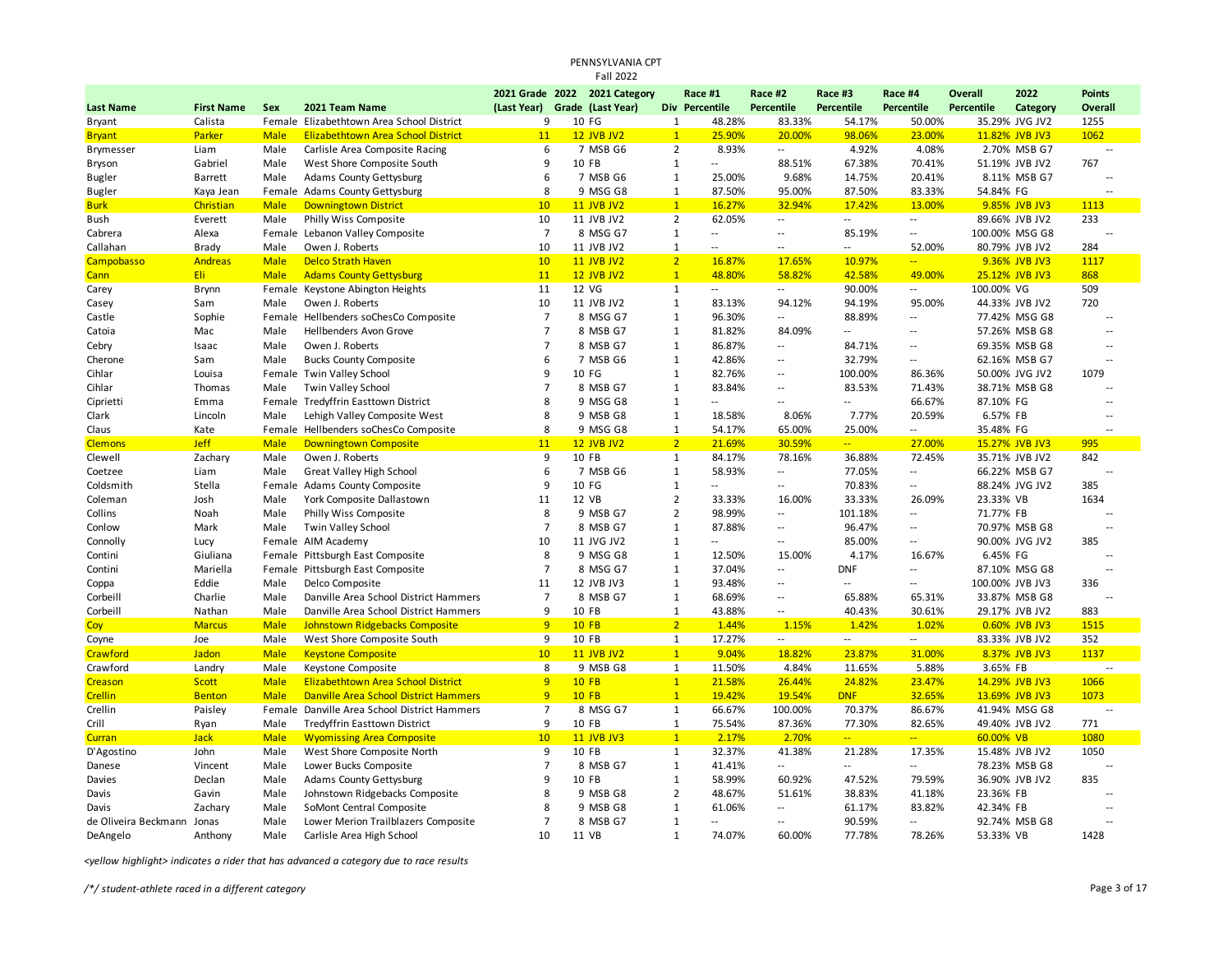## PENNSYLVANIA CPT Fall 2022

|                            |                   |             |                                              |                               | 2021 Grade 2022 2021 Category |                | Race #1                  | Race #2                  | Race #3           | Race #4                  | <b>Overall</b>    | 2022            | <b>Points</b>            |
|----------------------------|-------------------|-------------|----------------------------------------------|-------------------------------|-------------------------------|----------------|--------------------------|--------------------------|-------------------|--------------------------|-------------------|-----------------|--------------------------|
| <b>Last Name</b>           | <b>First Name</b> | Sex         | 2021 Team Name                               | (Last Year) Grade (Last Year) |                               |                | Div Percentile           | Percentile               | <b>Percentile</b> | <b>Percentile</b>        | <b>Percentile</b> | Category        | Overall                  |
| Bryant                     | Calista           |             | Female Elizabethtown Area School District    | 9                             | 10 FG                         | $\mathbf{1}$   | 48.28%                   | 83.33%                   | 54.17%            | 50.00%                   |                   | 35.29% JVG JV2  | 1255                     |
| <b>Bryant</b>              | Parker            | <b>Male</b> | Elizabethtown Area School District           | 11                            | <b>12 JVB JV2</b>             | $\mathbf{1}$   | 25.90%                   | 20.00%                   | 98.06%            | 23.00%                   |                   | 11.82% JVB JV3  | 1062                     |
| Brymesser                  | Liam              | Male        | Carlisle Area Composite Racing               | 6                             | 7 MSB G6                      | $\overline{2}$ | 8.93%                    | $\overline{a}$           | 4.92%             | 4.08%                    |                   | 2.70% MSB G7    | ٠.                       |
| Bryson                     | Gabriel           | Male        | West Shore Composite South                   | 9                             | 10 FB                         | $\mathbf{1}$   | $\overline{a}$           | 88.51%                   | 67.38%            | 70.41%                   |                   | 51.19% JVB JV2  | 767                      |
| <b>Bugler</b>              | <b>Barrett</b>    | Male        | <b>Adams County Gettysburg</b>               | 6                             | 7 MSB G6                      | $\mathbf{1}$   | 25.00%                   | 9.68%                    | 14.75%            | 20.41%                   |                   | 8.11% MSB G7    | $\ddotsc$                |
| <b>Bugler</b>              | Kaya Jean         |             | Female Adams County Gettysburg               | 8                             | 9 MSG G8                      | $\mathbf{1}$   | 87.50%                   | 95.00%                   | 87.50%            | 83.33%                   | 54.84% FG         |                 | $\sim$                   |
| <b>Burk</b>                | Christian         | <b>Male</b> | <b>Downingtown District</b>                  | 10                            | <b>11 JVB JV2</b>             | $\mathbf{1}$   | 16.27%                   | 32.94%                   | 17.42%            | 13.00%                   |                   | 9.85% JVB JV3   | 1113                     |
| Bush                       | Everett           | Male        | Philly Wiss Composite                        | 10                            | 11 JVB JV2                    | $\overline{2}$ | 62.05%                   | $\overline{\phantom{a}}$ | Ξ.                | $\sim$                   |                   | 89.66% JVB JV2  | 233                      |
| Cabrera                    | Alexa             | Female      | Lebanon Valley Composite                     | $\overline{7}$                | 8 MSG G7                      | $\mathbf{1}$   | $\overline{a}$           | ۰.                       | 85.19%            | $\overline{a}$           |                   | 100.00% MSG G8  | ц,                       |
| Callahan                   | Brady             | Male        | Owen J. Roberts                              | 10                            | 11 JVB JV2                    | 1              |                          | $\overline{a}$           | ٠.                | 52.00%                   |                   | 80.79% JVB JV2  | 284                      |
| Campobasso                 | <b>Andreas</b>    | <b>Male</b> | <b>Delco Strath Haven</b>                    | 10                            | <b>11 JVB JV2</b>             | $\overline{2}$ | 16.87%                   | 17.65%                   | 10.97%            | $\overline{a}$           |                   | 9.36% JVB JV3   | 1117                     |
| Cann                       | Eli               | <b>Male</b> | <b>Adams County Gettysburg</b>               | 11                            | <b>12 JVB JV2</b>             | $\mathbf{1}$   | 48.80%                   | 58.82%                   | 42.58%            | 49.00%                   |                   | 25.12% JVB JV3  | 868                      |
| Carey                      | Brynn             |             | Female Keystone Abington Heights             | 11                            | 12 VG                         | $\mathbf{1}$   | $\overline{\phantom{a}}$ | $\overline{\phantom{a}}$ | 90.00%            | $\sim$                   | 100.00% VG        |                 | 509                      |
| Casey                      | Sam               | Male        | Owen J. Roberts                              | 10                            | 11 JVB JV2                    | $\mathbf{1}$   | 83.13%                   | 94.12%                   | 94.19%            | 95.00%                   |                   | 44.33% JVB JV2  | 720                      |
| Castle                     | Sophie            |             | Female Hellbenders soChesCo Composite        | $\overline{7}$                | 8 MSG G7                      | 1              | 96.30%                   | --                       | 88.89%            | $\overline{\phantom{a}}$ |                   | 77.42% MSG G8   | $\overline{\phantom{a}}$ |
| Catoia                     | Mac               | Male        | Hellbenders Avon Grove                       | $\overline{7}$                | 8 MSB G7                      | 1              | 81.82%                   | 84.09%                   | Ξ.                | $\sim$                   |                   | 57.26% MSB G8   | $\sim$                   |
| Cebry                      | Isaac             | Male        | Owen J. Roberts                              | $\overline{7}$                | 8 MSB G7                      | 1              | 86.87%                   | --                       | 84.71%            | $\overline{\phantom{a}}$ |                   | 69.35% MSB G8   |                          |
| Cherone                    | Sam               | Male        | <b>Bucks County Composite</b>                | 6                             | 7 MSB G6                      | 1              | 42.86%                   | $\overline{a}$           | 32.79%            | $\sim$ $\sim$            |                   | 62.16% MSB G7   |                          |
| Cihlar                     | Louisa            |             | Female Twin Valley School                    | 9                             | 10 FG                         | 1              | 82.76%                   | $\overline{\phantom{a}}$ | 100.00%           | 86.36%                   |                   | 50.00% JVG JV2  | 1079                     |
| Cihlar                     | Thomas            | Male        | Twin Valley School                           | $\overline{7}$                | 8 MSB G7                      | $\mathbf{1}$   | 83.84%                   | $\sim$ $\sim$            | 83.53%            | 71.43%                   |                   | 38.71% MSB G8   |                          |
| Ciprietti                  | Emma              |             | Female Tredyffrin Easttown District          | 8                             | 9 MSG G8                      | $1\,$          | $\overline{a}$           | $\sim$                   | Щ.                | 66.67%                   | 87.10% FG         |                 | $\sim$                   |
| Clark                      | Lincoln           | Male        | Lehigh Valley Composite West                 | 8                             | 9 MSB G8                      | $\mathbf{1}$   | 18.58%                   | 8.06%                    | 7.77%             | 20.59%                   | 6.57% FB          |                 | $\sim$                   |
| Claus                      | Kate              |             | Female Hellbenders soChesCo Composite        | 8                             | 9 MSG G8                      | $\mathbf{1}$   | 54.17%                   | 65.00%                   | 25.00%            | $\sim$                   | 35.48% FG         |                 |                          |
| <b>Clemons</b>             | <b>Jeff</b>       | <b>Male</b> | <b>Downingtown Composite</b>                 | 11                            | <b>12 JVB JV2</b>             | $\overline{2}$ | 21.69%                   | 30.59%                   | $\frac{1}{2}$     | 27.00%                   |                   | 15.27% JVB JV3  | 995                      |
| Clewell                    | Zachary           | Male        | Owen J. Roberts                              | 9                             | 10 FB                         | $\mathbf{1}$   | 84.17%                   | 78.16%                   | 36.88%            | 72.45%                   |                   | 35.71% JVB JV2  | 842                      |
| Coetzee                    | Liam              | Male        | <b>Great Valley High School</b>              | 6                             | 7 MSB G6                      | $\mathbf{1}$   | 58.93%                   | $\overline{\phantom{a}}$ | 77.05%            | $\sim$ $\sim$            |                   | 66.22% MSB G7   | $\ddotsc$                |
| Coldsmith                  | Stella            |             | Female Adams County Composite                | 9                             | 10 FG                         | $\mathbf{1}$   | $\overline{a}$           | $\overline{\phantom{a}}$ | 70.83%            | $\overline{\phantom{a}}$ |                   | 88.24% JVG JV2  | 385                      |
| Coleman                    | Josh              | Male        | York Composite Dallastown                    | 11                            | 12 VB                         | $\overline{2}$ | 33.33%                   | 16.00%                   | 33.33%            | 26.09%                   | 23.33% VB         |                 | 1634                     |
| Collins                    | Noah              | Male        | Philly Wiss Composite                        | 8                             | 9 MSB G7                      | $\overline{2}$ | 98.99%                   | $\overline{\phantom{a}}$ | 101.18%           | $\overline{\phantom{a}}$ | 71.77% FB         |                 |                          |
| Conlow                     | Mark              | Male        | Twin Valley School                           | $\overline{7}$                | 8 MSB G7                      | $\mathbf{1}$   | 87.88%                   | $\overline{a}$           | 96.47%            | $\overline{a}$           |                   | 70.97% MSB G8   | $\sim$                   |
| Connolly                   | Lucy              |             | Female AIM Academy                           | 10                            | 11 JVG JV2                    | 1              | Ξ.                       | $\mathcal{L}$            | 85.00%            | $\sim$                   |                   | 90.00% JVG JV2  | 385                      |
| Contini                    | Giuliana          |             | Female Pittsburgh East Composite             | 8                             | 9 MSG G8                      | $\mathbf{1}$   | 12.50%                   | 15.00%                   | 4.17%             | 16.67%                   | 6.45% FG          |                 | ٠.                       |
| Contini                    | Mariella          |             | Female Pittsburgh East Composite             | $\overline{7}$                | 8 MSG G7                      | $\mathbf{1}$   | 37.04%                   | $\overline{\phantom{a}}$ | <b>DNF</b>        | $\overline{\phantom{a}}$ |                   | 87.10% MSG G8   |                          |
| Coppa                      | Eddie             | Male        | Delco Composite                              | 11                            | 12 JVB JV3                    | $\mathbf{1}$   | 93.48%                   | $\sim$ $\sim$            | $\overline{a}$    | $\overline{\phantom{a}}$ |                   | 100.00% JVB JV3 | 336                      |
| Corbeill                   | Charlie           | Male        | Danville Area School District Hammers        | $\overline{7}$                | 8 MSB G7                      | 1              | 68.69%                   | $\overline{\phantom{a}}$ | 65.88%            | 65.31%                   |                   | 33.87% MSB G8   | Ξ.                       |
| Corbeill                   | Nathan            | Male        | Danville Area School District Hammers        | 9                             | 10 FB                         | $\mathbf{1}$   | 43.88%                   | $\sim$ $\sim$            | 40.43%            | 30.61%                   |                   | 29.17% JVB JV2  | 883                      |
| Coy                        | <b>Marcus</b>     | <b>Male</b> | Johnstown Ridgebacks Composite               | 9                             | <b>10 FB</b>                  | 2 <sup>2</sup> | 1.44%                    | 1.15%                    | 1.42%             | 1.02%                    |                   | 0.60% JVB JV3   | 1515                     |
| Coyne                      | Joe               | Male        | West Shore Composite South                   | 9                             | 10 FB                         | $\mathbf{1}$   | 17.27%                   | $\overline{\phantom{a}}$ | $\overline{a}$    | $\sim$                   |                   | 83.33% JVB JV2  | 352                      |
| Crawford                   | Jadon             | <b>Male</b> | <b>Keystone Composite</b>                    | 10                            | <b>11 JVB JV2</b>             | $\mathbf{1}$   | 9.04%                    | 18.82%                   | 23.87%            | 31.00%                   |                   | 8.37% JVB JV3   | 1137                     |
| Crawford                   | Landry            | Male        | Keystone Composite                           | 8                             | 9 MSB G8                      | $\mathbf{1}$   | 11.50%                   | 4.84%                    | 11.65%            | 5.88%                    | 3.65% FB          |                 | ٠.                       |
| Creason                    | Scott             | <b>Male</b> | Elizabethtown Area School District           | 9                             | <b>10 FB</b>                  | $\mathbf{1}$   | 21.58%                   | 26.44%                   | 24.82%            | 23.47%                   |                   | 14.29% JVB JV3  | 1066                     |
| <b>Crellin</b>             | <b>Benton</b>     | <b>Male</b> | <b>Danville Area School District Hammers</b> | 9                             | <b>10 FB</b>                  | $\mathbf{1}$   | 19.42%                   | 19.54%                   | <b>DNF</b>        | 32.65%                   |                   | 13.69% JVB JV3  | 1073                     |
| Crellin                    | Paisley           |             | Female Danville Area School District Hammers | $\overline{7}$                | 8 MSG G7                      | $\mathbf{1}$   | 66.67%                   | 100.00%                  | 70.37%            | 86.67%                   |                   | 41.94% MSG G8   | $\overline{a}$           |
| Crill                      | Ryan              | Male        | Tredyffrin Easttown District                 | 9                             | 10 FB                         | $\mathbf{1}$   | 75.54%                   | 87.36%                   | 77.30%            | 82.65%                   |                   | 49.40% JVB JV2  | 771                      |
| <b>Curran</b>              | <b>Jack</b>       | <b>Male</b> | <b>Wyomissing Area Composite</b>             | 10                            | <b>11 JVB JV3</b>             | $\mathbf{1}$   | 2.17%                    | 2.70%                    | $\overline{a}$    | $\omega_{\rm{m}}$ .      | 60.00% VB         |                 | 1080                     |
| D'Agostino                 | John              | Male        | West Shore Composite North                   | 9                             | 10 FB                         | $\mathbf{1}$   | 32.37%                   | 41.38%                   | 21.28%            | 17.35%                   |                   | 15.48% JVB JV2  | 1050                     |
| Danese                     | Vincent           | Male        | Lower Bucks Composite                        | $\overline{7}$                | 8 MSB G7                      | 1              | 41.41%                   | --                       | Ξ.                | $\overline{\phantom{a}}$ |                   | 78.23% MSB G8   | Ξ.                       |
| Davies                     | Declan            | Male        | <b>Adams County Gettysburg</b>               | 9                             | 10 FB                         | $\mathbf{1}$   | 58.99%                   | 60.92%                   | 47.52%            | 79.59%                   |                   | 36.90% JVB JV2  | 835                      |
| Davis                      | Gavin             | Male        | Johnstown Ridgebacks Composite               | 8                             | 9 MSB G8                      | $\overline{2}$ | 48.67%                   | 51.61%                   | 38.83%            | 41.18%                   | 23.36% FB         |                 |                          |
| Davis                      | Zachary           | Male        | SoMont Central Composite                     | 8                             | 9 MSB G8                      | $\mathbf{1}$   | 61.06%                   | --                       | 61.17%            | 83.82%                   | 42.34% FB         |                 |                          |
| de Oliveira Beckmann Jonas |                   | Male        | Lower Merion Trailblazers Composite          | $\overline{7}$                | 8 MSB G7                      | 1              | $\ddotsc$                | $-$                      | 90.59%            | $\overline{a}$           |                   | 92.74% MSB G8   |                          |
| DeAngelo                   | Anthony           | Male        | Carlisle Area High School                    | 10                            | 11 VB                         | $\mathbf{1}$   | 74.07%                   | 60.00%                   | 77.78%            | 78.26%                   | 53.33% VB         |                 | 1428                     |

*<yellow highlight> indicates a rider that has advanced a category due to race results*

*/\*/ student-athlete raced in a different category* Page 3 of 17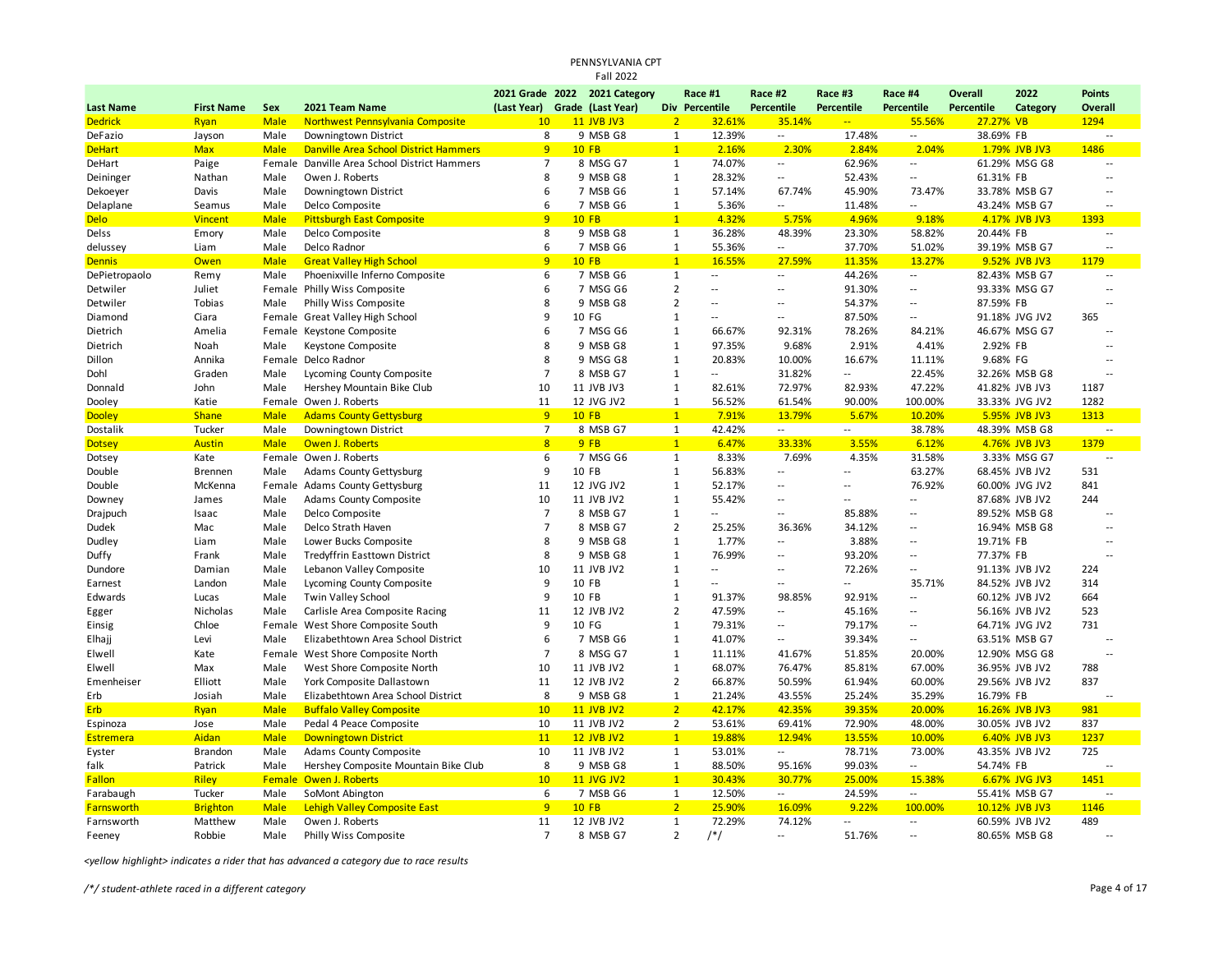## PENNSYLVANIA CPT Fall 2022

|                  |                   |             |                                              |                               | 2021 Grade 2022 2021 Category |                | Race #1                  | Race #2                  | Race #3        | Race #4                  | <b>Overall</b> | 2022           | <b>Points</b>  |
|------------------|-------------------|-------------|----------------------------------------------|-------------------------------|-------------------------------|----------------|--------------------------|--------------------------|----------------|--------------------------|----------------|----------------|----------------|
| <b>Last Name</b> | <b>First Name</b> | Sex         | 2021 Team Name                               | (Last Year) Grade (Last Year) |                               |                | Div Percentile           | <b>Percentile</b>        | Percentile     | Percentile               | Percentile     | Category       | Overall        |
| <b>Dedrick</b>   | Ryan              | <b>Male</b> | Northwest Pennsylvania Composite             | 10                            | 11 JVB JV3                    | 2 <sup>1</sup> | 32.61%                   | 35.14%                   | $\frac{1}{2}$  | 55.56%                   | 27.27% VB      |                | 1294           |
| DeFazio          | Jayson            | Male        | Downingtown District                         | 8                             | 9 MSB G8                      | $\mathbf{1}$   | 12.39%                   | $\overline{\phantom{a}}$ | 17.48%         | $\sim$                   | 38.69% FB      |                | 44             |
| <b>DeHart</b>    | <b>Max</b>        | <b>Male</b> | <b>Danville Area School District Hammers</b> | 9                             | <b>10 FB</b>                  | $\mathbf{1}$   | 2.16%                    | 2.30%                    | 2.84%          | 2.04%                    |                | 1.79% JVB JV3  | 1486           |
| DeHart           | Paige             | Female      | Danville Area School District Hammers        | $\overline{7}$                | 8 MSG G7                      | $\mathbf{1}$   | 74.07%                   | $\overline{\phantom{a}}$ | 62.96%         | $\overline{\phantom{a}}$ |                | 61.29% MSG G8  | Ξ.             |
| Deininger        | Nathan            | Male        | Owen J. Roberts                              | 8                             | 9 MSB G8                      | $\mathbf{1}$   | 28.32%                   | $\overline{\phantom{a}}$ | 52.43%         | $\sim$                   | 61.31% FB      |                | $\overline{a}$ |
| Dekoeyer         | Davis             | Male        | Downingtown District                         | 6                             | 7 MSB G6                      | 1              | 57.14%                   | 67.74%                   | 45.90%         | 73.47%                   |                | 33.78% MSB G7  | $\overline{a}$ |
| Delaplane        | Seamus            | Male        | Delco Composite                              | 6                             | 7 MSB G6                      | 1              | 5.36%                    | $\overline{a}$           | 11.48%         | $\overline{\phantom{a}}$ |                | 43.24% MSB G7  | $\overline{a}$ |
| <b>Delo</b>      | <b>Vincent</b>    | <b>Male</b> | <b>Pittsburgh East Composite</b>             | 9                             | <b>10 FB</b>                  | $\mathbf{1}$   | 4.32%                    | 5.75%                    | 4.96%          | 9.18%                    |                | 4.17% JVB JV3  | 1393           |
| Delss            | Emory             | Male        | Delco Composite                              | 8                             | 9 MSB G8                      | $\mathbf{1}$   | 36.28%                   | 48.39%                   | 23.30%         | 58.82%                   | 20.44% FB      |                | $\overline{a}$ |
| delussey         | Liam              | Male        | Delco Radnor                                 | 6                             | 7 MSB G6                      | $\mathbf{1}$   | 55.36%                   | $\sim$                   | 37.70%         | 51.02%                   |                | 39.19% MSB G7  | $\overline{a}$ |
| <b>Dennis</b>    | Owen              | <b>Male</b> | <b>Great Valley High School</b>              | 9                             | <b>10 FB</b>                  | $\overline{1}$ | 16.55%                   | 27.59%                   | 11.35%         | 13.27%                   |                | 9.52% JVB JV3  | 1179           |
| DePietropaolo    | Remy              | Male        | Phoenixville Inferno Composite               | 6                             | 7 MSB G6                      | $\mathbf{1}$   | $\overline{\phantom{a}}$ | $\overline{\phantom{a}}$ | 44.26%         | $\overline{\phantom{a}}$ |                | 82.43% MSB G7  | $\overline{a}$ |
| Detwiler         | Juliet            |             | Female Philly Wiss Composite                 | 6                             | 7 MSG G6                      | $\overline{2}$ | $\ddotsc$                | $\overline{\phantom{a}}$ | 91.30%         | $\overline{\phantom{a}}$ |                | 93.33% MSG G7  | Ξ.             |
| Detwiler         | Tobias            | Male        | Philly Wiss Composite                        | 8                             | 9 MSB G8                      | $\overline{2}$ | $\overline{a}$           | $\sim$                   | 54.37%         | $\sim$ $\sim$            | 87.59% FB      |                | $\sim$         |
| Diamond          | Ciara             |             | Female Great Valley High School              | 9                             | 10 FG                         | $\mathbf{1}$   | Ξ.                       | $\overline{\phantom{a}}$ | 87.50%         | $\overline{a}$           |                | 91.18% JVG JV2 | 365            |
| Dietrich         | Amelia            |             | Female Keystone Composite                    | 6                             | 7 MSG G6                      | $\mathbf{1}$   | 66.67%                   | 92.31%                   | 78.26%         | 84.21%                   |                | 46.67% MSG G7  | $\overline{a}$ |
| Dietrich         | Noah              | Male        | Keystone Composite                           | 8                             | 9 MSB G8                      | 1              | 97.35%                   | 9.68%                    | 2.91%          | 4.41%                    | 2.92% FB       |                |                |
| Dillon           | Annika            |             | Female Delco Radnor                          | 8                             | 9 MSG G8                      | 1              | 20.83%                   | 10.00%                   | 16.67%         | 11.11%                   | 9.68% FG       |                | $\overline{a}$ |
| Dohl             | Graden            | Male        | Lycoming County Composite                    | $\overline{7}$                | 8 MSB G7                      | $\mathbf{1}$   | Ξ.                       | 31.82%                   | Ξ.             | 22.45%                   |                | 32.26% MSB G8  | $\sim$         |
| Donnald          | John              | Male        | Hershey Mountain Bike Club                   | 10                            | 11 JVB JV3                    | $\mathbf{1}$   | 82.61%                   | 72.97%                   | 82.93%         | 47.22%                   |                | 41.82% JVB JV3 | 1187           |
| Dooley           | Katie             |             | Female Owen J. Roberts                       | 11                            | 12 JVG JV2                    | 1              | 56.52%                   | 61.54%                   | 90.00%         | 100.00%                  |                | 33.33% JVG JV2 | 1282           |
| <b>Dooley</b>    | <b>Shane</b>      | <b>Male</b> | <b>Adams County Gettysburg</b>               | 9                             | <b>10 FB</b>                  | $\mathbf{1}$   | 7.91%                    | 13.79%                   | 5.67%          | 10.20%                   |                | 5.95% JVB JV3  | 1313           |
| Dostalik         | Tucker            | Male        | Downingtown District                         | $\overline{7}$                | 8 MSB G7                      | 1              | 42.42%                   | $\sim$                   | $-$            | 38.78%                   |                | 48.39% MSB G8  | $\overline{a}$ |
| <b>Dotsey</b>    | <b>Austin</b>     | <b>Male</b> | Owen J. Roberts                              | 8                             | 9FB                           | $\mathbf{1}$   | 6.47%                    | 33.33%                   | 3.55%          | 6.12%                    |                | 4.76% JVB JV3  | 1379           |
| Dotsey           | Kate              |             | Female Owen J. Roberts                       | 6                             | 7 MSG G6                      | 1              | 8.33%                    | 7.69%                    | 4.35%          | 31.58%                   |                | 3.33% MSG G7   | $\overline{a}$ |
| Double           | <b>Brennen</b>    | Male        | <b>Adams County Gettysburg</b>               | 9                             | 10 FB                         | $\mathbf{1}$   | 56.83%                   | $\overline{\phantom{a}}$ | $\overline{a}$ | 63.27%                   |                | 68.45% JVB JV2 | 531            |
| Double           | McKenna           |             | Female Adams County Gettysburg               | 11                            | 12 JVG JV2                    | 1              | 52.17%                   | $\overline{\phantom{a}}$ | $\overline{a}$ | 76.92%                   |                | 60.00% JVG JV2 | 841            |
| Downey           | James             | Male        | <b>Adams County Composite</b>                | 10                            | 11 JVB JV2                    | 1              | 55.42%                   | $\overline{\phantom{a}}$ | $\overline{a}$ | $\overline{\phantom{a}}$ |                | 87.68% JVB JV2 | 244            |
| Drajpuch         | Isaac             | Male        | Delco Composite                              | $\overline{7}$                | 8 MSB G7                      | $\mathbf{1}$   | $\ddotsc$                | $\sim$ $\sim$            | 85.88%         | $\overline{\phantom{a}}$ |                | 89.52% MSB G8  | $\overline{a}$ |
| Dudek            | Mac               | Male        | Delco Strath Haven                           | $\overline{7}$                | 8 MSB G7                      | $\overline{2}$ | 25.25%                   | 36.36%                   | 34.12%         | $\overline{\phantom{a}}$ |                | 16.94% MSB G8  |                |
| Dudley           | Liam              | Male        | Lower Bucks Composite                        | 8                             | 9 MSB G8                      | $\mathbf{1}$   | 1.77%                    | $\sim$                   | 3.88%          | $\sim$                   | 19.71% FB      |                | $\overline{a}$ |
| Duffy            | Frank             | Male        | <b>Tredyffrin Easttown District</b>          | 8                             | 9 MSB G8                      | $\mathbf{1}$   | 76.99%                   | $\overline{\phantom{a}}$ | 93.20%         | $\overline{\phantom{a}}$ | 77.37% FB      |                |                |
| Dundore          | Damian            | Male        | Lebanon Valley Composite                     | 10                            | 11 JVB JV2                    | $\mathbf{1}$   | $\overline{a}$           | $\sim$                   | 72.26%         | $\overline{\phantom{a}}$ |                | 91.13% JVB JV2 | 224            |
| Earnest          | Landon            | Male        | Lycoming County Composite                    | 9                             | 10 FB                         | $\mathbf{1}$   | $\overline{\phantom{a}}$ | $\mathcal{L}$            | --             | 35.71%                   |                | 84.52% JVB JV2 | 314            |
| Edwards          | Lucas             | Male        | Twin Valley School                           | 9                             | 10 FB                         | $\mathbf{1}$   | 91.37%                   | 98.85%                   | 92.91%         | $\overline{\phantom{a}}$ |                | 60.12% JVB JV2 | 664            |
| Egger            | Nicholas          | Male        | Carlisle Area Composite Racing               | 11                            | 12 JVB JV2                    | $\overline{2}$ | 47.59%                   | $\overline{\phantom{a}}$ | 45.16%         | $\overline{a}$           |                | 56.16% JVB JV2 | 523            |
| Einsig           | Chloe             |             | Female West Shore Composite South            | 9                             | 10 FG                         | $\mathbf{1}$   | 79.31%                   | $\sim$                   | 79.17%         | $\sim$                   |                | 64.71% JVG JV2 | 731            |
| Elhajj           | Levi              | Male        | Elizabethtown Area School District           | 6                             | 7 MSB G6                      | 1              | 41.07%                   | $\overline{\phantom{a}}$ | 39.34%         | $\sim$ $\sim$            |                | 63.51% MSB G7  | $\overline{a}$ |
| Elwell           | Kate              |             | Female West Shore Composite North            | $\overline{7}$                | 8 MSG G7                      | $\mathbf{1}$   | 11.11%                   | 41.67%                   | 51.85%         | 20.00%                   |                | 12.90% MSG G8  | $\overline{a}$ |
| Elwell           | Max               | Male        | West Shore Composite North                   | 10                            | 11 JVB JV2                    | $\mathbf{1}$   | 68.07%                   | 76.47%                   | 85.81%         | 67.00%                   |                | 36.95% JVB JV2 | 788            |
| Emenheiser       | Elliott           | Male        | York Composite Dallastown                    | 11                            | 12 JVB JV2                    | $\overline{2}$ | 66.87%                   | 50.59%                   | 61.94%         | 60.00%                   |                | 29.56% JVB JV2 | 837            |
| Erb              | Josiah            | Male        | Elizabethtown Area School District           | 8                             | 9 MSB G8                      | 1              | 21.24%                   | 43.55%                   | 25.24%         | 35.29%                   | 16.79% FB      |                |                |
| <b>Erb</b>       | Ryan              | <b>Male</b> | <b>Buffalo Valley Composite</b>              | 10                            | <b>11 JVB JV2</b>             | 2 <sup>1</sup> | 42.17%                   | 42.35%                   | 39.35%         | 20.00%                   |                | 16.26% JVB JV3 | 981            |
| Espinoza         | Jose              | Male        | Pedal 4 Peace Composite                      | 10                            | 11 JVB JV2                    | 2              | 53.61%                   | 69.41%                   | 72.90%         | 48.00%                   |                | 30.05% JVB JV2 | 837            |
| <b>Estremera</b> | Aidan             | <b>Male</b> | <b>Downingtown District</b>                  | 11                            | <b>12 JVB JV2</b>             | $\mathbf{1}$   | 19.88%                   | 12.94%                   | 13.55%         | 10.00%                   |                | 6.40% JVB JV3  | 1237           |
| Eyster           | <b>Brandon</b>    | Male        | Adams County Composite                       | 10                            | 11 JVB JV2                    | $\mathbf{1}$   | 53.01%                   | $\sim$                   | 78.71%         | 73.00%                   |                | 43.35% JVB JV2 | 725            |
| falk             | Patrick           | Male        | Hershey Composite Mountain Bike Club         | 8                             | 9 MSB G8                      | 1              | 88.50%                   | 95.16%                   | 99.03%         | $\sim$                   | 54.74% FB      |                |                |
| <b>Fallon</b>    | <b>Riley</b>      |             | Female Owen J. Roberts                       | 10                            | <b>11 JVG JV2</b>             | $\mathbf{1}$   | 30.43%                   | 30.77%                   | 25.00%         | 15.38%                   |                | 6.67% JVG JV3  | 1451           |
| Farabaugh        | Tucker            | Male        | SoMont Abington                              | $\,6\,$                       | 7 MSB G6                      | $\mathbf{1}$   | 12.50%                   | $\sim$                   | 24.59%         | $\overline{\phantom{a}}$ |                | 55.41% MSB G7  | $\overline{a}$ |
| Farnsworth       | <b>Brighton</b>   | <b>Male</b> | <b>Lehigh Valley Composite East</b>          | 9                             | <b>10 FB</b>                  | 2 <sup>1</sup> | 25.90%                   | 16.09%                   | 9.22%          | 100.00%                  |                | 10.12% JVB JV3 | 1146           |
| Farnsworth       | Matthew           | Male        | Owen J. Roberts                              | 11                            | 12 JVB JV2                    | $\mathbf{1}$   | 72.29%                   | 74.12%                   | Ξ.             | $\overline{\phantom{a}}$ |                | 60.59% JVB JV2 | 489            |
| Feeney           | Robbie            | Male        | Philly Wiss Composite                        | $\overline{7}$                | 8 MSB G7                      | $\overline{2}$ |                          | $\overline{a}$           | 51.76%         | $\sim$                   |                | 80.65% MSB G8  |                |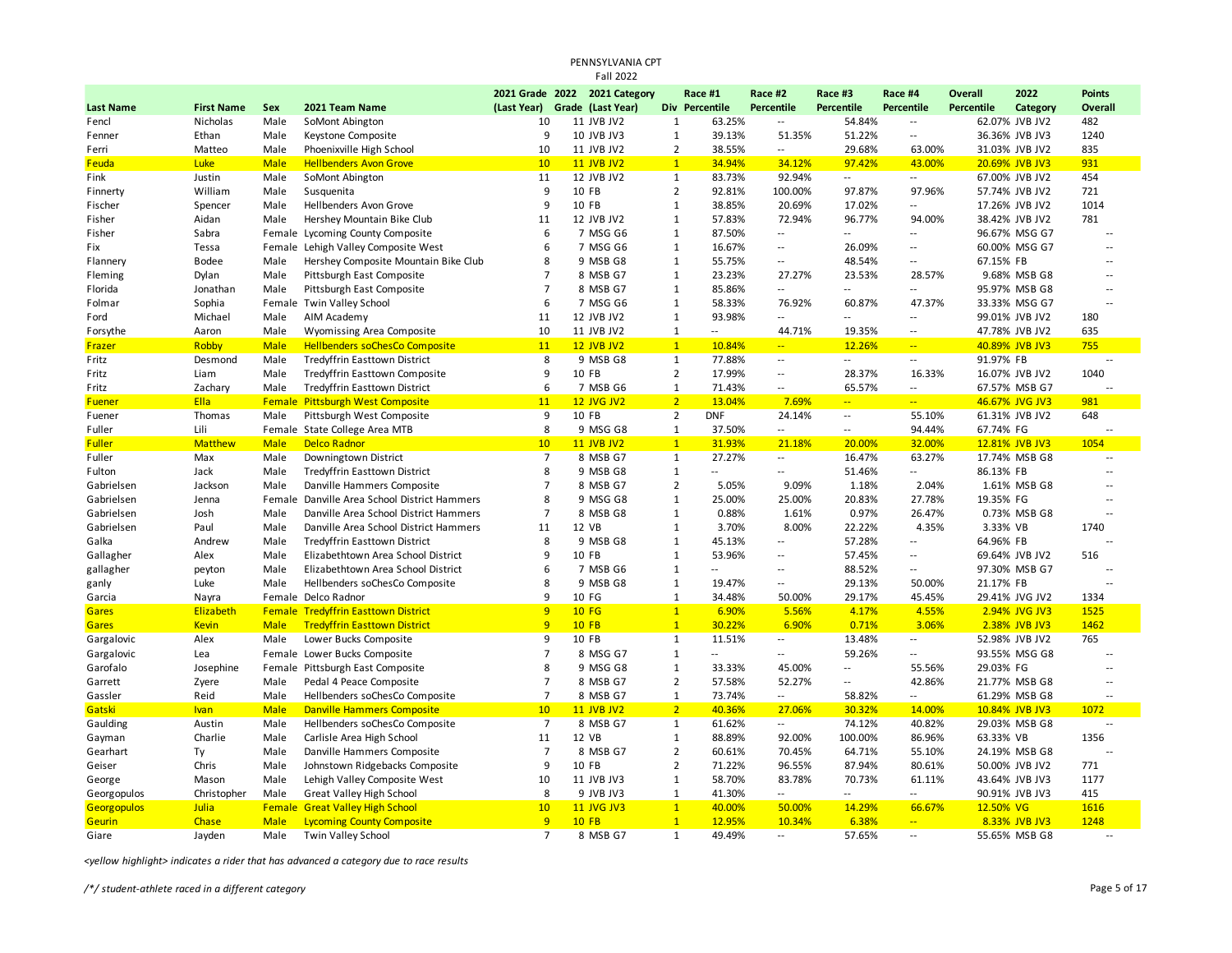|                  |                   |              |                                            |                      | PENNSYLVANIA CPT              |                                |                  |                          |                             |                            |                   |                |                |
|------------------|-------------------|--------------|--------------------------------------------|----------------------|-------------------------------|--------------------------------|------------------|--------------------------|-----------------------------|----------------------------|-------------------|----------------|----------------|
|                  |                   |              |                                            |                      | <b>Fall 2022</b>              |                                |                  |                          |                             |                            |                   |                |                |
|                  |                   |              |                                            |                      | 2021 Grade 2022 2021 Category |                                | Race #1          | Race #2                  | Race #3                     | Race #4                    | <b>Overall</b>    | 2022           | <b>Points</b>  |
| <b>Last Name</b> | <b>First Name</b> | <b>Sex</b>   | 2021 Team Name                             | (Last Year)          | Grade (Last Year)             |                                | Div Percentile   | <b>Percentile</b>        | <b>Percentile</b>           | <b>Percentile</b>          | <b>Percentile</b> | Category       | <b>Overall</b> |
| Fencl            | Nicholas          | Male         | SoMont Abington                            | 10                   | 11 JVB JV2                    | $\mathbf{1}$                   | 63.25%           | Ξ.                       | 54.84%                      | $\overline{\phantom{a}}$   |                   | 62.07% JVB JV2 | 482            |
| Fenner           | Ethan             | Male         | Keystone Composite                         | 9                    | 10 JVB JV3                    | $\mathbf{1}$                   | 39.13%           | 51.35%                   | 51.22%                      | $\overline{\phantom{a}}$   |                   | 36.36% JVB JV3 | 1240           |
| Ferri            | Matteo            | Male         | Phoenixville High School                   | 10                   | 11 JVB JV2                    | $\overline{2}$                 | 38.55%           | $\overline{\phantom{a}}$ | 29.68%                      | 63.00%                     |                   | 31.03% JVB JV2 | 835            |
| Feuda            | Luke              | <b>Male</b>  | <b>Hellbenders Avon Grove</b>              | 10                   | <b>11 JVB JV2</b>             | $\mathbf{1}$                   | 34.94%           | 34.12%                   | 97.42%                      | 43.00%                     |                   | 20.69% JVB JV3 | 931            |
| Fink             | Justin            | Male         | SoMont Abington                            | 11                   | 12 JVB JV2                    | $\mathbf{1}$                   | 83.73%           | 92.94%                   | $\sim$                      | $\sim$                     |                   | 67.00% JVB JV2 | 454            |
| Finnerty         | William           | Male         | Susquenita                                 | 9                    | 10 FB                         | $\overline{2}$                 | 92.81%           | 100.00%                  | 97.87%                      | 97.96%                     |                   | 57.74% JVB JV2 | 721            |
| Fischer          | Spencer           | Male         | <b>Hellbenders Avon Grove</b>              | 9                    | 10 FB                         | $\mathbf{1}$                   | 38.85%           | 20.69%                   | 17.02%                      | Ξ.                         |                   | 17.26% JVB JV2 | 1014           |
| Fisher           | Aidan             | Male         | Hershey Mountain Bike Club                 | 11                   | 12 JVB JV2                    | $\mathbf{1}$                   | 57.83%           | 72.94%                   | 96.77%                      | 94.00%                     |                   | 38.42% JVB JV2 | 781            |
| Fisher           | Sabra             |              | Female Lycoming County Composite           | 6                    | 7 MSG G6                      | $\mathbf{1}$                   | 87.50%           | $\overline{\phantom{a}}$ | $\overline{\phantom{a}}$    | $\overline{\phantom{a}}$   |                   | 96.67% MSG G7  |                |
| Fix              | Tessa             |              | Female Lehigh Valley Composite West        | 6                    | 7 MSG G6                      | $\mathbf{1}$                   | 16.67%           | Ξ.                       | 26.09%                      | $\overline{a}$             |                   | 60.00% MSG G7  | $\overline{a}$ |
| Flannery         | Bodee             | Male         | Hershey Composite Mountain Bike Club       | 8                    | 9 MSB G8                      | $\mathbf{1}$                   | 55.75%           | Ξ.                       | 48.54%                      | $\overline{\phantom{a}}$   | 67.15% FB         |                | $\sim$         |
| Fleming          | Dylan             | Male         | Pittsburgh East Composite                  | $\overline{7}$       | 8 MSB G7                      | $\mathbf{1}$                   | 23.23%           | 27.27%                   | 23.53%                      | 28.57%                     |                   | 9.68% MSB G8   | $\overline{a}$ |
| Florida          | Jonathan          | Male         | Pittsburgh East Composite                  | $\overline{7}$       | 8 MSB G7                      | $\mathbf{1}$                   | 85.86%           | u.                       | $\sim$ $\sim$               | $\overline{\phantom{a}}$   |                   | 95.97% MSB G8  | $\overline{a}$ |
| Folmar           | Sophia            |              | Female Twin Valley School                  | 6                    | 7 MSG G6                      | $\mathbf{1}$                   | 58.33%           | 76.92%                   | 60.87%                      | 47.37%                     |                   | 33.33% MSG G7  | $\sim$         |
| Ford             | Michael           | Male         | AIM Academy                                | 11                   | 12 JVB JV2                    | $\mathbf{1}$                   | 93.98%           | $\overline{\phantom{a}}$ | $\mathcal{L}_{\mathcal{A}}$ | $\overline{\phantom{a}}$   |                   | 99.01% JVB JV2 | 180            |
| Forsythe         | Aaron             | Male         | Wyomissing Area Composite                  | 10                   | 11 JVB JV2                    | $\mathbf{1}$                   | $\sim$           | 44.71%                   | 19.35%                      | $\overline{\phantom{a}}$   |                   | 47.78% JVB JV2 | 635            |
| Frazer           | Robby             | <b>Male</b>  | <b>Hellbenders soChesCo Composite</b>      | 11                   | <b>12 JVB JV2</b>             | 1                              | 10.84%           | $\mathbb{Z}^2$           | 12.26%                      | $\mathbf{L} \mathbf{L}$    |                   | 40.89% JVB JV3 | 755            |
| Fritz            | Desmond           | Male         | <b>Tredyffrin Easttown District</b>        | 8                    | 9 MSB G8                      | $\mathbf{1}$                   | 77.88%           | $\overline{\phantom{a}}$ | $\sim$                      | $\sim$                     | 91.97% FB         |                | ٠.             |
| Fritz            | Liam              | Male         | Tredyffrin Easttown Composite              | 9                    | 10 FB                         | $\overline{2}$                 | 17.99%           | u.                       | 28.37%                      | 16.33%                     |                   | 16.07% JVB JV2 | 1040           |
| Fritz            | Zachary           | Male         | <b>Tredyffrin Easttown District</b>        | 6                    | 7 MSB G6                      | $\mathbf{1}$                   | 71.43%           | Ξ.                       | 65.57%                      | $\sim$                     |                   | 67.57% MSB G7  |                |
| <b>Fuener</b>    | Ella              | Female       | <b>Pittsburgh West Composite</b>           | 11                   | <b>12 JVG JV2</b>             | $\overline{2}$                 | 13.04%           | 7.69%                    | $\frac{1}{2}$               | $\mathbb{Z} \mathbb{Z}^n$  |                   | 46.67% JVG JV3 | 981            |
| Fuener           | Thomas            | Male         | Pittsburgh West Composite                  | 9                    | 10 FB                         | $\overline{2}$                 | <b>DNF</b>       | 24.14%                   | $\sim$                      | 55.10%                     |                   | 61.31% JVB JV2 | 648            |
| Fuller           | Lili              |              | Female State College Area MTB              | 8                    | 9 MSG G8                      | $\mathbf{1}$                   | 37.50%           | $\overline{\phantom{a}}$ | $\mathcal{L}_{\mathcal{A}}$ | 94.44%                     | 67.74% FG         |                |                |
| <b>Fuller</b>    | <b>Matthew</b>    | <b>Male</b>  | <b>Delco Radnor</b>                        | 10                   | <b>11 JVB JV2</b>             | 1                              | 31.93%           | 21.18%                   | 20.00%                      | 32.00%                     |                   | 12.81% JVB JV3 | 1054           |
| Fuller           | Max               | Male         | Downingtown District                       | $\overline{7}$       | 8 MSB G7                      | $\mathbf{1}$                   | 27.27%           | Ξ.                       | 16.47%                      | 63.27%                     |                   | 17.74% MSB G8  |                |
| Fulton           | Jack              | Male         | Tredyffrin Easttown District               | 8                    | 9 MSB G8                      | $\mathbf{1}$                   | $\overline{a}$   | ٠.                       | 51.46%                      | $\sim$                     | 86.13% FB         |                | $\sim$         |
| Gabrielsen       | Jackson           | Male         | Danville Hammers Composite                 | $\overline{7}$       | 8 MSB G7                      | $\overline{2}$                 | 5.05%            | 9.09%                    | 1.18%                       | 2.04%                      |                   | 1.61% MSB G8   |                |
| Gabrielsen       | Jenna             | Female       | Danville Area School District Hammers      | 8                    | 9 MSG G8                      | $\mathbf{1}$                   | 25.00%           | 25.00%                   | 20.83%                      | 27.78%                     | 19.35% FG         |                | $\overline{a}$ |
| Gabrielsen       | Josh              | Male         | Danville Area School District Hammers      | $\overline{7}$       | 8 MSB G8                      | $\mathbf{1}$                   | 0.88%            | 1.61%                    | 0.97%                       | 26.47%                     |                   | 0.73% MSB G8   |                |
| Gabrielsen       | Paul              | Male         | Danville Area School District Hammers      | 11                   | 12 VB                         | $\mathbf{1}$                   | 3.70%            | 8.00%                    | 22.22%                      | 4.35%                      | 3.33% VB          |                | 1740           |
| Galka            | Andrew            | Male         | <b>Tredyffrin Easttown District</b>        | 8                    | 9 MSB G8                      | $\mathbf{1}$                   | 45.13%           | $\overline{a}$           | 57.28%                      | $\overline{\phantom{a}}$   | 64.96% FB         |                |                |
| Gallagher        | Alex              | Male         | Elizabethtown Area School District         | $\mathsf{q}$         | 10 FB                         | $\mathbf 1$                    | 53.96%           | ٠.                       | 57.45%                      | $\sim$                     |                   | 69.64% JVB JV2 | 516            |
| gallagher        | peyton            | Male         | Elizabethtown Area School District         | 6                    | 7 MSB G6                      | $\mathbf{1}$                   | $\overline{a}$   | Ξ.                       | 88.52%                      | $\sim$                     |                   | 97.30% MSB G7  | $\overline{a}$ |
| ganly            | Luke              | Male         | Hellbenders soChesCo Composite             | 8                    | 9 MSB G8                      | $\mathbf{1}$                   | 19.47%           | Ξ.                       | 29.13%                      | 50.00%                     | 21.17% FB         |                | $\overline{a}$ |
| Garcia           | Nayra             |              | Female Delco Radnor                        | 9                    | 10 FG                         | $\mathbf{1}$                   | 34.48%           | 50.00%                   | 29.17%                      | 45.45%                     |                   | 29.41% JVG JV2 | 1334           |
| <b>Gares</b>     | Elizabeth         |              | <b>Female Tredyffrin Easttown District</b> | 9                    | <b>10 FG</b>                  | $\mathbf{1}$                   | 6.90%            | 5.56%                    | 4.17%                       | 4.55%                      |                   | 2.94% JVG JV3  | 1525           |
| <b>Gares</b>     | <b>Kevin</b>      | <b>Male</b>  | <b>Tredyffrin Easttown District</b>        | 9                    | $10$ FB                       | $\mathbf{1}$                   | 30.22%           | 6.90%                    | 0.71%                       | 3.06%                      |                   | 2.38% JVB JV3  | 1462           |
| Gargalovic       | Alex              | Male         | Lower Bucks Composite                      | 9                    | 10 FB                         | $\mathbf{1}$                   | 11.51%           | $\overline{\phantom{a}}$ | 13.48%                      | $\sim$                     |                   | 52.98% JVB JV2 | 765            |
| Gargalovic       | Lea               |              | Female Lower Bucks Composite               | $\overline{7}$       | 8 MSG G7                      | $\mathbf{1}$                   | $\overline{a}$   | Ξ.                       | 59.26%                      | $\overline{\phantom{a}}$   |                   | 93.55% MSG G8  |                |
| Garofalo         | Josephine         |              | Female Pittsburgh East Composite           | 8                    | 9 MSG G8                      | $\mathbf{1}$                   | 33.33%           | 45.00%                   | $\sim$                      | 55.56%                     | 29.03% FG         |                | $\overline{a}$ |
| Garrett          | Zyere             | Male         | Pedal 4 Peace Composite                    | $\overline{7}$       | 8 MSB G7                      | $\overline{2}$                 | 57.58%           | 52.27%                   | $\overline{\phantom{a}}$    | 42.86%                     |                   | 21.77% MSB G8  | $\overline{a}$ |
|                  |                   | Male         |                                            | $\overline{7}$       |                               |                                |                  | $\overline{a}$           |                             | $\sim$                     |                   |                | $\overline{a}$ |
| Gassler          | Reid              | <b>Male</b>  | Hellbenders soChesCo Composite             | 10                   | 8 MSB G7<br><b>11 JVB JV2</b> | $\mathbf{1}$<br>2 <sup>1</sup> | 73.74%<br>40.36% | 27.06%                   | 58.82%                      | 14.00%                     |                   | 61.29% MSB G8  |                |
| Gatski           | <b>Ivan</b>       |              | <b>Danville Hammers Composite</b>          |                      |                               |                                |                  |                          | 30.32%                      |                            |                   | 10.84% JVB JV3 | 1072           |
| Gaulding         | Austin<br>Charlie | Male<br>Male | Hellbenders soChesCo Composite             | $\overline{7}$<br>11 | 8 MSB G7<br>12 VB             | $\mathbf{1}$                   | 61.62%           | --                       | 74.12%                      | 40.82%<br>86.96%           |                   | 29.03% MSB G8  | ٠.<br>1356     |
| Gayman           |                   |              | Carlisle Area High School                  |                      |                               | 1                              | 88.89%           | 92.00%                   | 100.00%                     |                            | 63.33% VB         |                |                |
| Gearhart         | Ty                | Male         | Danville Hammers Composite                 | $\overline{7}$       | 8 MSB G7                      | $\overline{2}$                 | 60.61%           | 70.45%                   | 64.71%                      | 55.10%                     |                   | 24.19% MSB G8  | $\overline{a}$ |
| Geiser           | Chris             | Male         | Johnstown Ridgebacks Composite             | 9                    | 10 FB                         | $\overline{2}$                 | 71.22%           | 96.55%                   | 87.94%                      | 80.61%                     |                   | 50.00% JVB JV2 | 771            |
| George           | Mason             | Male         | Lehigh Valley Composite West               | 10                   | 11 JVB JV3                    | $\mathbf{1}$                   | 58.70%           | 83.78%                   | 70.73%                      | 61.11%                     |                   | 43.64% JVB JV3 | 1177           |
| Georgopulos      | Christopher       | Male         | <b>Great Valley High School</b>            | 8                    | 9 JVB JV3                     | $\mathbf{1}$                   | 41.30%           | $\overline{\phantom{a}}$ | $\sim$ $-$                  | $\overline{\phantom{a}}$   |                   | 90.91% JVB JV3 | 415            |
| Georgopulos      | Julia             | Female       | <b>Great Valley High School</b>            | 10                   | <b>11 JVG JV3</b>             | $\mathbf{1}$                   | 40.00%           | 50.00%                   | 14.29%                      | 66.67%                     | 12.50% VG         |                | 1616           |
| <b>Geurin</b>    | Chase             | <b>Male</b>  | <b>Lycoming County Composite</b>           | 9                    | $10$ FB                       | $\mathbf{1}$                   | 12.95%           | 10.34%                   | 6.38%                       | $\mathbb{Z}[\mathbb{Z}_p]$ |                   | 8.33% JVB JV3  | 1248           |
| Giare            | Jayden            | Male         | Twin Valley School                         | $\overline{7}$       | 8 MSB G7                      | $\mathbf{1}$                   | 49.49%           | $\sim$                   | 57.65%                      | $\sim$ $\sim$              |                   | 55.65% MSB G8  |                |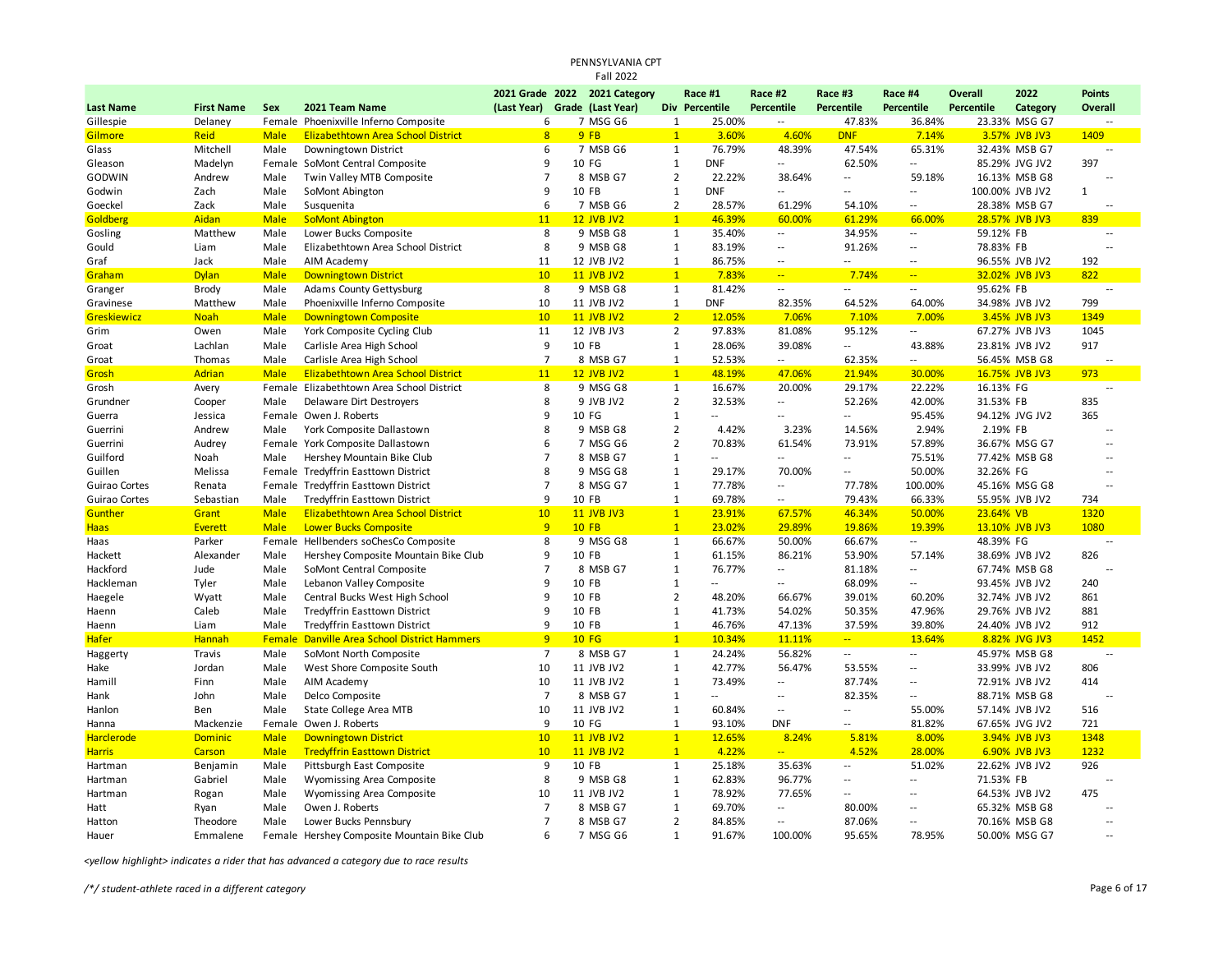## PENNSYLVANIA CPT Fall 2022

|                   |                   |             |                                              |                               | 2021 Grade 2022 2021 Category |                | Race #1                  | Race #2                  | Race #3                  | Race #4                  | <b>Overall</b>  | 2022           | <b>Points</b>            |
|-------------------|-------------------|-------------|----------------------------------------------|-------------------------------|-------------------------------|----------------|--------------------------|--------------------------|--------------------------|--------------------------|-----------------|----------------|--------------------------|
| <b>Last Name</b>  | <b>First Name</b> | Sex         | 2021 Team Name                               | (Last Year) Grade (Last Year) |                               |                | Div Percentile           | Percentile               | Percentile               | <b>Percentile</b>        | Percentile      | Category       | Overall                  |
| Gillespie         | Delaney           |             | Female Phoenixville Inferno Composite        | 6                             | 7 MSG G6                      | $\mathbf{1}$   | 25.00%                   | $\sim$ $\sim$            | 47.83%                   | 36.84%                   |                 | 23.33% MSG G7  |                          |
| <b>Gilmore</b>    | Reid              | <b>Male</b> | Elizabethtown Area School District           | 8                             | 9FB                           | $\mathbf{1}$   | 3.60%                    | 4.60%                    | <b>DNF</b>               | 7.14%                    |                 | 3.57% JVB JV3  | 1409                     |
| Glass             | Mitchell          | Male        | Downingtown District                         | 6                             | 7 MSB G6                      | $\mathbf{1}$   | 76.79%                   | 48.39%                   | 47.54%                   | 65.31%                   |                 | 32.43% MSB G7  | $\overline{a}$           |
| Gleason           | Madelyn           |             | Female SoMont Central Composite              | 9                             | 10 FG                         | $\mathbf{1}$   | <b>DNF</b>               | $\sim$                   | 62.50%                   | $\overline{a}$           |                 | 85.29% JVG JV2 | 397                      |
| GODWIN            | Andrew            | Male        | Twin Valley MTB Composite                    | $\overline{7}$                | 8 MSB G7                      | $\overline{2}$ | 22.22%                   | 38.64%                   | --                       | 59.18%                   |                 | 16.13% MSB G8  | $\sim$                   |
| Godwin            | Zach              | Male        | SoMont Abington                              | 9                             | 10 FB                         | $\mathbf{1}$   | <b>DNF</b>               | $\sim$                   | $\overline{a}$           | $\overline{a}$           | 100.00% JVB JV2 |                | $\mathbf{1}$             |
| Goeckel           | Zack              | Male        | Susquenita                                   | 6                             | 7 MSB G6                      | $\overline{2}$ | 28.57%                   | 61.29%                   | 54.10%                   | $\overline{\phantom{a}}$ |                 | 28.38% MSB G7  | $\overline{\phantom{a}}$ |
| Goldberg          | Aidan             | <b>Male</b> | <b>SoMont Abington</b>                       | 11                            | <b>12 JVB JV2</b>             | $\mathbf{1}$   | 46.39%                   | 60.00%                   | 61.29%                   | 66.00%                   |                 | 28.57% JVB JV3 | 839                      |
| Gosling           | Matthew           | Male        | Lower Bucks Composite                        | 8                             | 9 MSB G8                      | $\mathbf{1}$   | 35.40%                   | $\overline{\phantom{a}}$ | 34.95%                   | $\overline{\phantom{a}}$ | 59.12% FB       |                | $\overline{a}$           |
| Gould             | Liam              | Male        | Elizabethtown Area School District           | 8                             | 9 MSB G8                      | $\mathbf{1}$   | 83.19%                   | $\overline{\phantom{a}}$ | 91.26%                   | $\sim$                   | 78.83% FB       |                |                          |
| Graf              | Jack              | Male        | AIM Academy                                  | 11                            | 12 JVB JV2                    | $\mathbf{1}$   | 86.75%                   | $\overline{\phantom{a}}$ | $\overline{a}$           | $\overline{a}$           |                 | 96.55% JVB JV2 | 192                      |
| Graham            | <b>Dylan</b>      | <b>Male</b> | <b>Downingtown District</b>                  | 10                            | <b>11 JVB JV2</b>             | $\mathbf{1}$   | 7.83%                    | $-1$                     | 7.74%                    | $\mathbf{u}$             |                 | 32.02% JVB JV3 | 822                      |
| Granger           | Brody             | Male        | Adams County Gettysburg                      | 8                             | 9 MSB G8                      | $\mathbf{1}$   | 81.42%                   | $\overline{\phantom{a}}$ | Ξ.                       | $\overline{a}$           | 95.62% FB       |                | $\sim$                   |
| Gravinese         | Matthew           | Male        | Phoenixville Inferno Composite               | 10                            | 11 JVB JV2                    | $\mathbf{1}$   | <b>DNF</b>               | 82.35%                   | 64.52%                   | 64.00%                   |                 | 34.98% JVB JV2 | 799                      |
| Greskiewicz       | <b>Noah</b>       | <b>Male</b> | <b>Downingtown Composite</b>                 | 10                            | <b>11 JVB JV2</b>             | 2 <sup>1</sup> | 12.05%                   | 7.06%                    | 7.10%                    | 7.00%                    |                 | 3.45% JVB JV3  | 1349                     |
| Grim              | Owen              | Male        | York Composite Cycling Club                  | 11                            | 12 JVB JV3                    | $\overline{2}$ | 97.83%                   | 81.08%                   | 95.12%                   | $\sim$                   |                 | 67.27% JVB JV3 | 1045                     |
| Groat             | Lachlan           | Male        | Carlisle Area High School                    | 9                             | 10 FB                         | $\mathbf{1}$   | 28.06%                   | 39.08%                   | $\overline{\phantom{a}}$ | 43.88%                   |                 | 23.81% JVB JV2 | 917                      |
| Groat             | Thomas            | Male        | Carlisle Area High School                    | $\overline{7}$                | 8 MSB G7                      | $\mathbf{1}$   | 52.53%                   | $\overline{\phantom{a}}$ | 62.35%                   | $\overline{a}$           |                 | 56.45% MSB G8  |                          |
| Grosh             | Adrian            | <b>Male</b> | <b>Elizabethtown Area School District</b>    | 11                            | <b>12 JVB JV2</b>             | $\mathbf{1}$   | 48.19%                   | 47.06%                   | 21.94%                   | 30.00%                   |                 | 16.75% JVB JV3 | 973                      |
| Grosh             | Avery             |             | Female Elizabethtown Area School District    | 8                             | 9 MSG G8                      | $\mathbf{1}$   | 16.67%                   | 20.00%                   | 29.17%                   | 22.22%                   | 16.13% FG       |                | $\sim$                   |
| Grundner          | Cooper            | Male        | Delaware Dirt Destroyers                     | 8                             | 9 JVB JV2                     | $\overline{2}$ | 32.53%                   | $\overline{\phantom{a}}$ | 52.26%                   | 42.00%                   | 31.53% FB       |                | 835                      |
| Guerra            | Jessica           |             | Female Owen J. Roberts                       | 9                             | 10 FG                         | $\mathbf{1}$   | $\overline{\phantom{a}}$ | $\overline{a}$           | Ξ.                       | 95.45%                   |                 | 94.12% JVG JV2 | 365                      |
| Guerrini          | Andrew            | Male        | York Composite Dallastown                    | 8                             | 9 MSB G8                      | $\overline{2}$ | 4.42%                    | 3.23%                    | 14.56%                   | 2.94%                    | 2.19% FB        |                |                          |
| Guerrini          | Audrey            |             | Female York Composite Dallastown             | 6                             | 7 MSG G6                      | $\overline{2}$ | 70.83%                   | 61.54%                   | 73.91%                   | 57.89%                   |                 | 36.67% MSG G7  | $\sim$                   |
| Guilford          | Noah              | Male        | Hershey Mountain Bike Club                   | $\overline{7}$                | 8 MSB G7                      | $\mathbf{1}$   | $\overline{a}$           | $\sim$                   | $\overline{a}$           | 75.51%                   |                 | 77.42% MSB G8  | $\sim$                   |
| Guillen           | Melissa           |             | Female Tredyffrin Easttown District          | 8                             | 9 MSG G8                      | $\mathbf{1}$   | 29.17%                   | 70.00%                   | Ξ.                       | 50.00%                   | 32.26% FG       |                | $\sim$                   |
| Guirao Cortes     | Renata            |             | Female Tredyffrin Easttown District          | $\overline{7}$                | 8 MSG G7                      | $\mathbf{1}$   | 77.78%                   | $\overline{\phantom{a}}$ | 77.78%                   | 100.00%                  |                 | 45.16% MSG G8  | $\sim$                   |
| Guirao Cortes     | Sebastian         | Male        | Tredyffrin Easttown District                 | 9                             | 10 FB                         | $\mathbf{1}$   | 69.78%                   | $\overline{\phantom{a}}$ | 79.43%                   | 66.33%                   |                 | 55.95% JVB JV2 | 734                      |
| Gunther           | Grant             | <b>Male</b> | <b>Elizabethtown Area School District</b>    | 10                            | <b>11 JVB JV3</b>             | $\mathbf{1}$   | 23.91%                   | 67.57%                   | 46.34%                   | 50.00%                   | 23.64% VB       |                | 1320                     |
| <b>Haas</b>       | Everett           | <b>Male</b> | <b>Lower Bucks Composite</b>                 | 9                             | <b>10 FB</b>                  | $\mathbf{1}$   | 23.02%                   | 29.89%                   | 19.86%                   | 19.39%                   |                 | 13.10% JVB JV3 | 1080                     |
| Haas              | Parker            |             | Female Hellbenders soChesCo Composite        | 8                             | 9 MSG G8                      | $\mathbf{1}$   | 66.67%                   | 50.00%                   | 66.67%                   | $\overline{a}$           | 48.39% FG       |                |                          |
| Hackett           | Alexander         | Male        | Hershey Composite Mountain Bike Club         | 9                             | 10 FB                         | $\mathbf{1}$   | 61.15%                   | 86.21%                   | 53.90%                   | 57.14%                   |                 | 38.69% JVB JV2 | 826                      |
| Hackford          | Jude              | Male        | SoMont Central Composite                     | $\overline{7}$                | 8 MSB G7                      | $\mathbf{1}$   | 76.77%                   | $\overline{\phantom{a}}$ | 81.18%                   | $\overline{\phantom{a}}$ |                 | 67.74% MSB G8  |                          |
| Hackleman         | Tyler             | Male        | Lebanon Valley Composite                     | 9                             | 10 FB                         | $\mathbf{1}$   | $\overline{\phantom{a}}$ | $\overline{\phantom{a}}$ | 68.09%                   | $\sim$                   |                 | 93.45% JVB JV2 | 240                      |
| Haegele           | Wyatt             | Male        | Central Bucks West High School               | 9                             | 10 FB                         | $\overline{2}$ | 48.20%                   | 66.67%                   | 39.01%                   | 60.20%                   |                 | 32.74% JVB JV2 | 861                      |
| Haenn             | Caleb             | Male        | <b>Tredyffrin Easttown District</b>          | 9                             | 10 FB                         | $\mathbf{1}$   | 41.73%                   | 54.02%                   | 50.35%                   | 47.96%                   |                 | 29.76% JVB JV2 | 881                      |
| Haenn             | Liam              | Male        | <b>Tredyffrin Easttown District</b>          | 9                             | 10 FB                         | $\mathbf{1}$   | 46.76%                   | 47.13%                   | 37.59%                   | 39.80%                   |                 | 24.40% JVB JV2 | 912                      |
| <b>Hafer</b>      | Hannah            | Female      | <b>Danville Area School District Hammers</b> | 9                             | <b>10 FG</b>                  | $\overline{1}$ | 10.34%                   | 11.11%                   | $\frac{1}{2}$            | 13.64%                   |                 | 8.82% JVG JV3  | 1452                     |
| Haggerty          | Travis            | Male        | SoMont North Composite                       | $\overline{7}$                | 8 MSB G7                      | $\mathbf{1}$   | 24.24%                   | 56.82%                   | $\overline{\phantom{a}}$ | $\overline{\phantom{a}}$ |                 | 45.97% MSB G8  | $\overline{\phantom{a}}$ |
| Hake              | Jordan            | Male        | West Shore Composite South                   | 10                            | 11 JVB JV2                    | $\mathbf{1}$   | 42.77%                   | 56.47%                   | 53.55%                   | $\overline{\phantom{a}}$ |                 | 33.99% JVB JV2 | 806                      |
| Hamill            | Finn              | Male        | AIM Academy                                  | 10                            | 11 JVB JV2                    | $\mathbf{1}$   | 73.49%                   | $\overline{\phantom{a}}$ | 87.74%                   | $\overline{a}$           |                 | 72.91% JVB JV2 | 414                      |
| Hank              | John              | Male        | Delco Composite                              | $\overline{7}$                | 8 MSB G7                      | 1              | $\overline{\phantom{a}}$ | $\overline{\phantom{a}}$ | 82.35%                   | $\overline{\phantom{a}}$ |                 | 88.71% MSB G8  | $\sim$ $\sim$            |
| Hanlon            | Ben               | Male        | State College Area MTB                       | 10                            | 11 JVB JV2                    | $\mathbf{1}$   | 60.84%                   | $\overline{\phantom{a}}$ | --                       | 55.00%                   |                 | 57.14% JVB JV2 | 516                      |
| Hanna             | Mackenzie         |             | Female Owen J. Roberts                       | 9                             | 10 FG                         | $\mathbf{1}$   | 93.10%                   | <b>DNF</b>               | $\overline{a}$           | 81.82%                   |                 | 67.65% JVG JV2 | 721                      |
| <b>Harclerode</b> | <b>Dominic</b>    | <b>Male</b> | <b>Downingtown District</b>                  | 10                            | <b>11 JVB JV2</b>             | $\mathbf{1}$   | 12.65%                   | 8.24%                    | 5.81%                    | 8.00%                    |                 | 3.94% JVB JV3  | 1348                     |
| <b>Harris</b>     | Carson            | <b>Male</b> | <b>Tredyffrin Easttown District</b>          | 10                            | <b>11 JVB JV2</b>             | $\mathbf{1}$   | 4.22%                    | $-1$                     | 4.52%                    | 28.00%                   |                 | 6.90% JVB JV3  | 1232                     |
| Hartman           | Benjamin          | Male        | Pittsburgh East Composite                    | 9                             | 10 FB                         | $\mathbf{1}$   | 25.18%                   | 35.63%                   | ٠.                       | 51.02%                   |                 | 22.62% JVB JV2 | 926                      |
| Hartman           | Gabriel           | Male        | Wyomissing Area Composite                    | 8                             | 9 MSB G8                      | $\mathbf{1}$   | 62.83%                   | 96.77%                   | $\overline{a}$           | $\overline{a}$           | 71.53% FB       |                |                          |
| Hartman           | Rogan             | Male        | Wyomissing Area Composite                    | 10                            | 11 JVB JV2                    | $\mathbf{1}$   | 78.92%                   | 77.65%                   | $\overline{a}$           | --                       |                 | 64.53% JVB JV2 | 475                      |
| Hatt              | Ryan              | Male        | Owen J. Roberts                              | $\overline{7}$                | 8 MSB G7                      | $\mathbf{1}$   | 69.70%                   | $\overline{\phantom{a}}$ | 80.00%                   | $\overline{a}$           |                 | 65.32% MSB G8  |                          |
| Hatton            | Theodore          | Male        | Lower Bucks Pennsbury                        | $\overline{7}$                | 8 MSB G7                      | $\overline{2}$ | 84.85%                   | $\overline{\phantom{a}}$ | 87.06%                   | $\overline{a}$           |                 | 70.16% MSB G8  |                          |
| Hauer             | Emmalene          |             | Female Hershey Composite Mountain Bike Club  | 6                             | 7 MSG G6                      | $\mathbf{1}$   | 91.67%                   | 100.00%                  | 95.65%                   | 78.95%                   |                 | 50.00% MSG G7  |                          |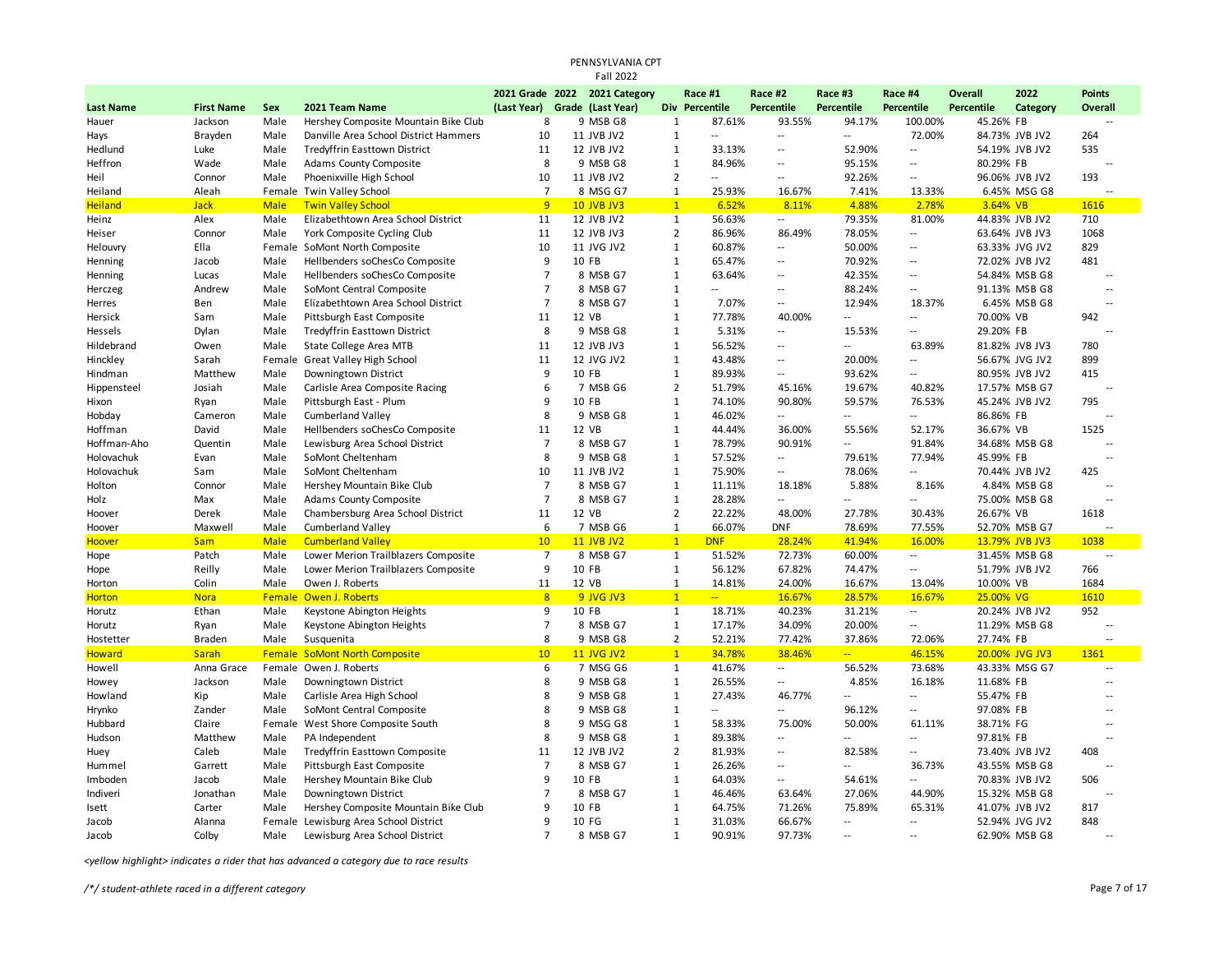|                  |                   |             |                                       |                               | <b>Fall 2022</b>              |                |                          |                          |                            |                          |                |                |                          |
|------------------|-------------------|-------------|---------------------------------------|-------------------------------|-------------------------------|----------------|--------------------------|--------------------------|----------------------------|--------------------------|----------------|----------------|--------------------------|
|                  |                   |             |                                       |                               | 2021 Grade 2022 2021 Category |                | Race #1                  | Race #2                  | Race #3                    | Race #4                  | <b>Overall</b> | 2022           | <b>Points</b>            |
| <b>Last Name</b> | <b>First Name</b> | Sex         | 2021 Team Name                        | (Last Year) Grade (Last Year) |                               |                | Div Percentile           | <b>Percentile</b>        | Percentile                 | Percentile               | Percentile     | Category       | Overall                  |
| Hauer            | Jackson           | Male        | Hershey Composite Mountain Bike Club  | 8                             | 9 MSB G8                      | $\mathbf{1}$   | 87.61%                   | 93.55%                   | 94.17%                     | 100.00%                  | 45.26% FB      |                |                          |
| Hays             | Brayden           | Male        | Danville Area School District Hammers | 10                            | 11 JVB JV2                    | $\mathbf{1}$   | Ξ.                       | $\overline{\phantom{a}}$ | $\sim$                     | 72.00%                   |                | 84.73% JVB JV2 | 264                      |
| Hedlund          | Luke              | Male        | Tredyffrin Easttown District          | 11                            | 12 JVB JV2                    | $\mathbf{1}$   | 33.13%                   | $\overline{\phantom{a}}$ | 52.90%                     | $\overline{\phantom{a}}$ |                | 54.19% JVB JV2 | 535                      |
| Heffron          | Wade              | Male        | Adams County Composite                | 8                             | 9 MSB G8                      | 1              | 84.96%                   | $\overline{\phantom{a}}$ | 95.15%                     | $\overline{\phantom{a}}$ | 80.29% FB      |                | $\overline{a}$           |
| Heil             | Connor            | Male        | Phoenixville High School              | 10                            | 11 JVB JV2                    | $\overline{2}$ | $\overline{\phantom{a}}$ | ٠.                       | 92.26%                     | $\overline{\phantom{a}}$ |                | 96.06% JVB JV2 | 193                      |
| Heiland          | Aleah             |             | Female Twin Valley School             | $\overline{7}$                | 8 MSG G7                      | $\mathbf{1}$   | 25.93%                   | 16.67%                   | 7.41%                      | 13.33%                   |                | 6.45% MSG G8   |                          |
| <b>Heiland</b>   | <b>Jack</b>       | <b>Male</b> | <b>Twin Valley School</b>             | 9                             | <b>10 JVB JV3</b>             | 1              | 6.52%                    | 8.11%                    | 4.88%                      | 2.78%                    | 3.64% VB       |                | 1616                     |
| Heinz            | Alex              | Male        | Elizabethtown Area School District    | 11                            | 12 JVB JV2                    | $\mathbf{1}$   | 56.63%                   |                          | 79.35%                     | 81.00%                   |                | 44.83% JVB JV2 | 710                      |
| Heiser           | Connor            | Male        | York Composite Cycling Club           | 11                            | 12 JVB JV3                    | $\overline{2}$ | 86.96%                   | 86.49%                   | 78.05%                     | $\overline{\phantom{a}}$ |                | 63.64% JVB JV3 | 1068                     |
| Helouvry         | Ella              |             | Female SoMont North Composite         | 10                            | 11 JVG JV2                    | $\mathbf 1$    | 60.87%                   | --                       | 50.00%                     | $\sim$                   |                | 63.33% JVG JV2 | 829                      |
| Henning          | Jacob             | Male        | Hellbenders soChesCo Composite        | 9                             | 10 FB                         | 1              | 65.47%                   | $\overline{\phantom{a}}$ | 70.92%                     | $\sim$                   |                | 72.02% JVB JV2 | 481                      |
| Henning          | Lucas             | Male        | Hellbenders soChesCo Composite        | $\overline{7}$                | 8 MSB G7                      | $\mathbf{1}$   | 63.64%                   | $\overline{\phantom{a}}$ | 42.35%                     | $\overline{\phantom{a}}$ |                | 54.84% MSB G8  | $\overline{a}$           |
| Herczeg          | Andrew            | Male        | SoMont Central Composite              | $\overline{7}$                | 8 MSB G7                      | $\mathbf{1}$   | $\overline{a}$           | $\overline{\phantom{a}}$ | 88.24%                     | $\sim$                   |                | 91.13% MSB G8  | $\sim$                   |
| Herres           | Ben               | Male        | Elizabethtown Area School District    | $\overline{7}$                | 8 MSB G7                      | $\mathbf{1}$   | 7.07%                    | $\overline{\phantom{a}}$ | 12.94%                     | 18.37%                   |                | 6.45% MSB G8   | $\sim$                   |
| Hersick          | Sam               | Male        | Pittsburgh East Composite             | 11                            | 12 VB                         | 1              | 77.78%                   | 40.00%                   | $\mathcal{L}$              | $\overline{\phantom{a}}$ | 70.00% VB      |                | 942                      |
| Hessels          | Dylan             | Male        | Tredyffrin Easttown District          | 8                             | 9 MSB G8                      | $\mathbf{1}$   | 5.31%                    | $\overline{\phantom{a}}$ | 15.53%                     | $\overline{\phantom{a}}$ | 29.20% FB      |                | $\overline{a}$           |
| Hildebrand       | Owen              | Male        | <b>State College Area MTB</b>         | 11                            | 12 JVB JV3                    | $\mathbf{1}$   | 56.52%                   | $\overline{\phantom{a}}$ | $\sim$                     | 63.89%                   |                | 81.82% JVB JV3 | 780                      |
| Hinckley         | Sarah             |             | Female Great Valley High School       | 11                            | 12 JVG JV2                    | $\mathbf{1}$   | 43.48%                   | $\overline{a}$           | 20.00%                     | $\overline{a}$           |                | 56.67% JVG JV2 | 899                      |
| Hindman          | Matthew           | Male        | Downingtown District                  | 9                             | 10 FB                         | $\mathbf 1$    | 89.93%                   | --                       | 93.62%                     | $\overline{\phantom{a}}$ |                | 80.95% JVB JV2 | 415                      |
| Hippensteel      | Josiah            | Male        | Carlisle Area Composite Racing        | 6                             | 7 MSB G6                      | $\overline{2}$ | 51.79%                   | 45.16%                   | 19.67%                     | 40.82%                   |                | 17.57% MSB G7  | $\overline{a}$           |
| Hixon            | Ryan              | Male        | Pittsburgh East - Plum                | 9                             | 10 FB                         | $\mathbf{1}$   | 74.10%                   | 90.80%                   | 59.57%                     | 76.53%                   |                | 45.24% JVB JV2 | 795                      |
| Hobday           | Cameron           | Male        | <b>Cumberland Valley</b>              | 8                             | 9 MSB G8                      | $\mathbf{1}$   | 46.02%                   | --                       | $\overline{\phantom{a}}$   | $\sim$                   | 86.86% FB      |                |                          |
| Hoffman          | David             | Male        | Hellbenders soChesCo Composite        | 11                            | 12 VB                         | $\mathbf{1}$   | 44.44%                   | 36.00%                   | 55.56%                     | 52.17%                   | 36.67% VB      |                | 1525                     |
| Hoffman-Aho      | Quentin           | Male        | Lewisburg Area School District        | $\overline{7}$                | 8 MSB G7                      | $\mathbf{1}$   | 78.79%                   | 90.91%                   | $\mathcal{L}$              | 91.84%                   |                | 34.68% MSB G8  |                          |
| Holovachuk       | Evan              | Male        | SoMont Cheltenham                     | 8                             | 9 MSB G8                      | $\mathbf{1}$   | 57.52%                   | Ξ.                       | 79.61%                     | 77.94%                   | 45.99% FB      |                | $\overline{a}$           |
| Holovachuk       | Sam               | Male        | SoMont Cheltenham                     | 10                            | 11 JVB JV2                    | $\mathbf{1}$   | 75.90%                   | Ξ.                       | 78.06%                     | $\overline{\phantom{a}}$ |                | 70.44% JVB JV2 | 425                      |
| Holton           | Connor            | Male        | Hershey Mountain Bike Club            | 7                             | 8 MSB G7                      | 1              | 11.11%                   | 18.18%                   | 5.88%                      | 8.16%                    |                | 4.84% MSB G8   | $\overline{a}$           |
| Holz             | Max               | Male        | <b>Adams County Composite</b>         | $\overline{7}$                | 8 MSB G7                      | $\mathbf{1}$   | 28.28%                   | Ξ.                       | $\mathcal{L}$              | $\overline{\phantom{a}}$ |                | 75.00% MSB G8  | $\overline{a}$           |
| Hoover           | Derek             | Male        | Chambersburg Area School District     | 11                            | 12 VB                         | $\overline{2}$ | 22.22%                   | 48.00%                   | 27.78%                     | 30.43%                   | 26.67% VB      |                | 1618                     |
| Hoover           | Maxwell           | Male        | <b>Cumberland Valley</b>              | 6                             | 7 MSB G6                      | $\mathbf{1}$   | 66.07%                   | <b>DNF</b>               | 78.69%                     | 77.55%                   |                | 52.70% MSB G7  |                          |
| <b>Hoover</b>    | <b>Sam</b>        | <b>Male</b> | <b>Cumberland Valley</b>              | 10                            | <b>11 JVB JV2</b>             | $\overline{1}$ | <b>DNF</b>               | 28.24%                   | 41.94%                     | 16.00%                   |                | 13.79% JVB JV3 | 1038                     |
| Hope             | Patch             | Male        | Lower Merion Trailblazers Composite   | $\overline{7}$                | 8 MSB G7                      | $\mathbf{1}$   | 51.52%                   | 72.73%                   | 60.00%                     | $\sim$                   |                | 31.45% MSB G8  | $\overline{a}$           |
| Hope             | Reilly            | Male        | Lower Merion Trailblazers Composite   | 9                             | 10 FB                         | $\mathbf{1}$   | 56.12%                   | 67.82%                   | 74.47%                     | $\overline{a}$           |                | 51.79% JVB JV2 | 766                      |
| Horton           | Colin             | Male        | Owen J. Roberts                       | 11                            | 12 VB                         | $\mathbf{1}$   | 14.81%                   | 24.00%                   | 16.67%                     | 13.04%                   | 10.00% VB      |                | 1684                     |
| <b>Horton</b>    | <b>Nora</b>       |             | <b>Female Owen J. Roberts</b>         | 8                             | 9 JVG JV3                     | 1              | $-1$                     | 16.67%                   | 28.57%                     | 16.67%                   | 25.00% VG      |                | 1610                     |
| Horutz           | Ethan             | Male        | Keystone Abington Heights             | 9                             | 10 FB                         | $\mathbf{1}$   | 18.71%                   | 40.23%                   | 31.21%                     | $\sim$ $-$               |                | 20.24% JVB JV2 | 952                      |
| Horutz           | Ryan              | Male        | Keystone Abington Heights             | $\overline{7}$                | 8 MSB G7                      | $\mathbf{1}$   | 17.17%                   | 34.09%                   | 20.00%                     | $\overline{\phantom{a}}$ |                | 11.29% MSB G8  | $\overline{\phantom{a}}$ |
| Hostetter        | <b>Braden</b>     | Male        | Susquenita                            | 8                             | 9 MSB G8                      | $\overline{2}$ | 52.21%                   | 77.42%                   | 37.86%                     | 72.06%                   | 27.74% FB      |                |                          |
| <b>Howard</b>    | Sarah             |             | <b>Female SoMont North Composite</b>  | 10                            | 11 JVG JV2                    | $\mathbf{1}$   | 34.78%                   | 38.46%                   | $\mathbb{Z}[\mathbb{Z}_p]$ | 46.15%                   |                | 20.00% JVG JV3 | 1361                     |
| Howell           | Anna Grace        |             | Female Owen J. Roberts                | 6                             | 7 MSG G6                      | $\mathbf{1}$   | 41.67%                   | $\overline{\phantom{a}}$ | 56.52%                     | 73.68%                   |                | 43.33% MSG G7  | $\overline{a}$           |
| Howey            | Jackson           | Male        | Downingtown District                  | 8                             | 9 MSB G8                      | $\mathbf{1}$   | 26.55%                   | Ξ.                       | 4.85%                      | 16.18%                   | 11.68% FB      |                | $\overline{a}$           |
| Howland          | Kip               | Male        | Carlisle Area High School             | 8                             | 9 MSB G8                      | $\mathbf{1}$   | 27.43%                   | 46.77%                   | $\overline{\phantom{a}}$   | $\overline{a}$           | 55.47% FB      |                | $\overline{a}$           |
| Hrynko           | Zander            | Male        | SoMont Central Composite              | 8                             | 9 MSB G8                      | $\mathbf{1}$   | ۰.                       | $\overline{\phantom{a}}$ | 96.12%                     | $\overline{\phantom{a}}$ | 97.08% FB      |                | $\sim$                   |
| Hubbard          | Claire            |             | Female West Shore Composite South     | 8                             | 9 MSG G8                      | $\mathbf{1}$   | 58.33%                   | 75.00%                   | 50.00%                     | 61.11%                   | 38.71% FG      |                | $\overline{a}$           |
| Hudson           | Matthew           | Male        | PA Independent                        | 8                             | 9 MSB G8                      | $\mathbf{1}$   | 89.38%                   | $\overline{\phantom{a}}$ | $\sim$                     | $\overline{\phantom{a}}$ | 97.81% FB      |                |                          |
| Huey             | Caleb             | Male        | Tredyffrin Easttown Composite         | 11                            | 12 JVB JV2                    | $\overline{2}$ | 81.93%                   | $\overline{a}$           | 82.58%                     | $\sim$ $\sim$            |                | 73.40% JVB JV2 | 408                      |
| Hummel           | Garrett           | Male        | Pittsburgh East Composite             | $\overline{7}$                | 8 MSB G7                      | $\mathbf{1}$   | 26.26%                   | Ξ.                       | $\sim$                     | 36.73%                   |                | 43.55% MSB G8  | $\overline{\phantom{a}}$ |
| Imboden          | Jacob             | Male        | Hershey Mountain Bike Club            | 9                             | 10 FB                         | $\mathbf{1}$   | 64.03%                   | Ξ.                       | 54.61%                     | $\sim$                   |                | 70.83% JVB JV2 | 506                      |
| Indiveri         | Jonathan          | Male        | Downingtown District                  | $\overline{7}$                | 8 MSB G7                      | $\mathbf{1}$   | 46.46%                   | 63.64%                   | 27.06%                     | 44.90%                   |                | 15.32% MSB G8  |                          |
| Isett            | Carter            | Male        | Hershey Composite Mountain Bike Club  | $\mathbf{q}$                  | 10 FB                         | $\mathbf{1}$   | 64.75%                   | 71.26%                   | 75.89%                     | 65.31%                   |                | 41.07% JVB JV2 | 817                      |
| Jacob            | Alanna            |             | Female Lewisburg Area School District | 9                             | 10 FG                         | $\mathbf 1$    | 31.03%                   | 66.67%                   | $\sim$                     | $\sim$                   |                | 52.94% JVG JV2 | 848                      |
| Jacob            | Colby             | Male        | Lewisburg Area School District        | $\overline{7}$                | 8 MSB G7                      | $\mathbf{1}$   | 90.91%                   | 97.73%                   | $\sim$                     | $\overline{\phantom{a}}$ |                | 62.90% MSB G8  |                          |

PENNSYLVANIA CPT

*<yellow highlight> indicates a rider that has advanced a category due to race results*

*/\*/ student-athlete raced in a different category* Page 7 of 17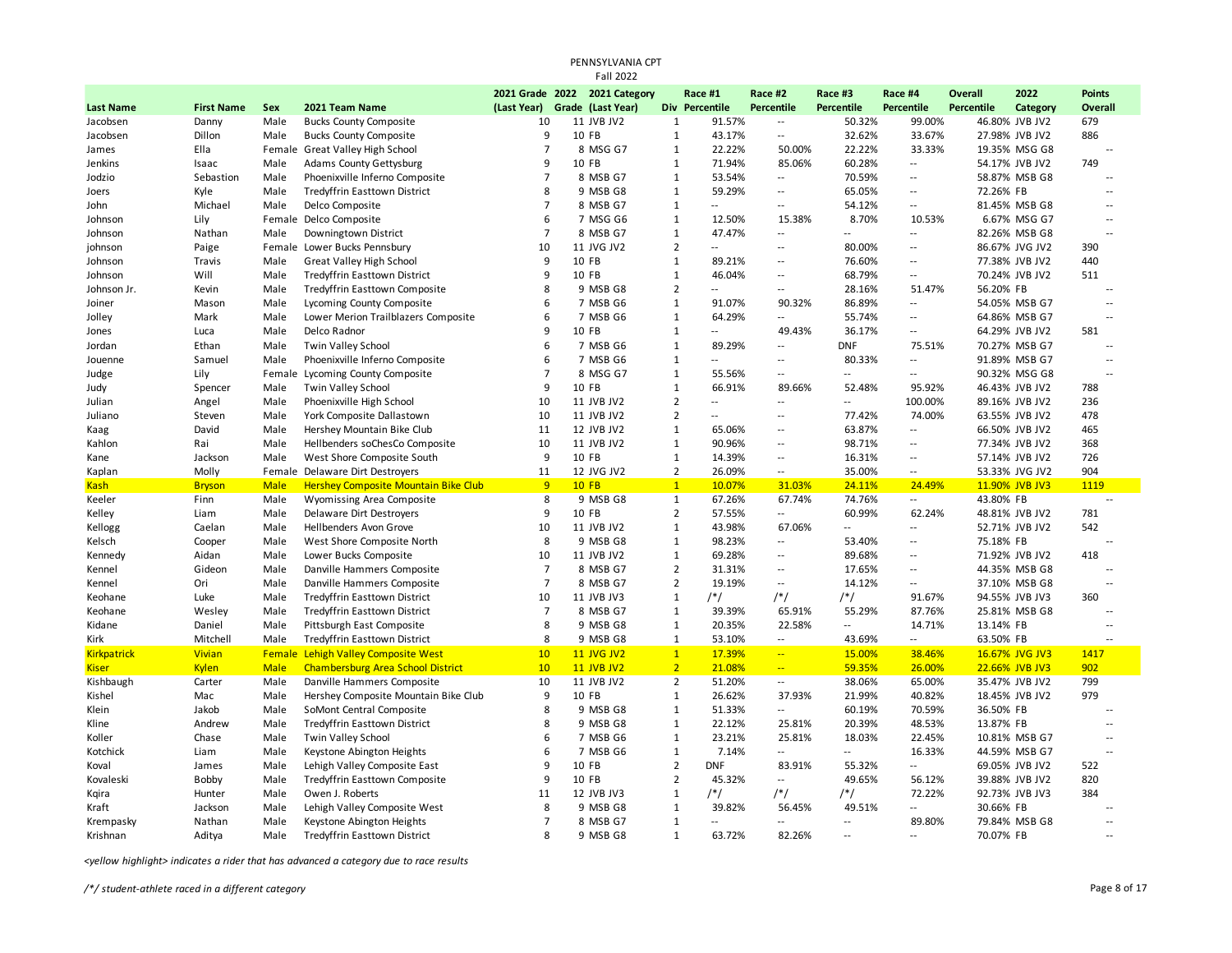|                    |                   |              |                                                              |                     | PENNSYLVANIA CPT<br><b>Fall 2022</b> |                              |                                    |                                                      |                           |                                    |                   |                                  |                                                      |
|--------------------|-------------------|--------------|--------------------------------------------------------------|---------------------|--------------------------------------|------------------------------|------------------------------------|------------------------------------------------------|---------------------------|------------------------------------|-------------------|----------------------------------|------------------------------------------------------|
|                    |                   |              |                                                              |                     | 2021 Grade 2022 2021 Category        |                              | Race #1                            | Race #2                                              | Race #3                   | Race #4                            | <b>Overall</b>    | 2022                             | <b>Points</b>                                        |
| <b>Last Name</b>   | <b>First Name</b> | Sex          | 2021 Team Name                                               | (Last Year)         | Grade (Last Year)                    |                              | Div Percentile                     | Percentile                                           | Percentile                | <b>Percentile</b>                  | <b>Percentile</b> | Category                         | <b>Overall</b>                                       |
| Jacobsen           | Danny             | Male         | <b>Bucks County Composite</b>                                | 10                  | 11 JVB JV2                           | $\mathbf{1}$                 | 91.57%                             | $\overline{\phantom{a}}$                             | 50.32%                    | 99.00%                             |                   | 46.80% JVB JV2                   | 679                                                  |
| Jacobsen           | Dillon            | Male         | <b>Bucks County Composite</b>                                | 9                   | 10 FB                                | $\mathbf{1}$                 | 43.17%                             | $\overline{\phantom{a}}$                             | 32.62%                    | 33.67%                             |                   | 27.98% JVB JV2                   | 886                                                  |
| James              | Ella              | Female       | Great Valley High School                                     | $\overline{7}$      | 8 MSG G7                             | 1                            | 22.22%                             | 50.00%                                               | 22.22%                    | 33.33%                             |                   | 19.35% MSG G8                    | $\overline{a}$                                       |
| Jenkins            | Isaac             | Male         | <b>Adams County Gettysburg</b>                               | 9                   | 10 FB                                | $\mathbf{1}$                 | 71.94%                             | 85.06%                                               | 60.28%                    | --                                 |                   | 54.17% JVB JV2                   | 749                                                  |
| Jodzio             | Sebastion         | Male         | Phoenixville Inferno Composite                               | $\overline{7}$      | 8 MSB G7                             | $\mathbf{1}$                 | 53.54%                             | $\overline{\phantom{a}}$                             | 70.59%                    | --                                 |                   | 58.87% MSB G8                    | $\overline{a}$                                       |
| Joers              | Kyle              | Male         | Tredyffrin Easttown District                                 | 8                   | 9 MSB G8                             | $\mathbf{1}$                 | 59.29%                             | $\overline{\phantom{a}}$                             | 65.05%                    | $\overline{\phantom{a}}$           | 72.26% FB         |                                  | $\overline{a}$                                       |
| John               | Michael           | Male         | Delco Composite                                              | $\overline{7}$      | 8 MSB G7                             | $\mathbf{1}$                 | $\overline{a}$                     | $\overline{\phantom{a}}$                             | 54.12%                    | $\overline{\phantom{a}}$           |                   | 81.45% MSB G8                    | $\sim$                                               |
| Johnson            | Lily              |              | Female Delco Composite                                       | 6                   | 7 MSG G6                             | $\mathbf{1}$                 | 12.50%                             | 15.38%                                               | 8.70%                     | 10.53%                             |                   | 6.67% MSG G7                     | $\ddotsc$                                            |
| Johnson            | Nathan            | Male         | Downingtown District                                         | $\overline{7}$      | 8 MSB G7                             | $\mathbf{1}$                 | 47.47%                             | $\overline{\phantom{a}}$                             | $\sim$                    | --                                 |                   | 82.26% MSB G8                    | $\overline{a}$                                       |
| johnson            | Paige             |              | Female Lower Bucks Pennsbury                                 | 10                  | 11 JVG JV2                           | $\overline{2}$               | $\overline{\phantom{a}}$           | $\overline{\phantom{a}}$                             | 80.00%                    | $\overline{\phantom{a}}$           |                   | 86.67% JVG JV2                   | 390                                                  |
| Johnson            | Travis            | Male         | <b>Great Valley High School</b>                              | 9                   | 10 FB                                | $\mathbf{1}$                 | 89.21%                             | $\overline{\phantom{a}}$                             | 76.60%                    | $\overline{\phantom{a}}$           |                   | 77.38% JVB JV2                   | 440                                                  |
| Johnson            | Will              | Male         | Tredyffrin Easttown District                                 | 9                   | 10 FB                                | $\mathbf{1}$                 | 46.04%                             | $\overline{\phantom{a}}$<br>$\overline{\phantom{a}}$ | 68.79%                    | --                                 |                   | 70.24% JVB JV2                   | 511<br>$\sim$                                        |
| Johnson Jr.        | Kevin             | Male         | Tredyffrin Easttown Composite                                | 8<br>6              | 9 MSB G8                             | $\overline{2}$               | $\overline{a}$                     |                                                      | 28.16%                    | 51.47%                             | 56.20% FB         |                                  |                                                      |
| Joiner             | Mason             | Male         | Lycoming County Composite                                    |                     | 7 MSB G6                             | $\mathbf{1}$                 | 91.07%                             | 90.32%                                               | 86.89%                    | ۰.                                 |                   | 54.05% MSB G7                    | $\sim$                                               |
| Jolley             | Mark              | Male         | Lower Merion Trailblazers Composite                          | 6                   | 7 MSB G6                             | $\mathbf{1}$                 | 64.29%                             | $\overline{\phantom{a}}$                             | 55.74%                    | ۰.                                 |                   | 64.86% MSB G7                    | $\overline{a}$                                       |
| Jones              | Luca              | Male         | Delco Radnor                                                 | 9                   | 10 FB                                | $\mathbf{1}$                 | н.                                 | 49.43%                                               | 36.17%                    |                                    |                   | 64.29% JVB JV2                   | 581                                                  |
| Jordan             | Ethan             | Male         | Twin Valley School                                           | 6                   | 7 MSB G6                             | $\mathbf{1}$                 | 89.29%<br>$\overline{\phantom{a}}$ | $\overline{\phantom{a}}$<br>μ.                       | <b>DNF</b>                | 75.51%<br>$\overline{\phantom{a}}$ |                   | 70.27% MSB G7                    | $\overline{\phantom{a}}$<br>$\overline{\phantom{a}}$ |
| Jouenne            | Samuel            | Male         | Phoenixville Inferno Composite                               | 6<br>$\overline{7}$ | 7 MSB G6<br>8 MSG G7                 | $\mathbf{1}$<br>$\mathbf{1}$ |                                    | $\overline{\phantom{a}}$                             | 80.33%<br>$\sim$          | $\overline{\phantom{a}}$           |                   | 91.89% MSB G7                    | $\overline{\phantom{a}}$                             |
| Judge              | Lily              | Female       | Lycoming County Composite<br>Twin Valley School              | 9                   | 10 FB                                | $\mathbf{1}$                 | 55.56%<br>66.91%                   |                                                      | 52.48%                    | 95.92%                             |                   | 90.32% MSG G8                    |                                                      |
| Judy               | Spencer           | Male<br>Male |                                                              | 10                  |                                      | $\overline{2}$               | --                                 | 89.66%<br>$\overline{\phantom{a}}$                   | --                        | 100.00%                            |                   | 46.43% JVB JV2<br>89.16% JVB JV2 | 788<br>236                                           |
| Julian             | Angel<br>Steven   | Male         | Phoenixville High School<br>York Composite Dallastown        | 10                  | 11 JVB JV2<br>11 JVB JV2             | $\overline{2}$               | $\overline{a}$                     | μ.                                                   | 77.42%                    | 74.00%                             |                   | 63.55% JVB JV2                   | 478                                                  |
| Juliano            | David             | Male         |                                                              | 11                  | 12 JVB JV2                           | $\mathbf{1}$                 | 65.06%                             | $\overline{\phantom{a}}$                             | 63.87%                    | $\overline{\phantom{a}}$           |                   |                                  | 465                                                  |
| Kaag<br>Kahlon     | Rai               | Male         | Hershey Mountain Bike Club<br>Hellbenders soChesCo Composite | 10                  | 11 JVB JV2                           | $\mathbf{1}$                 | 90.96%                             | $\overline{\phantom{a}}$                             | 98.71%                    | --                                 |                   | 66.50% JVB JV2<br>77.34% JVB JV2 | 368                                                  |
| Kane               | Jackson           | Male         | West Shore Composite South                                   | 9                   | 10 FB                                | $\mathbf{1}$                 | 14.39%                             | $\overline{\phantom{a}}$                             | 16.31%                    | $\cdots$                           |                   | 57.14% JVB JV2                   | 726                                                  |
| Kaplan             | Molly             | Female       | <b>Delaware Dirt Destroyers</b>                              | 11                  | 12 JVG JV2                           | $\overline{2}$               | 26.09%                             | $\overline{\phantom{a}}$                             | 35.00%                    | $\overline{\phantom{a}}$           |                   | 53.33% JVG JV2                   | 904                                                  |
| <mark>Kash</mark>  | <b>Bryson</b>     | <b>Male</b>  | Hershey Composite Mountain Bike Club                         | 9                   | $10$ FB                              | $\mathbf{1}$                 | 10.07%                             | 31.03%                                               | 24.11%                    | 24.49%                             |                   | 11.90% JVB JV3                   | 1119                                                 |
| Keeler             | Finn              | Male         | Wyomissing Area Composite                                    | 8                   | 9 MSB G8                             | $\mathbf{1}$                 | 67.26%                             | 67.74%                                               | 74.76%                    | --                                 | 43.80% FB         |                                  | $\overline{a}$                                       |
| Kelley             | Liam              | Male         | <b>Delaware Dirt Destroyers</b>                              | 9                   | 10 FB                                | $\overline{2}$               | 57.55%                             | $\overline{\phantom{a}}$                             | 60.99%                    | 62.24%                             |                   | 48.81% JVB JV2                   | 781                                                  |
| Kellogg            | Caelan            | Male         | Hellbenders Avon Grove                                       | 10                  | 11 JVB JV2                           | $\mathbf{1}$                 | 43.98%                             | 67.06%                                               | $\mathbb{L}^{\mathbb{L}}$ | --                                 |                   | 52.71% JVB JV2                   | 542                                                  |
| Kelsch             | Cooper            | Male         | West Shore Composite North                                   | 8                   | 9 MSB G8                             | $\mathbf{1}$                 | 98.23%                             | $\overline{\phantom{a}}$                             | 53.40%                    | $\overline{a}$                     | 75.18% FB         |                                  | $\overline{a}$                                       |
| Kennedy            | Aidan             | Male         | Lower Bucks Composite                                        | 10                  | 11 JVB JV2                           | $\mathbf{1}$                 | 69.28%                             | $\overline{\phantom{a}}$                             | 89.68%                    | $\overline{\phantom{a}}$           |                   | 71.92% JVB JV2                   | 418                                                  |
| Kennel             | Gideon            | Male         | Danville Hammers Composite                                   | $\overline{7}$      | 8 MSB G7                             | $\overline{2}$               | 31.31%                             | $\overline{\phantom{a}}$                             | 17.65%                    | --                                 |                   | 44.35% MSB G8                    | $\overline{a}$                                       |
| Kennel             | Ori               | Male         | Danville Hammers Composite                                   | $\overline{7}$      | 8 MSB G7                             | $\overline{2}$               | 19.19%                             | $\overline{\phantom{a}}$                             | 14.12%                    | --                                 |                   | 37.10% MSB G8                    | $\overline{a}$                                       |
| Keohane            | Luke              | Male         | Tredyffrin Easttown District                                 | 10                  | 11 JVB JV3                           | $\mathbf{1}$                 | $/*/$                              | $/*/$                                                | $/*/$                     | 91.67%                             |                   | 94.55% JVB JV3                   | 360                                                  |
| Keohane            | Wesley            | Male         | Tredyffrin Easttown District                                 | $\overline{7}$      | 8 MSB G7                             | $\mathbf{1}$                 | 39.39%                             | 65.91%                                               | 55.29%                    | 87.76%                             |                   | 25.81% MSB G8                    | $\overline{\phantom{a}}$                             |
| Kidane             | Daniel            | Male         | Pittsburgh East Composite                                    | 8                   | 9 MSB G8                             | $\mathbf{1}$                 | 20.35%                             | 22.58%                                               | $\sim$                    | 14.71%                             | 13.14% FB         |                                  | $\overline{a}$                                       |
| Kirk               | Mitchell          | Male         | <b>Tredyffrin Easttown District</b>                          | 8                   | 9 MSB G8                             | $\mathbf{1}$                 | 53.10%                             | $\overline{\phantom{a}}$                             | 43.69%                    | н,                                 | 63.50% FB         |                                  |                                                      |
| <b>Kirkpatrick</b> | <b>Vivian</b>     | Female       | <b>Lehigh Valley Composite West</b>                          | 10                  | <b>11 JVG JV2</b>                    | $\mathbf{1}$                 | 17.39%                             | $\mathbb{Z} \mathbb{Z}$                              | 15.00%                    | 38.46%                             |                   | 16.67% JVG JV3                   | 1417                                                 |
| <b>Kiser</b>       | <b>Kylen</b>      | <b>Male</b>  | <b>Chambersburg Area School District</b>                     | 10 <sup>°</sup>     | <b>11 JVB JV2</b>                    | $\overline{2}$               | 21.08%                             | $\mathbb{Z}^2$                                       | 59.35%                    | 26.00%                             |                   | 22.66% JVB JV3                   | 902                                                  |
| Kishbaugh          | Carter            | Male         | Danville Hammers Composite                                   | 10                  | 11 JVB JV2                           | $\overline{2}$               | 51.20%                             | Ξ.                                                   | 38.06%                    | 65.00%                             |                   | 35.47% JVB JV2                   | 799                                                  |
| Kishel             | Mac               | Male         | Hershey Composite Mountain Bike Club                         | 9                   | 10 FB                                | $\mathbf{1}$                 | 26.62%                             | 37.93%                                               | 21.99%                    | 40.82%                             |                   | 18.45% JVB JV2                   | 979                                                  |
| Klein              | Jakob             | Male         | SoMont Central Composite                                     | 8                   | 9 MSB G8                             | $\mathbf{1}$                 | 51.33%                             | $\overline{a}$                                       | 60.19%                    | 70.59%                             | 36.50% FB         |                                  | $\overline{a}$                                       |
| Kline              | Andrew            | Male         | <b>Tredyffrin Easttown District</b>                          | 8                   | 9 MSB G8                             | $\mathbf{1}$                 | 22.12%                             | 25.81%                                               | 20.39%                    | 48.53%                             | 13.87% FB         |                                  | $\overline{a}$                                       |
| Koller             | Chase             | Male         | Twin Valley School                                           | 6                   | 7 MSB G6                             | $\mathbf{1}$                 | 23.21%                             | 25.81%                                               | 18.03%                    | 22.45%                             |                   | 10.81% MSB G7                    | $\sim$                                               |
| Kotchick           | Liam              | Male         | Keystone Abington Heights                                    | 6                   | 7 MSB G6                             | $\mathbf{1}$                 | 7.14%                              | $\sim$                                               | $\sim$                    | 16.33%                             |                   | 44.59% MSB G7                    | $\sim$                                               |
| Koval              | James             | Male         | Lehigh Valley Composite East                                 | 9                   | 10 FB                                | $\overline{2}$               | <b>DNF</b>                         | 83.91%                                               | 55.32%                    | Ξ.                                 |                   | 69.05% JVB JV2                   | 522                                                  |
| Kovaleski          | Bobby             | Male         | Tredyffrin Easttown Composite                                | 9                   | 10 FB                                | $\overline{2}$               | 45.32%                             | $\overline{\phantom{a}}$                             | 49.65%                    | 56.12%                             |                   | 39.88% JVB JV2                   | 820                                                  |
| Kqira              | Hunter            | Male         | Owen J. Roberts                                              | 11                  | 12 JVB JV3                           | $\mathbf{1}$                 | $/*/$                              | $/*/$                                                | $/*/$                     | 72.22%                             |                   | 92.73% JVB JV3                   | 384                                                  |
| Kraft              | Jackson           | Male         | Lehigh Valley Composite West                                 | 8                   | 9 MSB G8                             | $\mathbf{1}$                 | 39.82%                             | 56.45%                                               | 49.51%                    | --                                 | 30.66% FB         |                                  | $\ddotsc$                                            |
| Krempasky          | Nathan            | Male         | Keystone Abington Heights                                    | $\overline{7}$      | 8 MSB G7                             | $\mathbf{1}$                 | $\overline{a}$                     | $\overline{\phantom{a}}$                             | $\sim$                    | 89.80%                             |                   | 79.84% MSB G8                    | $\overline{a}$                                       |
| Krishnan           | Aditya            | Male         | <b>Tredyffrin Easttown District</b>                          | 8                   | 9 MSB G8                             | $\mathbf{1}$                 | 63.72%                             | 82.26%                                               | $\overline{a}$            | $\overline{a}$                     | 70.07% FB         |                                  | $\overline{a}$                                       |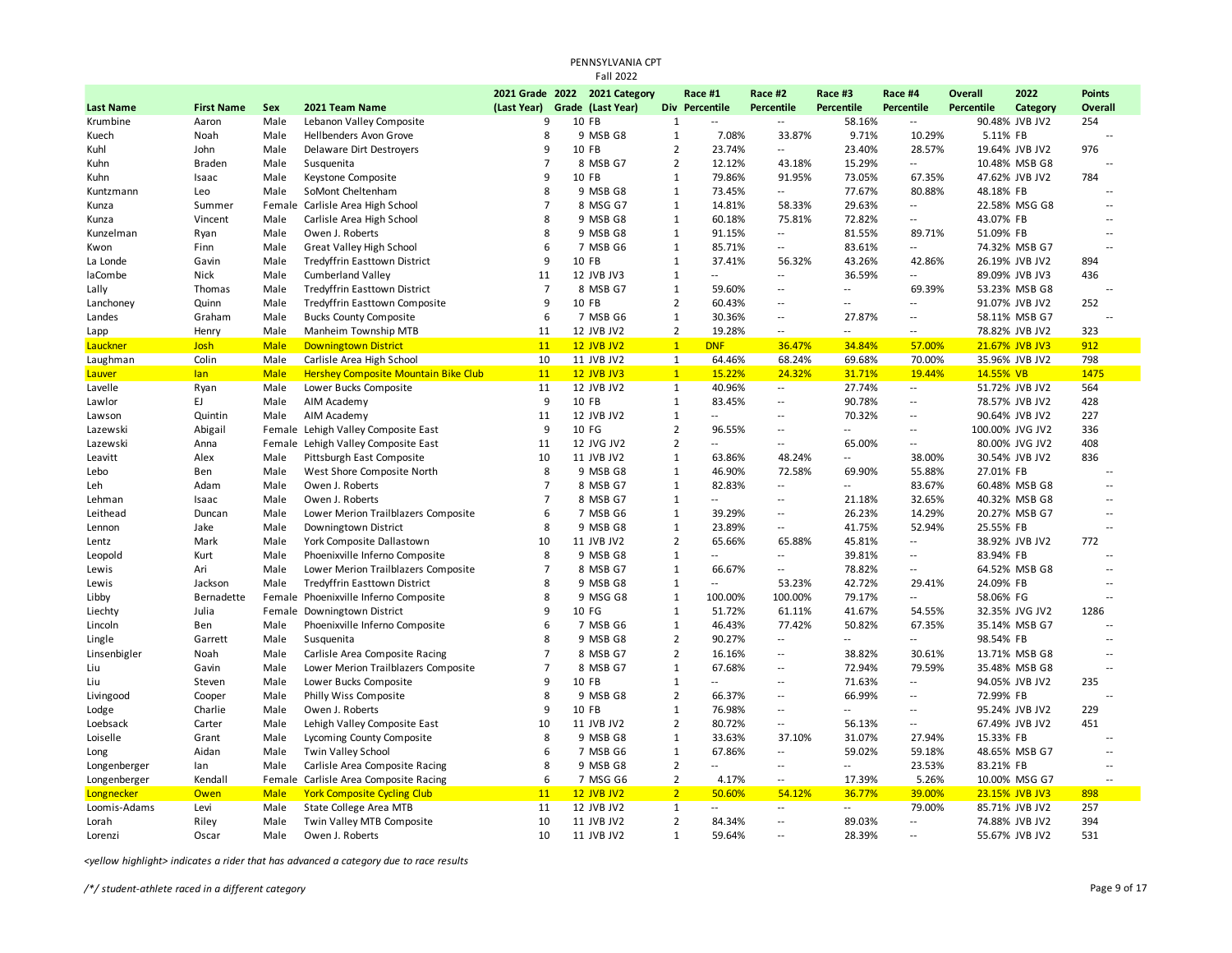|                  |                   |             |                                             |                | PENNSYLVANIA CPT<br><b>Fall 2022</b> |                                |                          |                          |                          |                          |                 |                |                          |
|------------------|-------------------|-------------|---------------------------------------------|----------------|--------------------------------------|--------------------------------|--------------------------|--------------------------|--------------------------|--------------------------|-----------------|----------------|--------------------------|
|                  |                   |             |                                             |                | 2021 Grade 2022 2021 Category        |                                | Race #1                  | Race #2                  | Race #3                  | Race #4                  | <b>Overall</b>  | 2022           | <b>Points</b>            |
| <b>Last Name</b> | <b>First Name</b> | Sex         | 2021 Team Name                              | (Last Year)    | Grade (Last Year)                    |                                | Div Percentile           | Percentile               | Percentile               | <b>Percentile</b>        | Percentile      | Category       | <b>Overall</b>           |
| Krumbine         | Aaron             | Male        | Lebanon Valley Composite                    | 9              | 10 FB                                | 1                              | $\overline{\phantom{a}}$ | ٠.                       | 58.16%                   | --                       |                 | 90.48% JVB JV2 | 254                      |
| Kuech            | Noah              | Male        | <b>Hellbenders Avon Grove</b>               | 8              | 9 MSB G8                             | $\mathbf{1}$                   | 7.08%                    | 33.87%                   | 9.71%                    | 10.29%                   | 5.11% FB        |                |                          |
| Kuhl             | John              | Male        | Delaware Dirt Destroyers                    | 9              | 10 FB                                | $\overline{2}$                 | 23.74%                   | $\overline{\phantom{a}}$ | 23.40%                   | 28.57%                   |                 | 19.64% JVB JV2 | 976                      |
| Kuhn             | <b>Braden</b>     | Male        | Susquenita                                  | $\overline{7}$ | 8 MSB G7                             | $\overline{2}$                 | 12.12%                   | 43.18%                   | 15.29%                   | --                       |                 | 10.48% MSB G8  | $\sim$                   |
| Kuhn             | Isaac             | Male        | Keystone Composite                          | 9              | 10 FB                                | $\mathbf{1}$                   | 79.86%                   | 91.95%                   | 73.05%                   | 67.35%                   |                 | 47.62% JVB JV2 | 784                      |
| Kuntzmann        | Leo               | Male        | SoMont Cheltenham                           | 8              | 9 MSB G8                             | $\mathbf{1}$                   | 73.45%                   | $\overline{\phantom{a}}$ | 77.67%                   | 80.88%                   | 48.18% FB       |                | $\overline{a}$           |
| Kunza            | Summer            |             | Female Carlisle Area High School            | $\overline{7}$ | 8 MSG G7                             | $\mathbf{1}$                   | 14.81%                   | 58.33%                   | 29.63%                   | --                       |                 | 22.58% MSG G8  | $\overline{a}$           |
| Kunza            | Vincent           | Male        | Carlisle Area High School                   | 8              | 9 MSB G8                             | $\mathbf{1}$                   | 60.18%                   | 75.81%                   | 72.82%                   |                          | 43.07% FB       |                | $\overline{a}$           |
| Kunzelman        | Ryan              | Male        | Owen J. Roberts                             | 8              | 9 MSB G8                             | $\mathbf{1}$                   | 91.15%                   | $\overline{\phantom{a}}$ | 81.55%                   | 89.71%                   | 51.09% FB       |                | $\sim$ $\sim$            |
| Kwon             | Finn              | Male        | <b>Great Valley High School</b>             | 6              | 7 MSB G6                             | $\mathbf{1}$                   | 85.71%                   | --                       | 83.61%                   | $\overline{\phantom{a}}$ |                 | 74.32% MSB G7  | $\sim$ $\sim$            |
| La Londe         | Gavin             | Male        | <b>Tredyffrin Easttown District</b>         | 9              | 10 FB                                | 1                              | 37.41%                   | 56.32%                   | 43.26%                   | 42.86%                   |                 | 26.19% JVB JV2 | 894                      |
| laCombe          | Nick              | Male        | <b>Cumberland Valley</b>                    | 11             | 12 JVB JV3                           | $\mathbf{1}$                   | $\overline{a}$           | $\overline{\phantom{a}}$ | 36.59%                   | $\overline{\phantom{a}}$ |                 | 89.09% JVB JV3 | 436                      |
| Lally            | Thomas            | Male        | <b>Tredyffrin Easttown District</b>         | $\overline{7}$ | 8 MSB G7                             | $\mathbf{1}$                   | 59.60%                   | Ξ.                       | $\overline{a}$           | 69.39%                   |                 | 53.23% MSB G8  | $\overline{a}$           |
| Lanchoney        | Quinn             | Male        | <b>Tredyffrin Easttown Composite</b>        | 9              | 10 FB                                | $\overline{2}$                 | 60.43%                   | Ξ.                       | $\overline{a}$           | $\overline{a}$           |                 | 91.07% JVB JV2 | 252                      |
| Landes           | Graham            | Male        | <b>Bucks County Composite</b>               | 6              | 7 MSB G6                             | $\mathbf{1}$                   | 30.36%                   | $\overline{a}$           | 27.87%                   | $\overline{a}$           |                 | 58.11% MSB G7  | $\sim$                   |
| Lapp             | Henry             | Male        | Manheim Township MTB                        | 11             | 12 JVB JV2                           | $\overline{2}$                 | 19.28%                   | ٠.                       | $\overline{a}$           | $\overline{\phantom{a}}$ |                 | 78.82% JVB JV2 | 323                      |
| Lauckner         | Josh              | <b>Male</b> | <b>Downingtown District</b>                 | 11             | <b>12 JVB JV2</b>                    | $\overline{1}$                 | <b>DNF</b>               | 36.47%                   | 34.84%                   | 57.00%                   |                 | 21.67% JVB JV3 | 912                      |
| Laughman         | Colin             | Male        | Carlisle Area High School                   | 10             | 11 JVB JV2                           | $\mathbf{1}$                   | 64.46%                   | 68.24%                   | 69.68%                   | 70.00%                   |                 | 35.96% JVB JV2 | 798                      |
| Lauver           | lan               | <b>Male</b> | <b>Hershey Composite Mountain Bike Club</b> | 11             | <b>12 JVB JV3</b>                    | $\mathbf{1}$                   | 15.22%                   | 24.32%                   | 31.71%                   | 19.44%                   | 14.55% VB       |                | 1475                     |
| Lavelle          | Ryan              | Male        | Lower Bucks Composite                       | 11             | 12 JVB JV2                           | 1                              | 40.96%                   | $\sim$                   | 27.74%                   |                          |                 | 51.72% JVB JV2 | 564                      |
| Lawlor           | EJ.               | Male        | AIM Academy                                 | 9              | 10 FB                                | $\mathbf{1}$                   | 83.45%                   | $\overline{a}$           | 90.78%                   | $\ddotsc$                |                 | 78.57% JVB JV2 | 428                      |
| Lawson           | Quintin           | Male        | AIM Academy                                 | 11             | 12 JVB JV2                           | $\mathbf{1}$                   | $\overline{a}$           | $\overline{a}$           | 70.32%                   | ٠.                       |                 | 90.64% JVB JV2 | 227                      |
| Lazewski         | Abigail           |             | Female Lehigh Valley Composite East         | 9              | 10 FG                                | $\overline{2}$                 | 96.55%                   | Ξ.                       | Ξ.                       | $\overline{\phantom{a}}$ | 100.00% JVG JV2 |                | 336                      |
| Lazewski         | Anna              |             | Female Lehigh Valley Composite East         | 11             | 12 JVG JV2                           | $\overline{2}$                 | $\overline{a}$           | $\overline{a}$           | 65.00%                   | $\overline{\phantom{a}}$ |                 | 80.00% JVG JV2 | 408                      |
| Leavitt          | Alex              | Male        | Pittsburgh East Composite                   | 10             | 11 JVB JV2                           | $\mathbf{1}$                   | 63.86%                   | 48.24%                   | $\overline{a}$           | 38.00%                   |                 | 30.54% JVB JV2 | 836                      |
| Lebo             | Ben               | Male        | West Shore Composite North                  | 8              | 9 MSB G8                             | $\mathbf{1}$                   | 46.90%                   | 72.58%                   | 69.90%                   | 55.88%                   | 27.01% FB       |                |                          |
| Leh              | Adam              | Male        | Owen J. Roberts                             | $\overline{7}$ | 8 MSB G7                             | $\mathbf{1}$                   | 82.83%                   | $\overline{\phantom{a}}$ | $\overline{a}$           | 83.67%                   |                 | 60.48% MSB G8  | $\overline{\phantom{a}}$ |
| Lehman           | Isaac             | Male        | Owen J. Roberts                             | $\overline{7}$ | 8 MSB G7                             | $1\,$                          | $\overline{a}$           | $\overline{a}$           | 21.18%                   | 32.65%                   |                 | 40.32% MSB G8  | $\sim$ $\sim$            |
| Leithead         | Duncan            | Male        | Lower Merion Trailblazers Composite         | 6              | 7 MSB G6                             | $\mathbf{1}$                   | 39.29%                   | Ξ.                       | 26.23%                   | 14.29%                   |                 | 20.27% MSB G7  | $\overline{a}$           |
| Lennon           | Jake              | Male        | Downingtown District                        | 8              | 9 MSB G8                             | $\mathbf{1}$                   | 23.89%                   | $\overline{\phantom{a}}$ | 41.75%                   | 52.94%                   | 25.55% FB       |                | $\overline{a}$           |
| Lentz            | Mark              | Male        | York Composite Dallastown                   | 10             | 11 JVB JV2                           | $\overline{2}$                 | 65.66%                   | 65.88%                   | 45.81%                   | --                       |                 | 38.92% JVB JV2 | 772                      |
| Leopold          | Kurt              | Male        | Phoenixville Inferno Composite              | 8              | 9 MSB G8                             | $\mathbf{1}$                   | $\overline{a}$           | Ξ.                       | 39.81%                   | $\overline{\phantom{a}}$ | 83.94% FB       |                | $\overline{a}$           |
| Lewis            | Ari               | Male        | Lower Merion Trailblazers Composite         | 7              | 8 MSB G7                             | 1                              | 66.67%                   | Ξ.                       | 78.82%                   | $\overline{\phantom{a}}$ |                 | 64.52% MSB G8  | $\overline{\phantom{a}}$ |
| Lewis            | Jackson           | Male        | <b>Tredyffrin Easttown District</b>         | 8              | 9 MSB G8                             | $1\,$                          | Ξ.                       | 53.23%                   | 42.72%                   | 29.41%                   | 24.09% FB       |                | $\sim$                   |
| Libby            | Bernadette        |             | Female Phoenixville Inferno Composite       | 8              | 9 MSG G8                             | $\mathbf{1}$                   | 100.00%                  | 100.00%                  | 79.17%                   | $\overline{\phantom{a}}$ | 58.06% FG       |                | $\sim$                   |
| Liechty          | Julia             |             | Female Downingtown District                 | 9              | 10 FG                                | 1                              | 51.72%                   | 61.11%                   | 41.67%                   | 54.55%                   |                 | 32.35% JVG JV2 | 1286                     |
| Lincoln          | Ben               | Male        | Phoenixville Inferno Composite              | 6              | 7 MSB G6                             | $1\,$                          | 46.43%                   | 77.42%                   | 50.82%                   | 67.35%                   |                 | 35.14% MSB G7  | $\sim$                   |
| Lingle           | Garrett           | Male        | Susquenita                                  | 8              | 9 MSB G8                             | $\overline{2}$                 | 90.27%                   | Ξ.                       | $\overline{a}$           | $\overline{\phantom{a}}$ | 98.54% FB       |                | $\overline{a}$           |
| Linsenbigler     | Noah              | Male        | Carlisle Area Composite Racing              | 7              | 8 MSB G7                             | $\overline{2}$                 | 16.16%                   | Ξ.                       | 38.82%                   | 30.61%                   |                 | 13.71% MSB G8  | $\overline{\phantom{a}}$ |
| Liu              | Gavin             | Male        | Lower Merion Trailblazers Composite         | $\overline{7}$ | 8 MSB G7                             | $1\,$                          | 67.68%                   | --                       | 72.94%                   | 79.59%                   |                 | 35.48% MSB G8  | $\sim$                   |
| Liu              | Steven            | Male        | Lower Bucks Composite                       | $\mathbf{q}$   | 10 FB                                | $\mathbf{1}$                   | $\overline{\phantom{a}}$ | Ξ.                       | 71.63%                   | $\overline{\phantom{a}}$ |                 | 94.05% JVB JV2 | 235                      |
| Livingood        | Cooper            | Male        | Philly Wiss Composite                       | 8              | 9 MSB G8                             | $\overline{2}$                 | 66.37%                   | Ξ.                       | 66.99%                   | $\overline{a}$           | 72.99% FB       |                | $\overline{a}$           |
| Lodge            | Charlie           | Male        | Owen J. Roberts                             | 9              | 10 FB                                | $\mathbf{1}$                   | 76.98%                   | $\overline{a}$           | $\overline{a}$           | $\overline{a}$           |                 | 95.24% JVB JV2 | 229                      |
| Loebsack         | Carter            | Male        | Lehigh Valley Composite East                | 10             | 11 JVB JV2                           | $\overline{2}$                 | 80.72%                   | Ξ.                       | 56.13%                   | $\overline{\phantom{a}}$ |                 | 67.49% JVB JV2 | 451                      |
| Loiselle         | Grant             | Male        | Lycoming County Composite                   | 8              | 9 MSB G8                             | 1                              | 33.63%                   | 37.10%                   | 31.07%                   | 27.94%                   | 15.33% FB       |                | $\overline{a}$           |
|                  | Aidan             | Male        | Twin Valley School                          | 6              | 7 MSB G6                             | $\mathbf{1}$                   | 67.86%                   | $\overline{a}$           | 59.02%                   | 59.18%                   |                 | 48.65% MSB G7  | $\overline{\phantom{a}}$ |
| Long             |                   |             |                                             | 8              | 9 MSB G8                             | $\overline{2}$                 | --                       | Ξ.                       | --                       | 23.53%                   |                 |                | $\overline{a}$           |
| Longenberger     | lan<br>Kendall    | Male        | Carlisle Area Composite Racing              | 6              | 7 MSG G6                             | $\overline{2}$                 | 4.17%                    | $\overline{\phantom{a}}$ |                          | 5.26%                    | 83.21% FB       |                | $\sim$ $\sim$            |
| Longenberger     |                   | Female      | Carlisle Area Composite Racing              | 11             |                                      | 2 <sup>2</sup>                 |                          | 54.12%                   | 17.39%                   |                          |                 | 10.00% MSG G7  | 898                      |
| Longnecker       | <b>Owen</b>       | <b>Male</b> | <b>York Composite Cycling Club</b>          |                | <b>12 JVB JV2</b>                    |                                | 50.60%                   | Ξ.                       | 36.77%<br>$\overline{a}$ | 39.00%                   |                 | 23.15% JVB JV3 | 257                      |
| Loomis-Adams     | Levi              | Male        | <b>State College Area MTB</b>               | 11             | 12 JVB JV2                           | $\mathbf{1}$                   |                          | Ξ.                       |                          | 79.00%                   |                 | 85.71% JVB JV2 |                          |
| Lorah            | Riley             | Male        | Twin Valley MTB Composite                   | 10             | 11 JVB JV2                           | $\overline{2}$<br>$\mathbf{1}$ | 84.34%                   |                          | 89.03%                   | $\overline{\phantom{a}}$ |                 | 74.88% JVB JV2 | 394                      |
| Lorenzi          | Oscar             | Male        | Owen J. Roberts                             | 10             | 11 JVB JV2                           |                                | 59.64%                   | $\overline{a}$           | 28.39%                   | $\overline{a}$           |                 | 55.67% JVB JV2 | 531                      |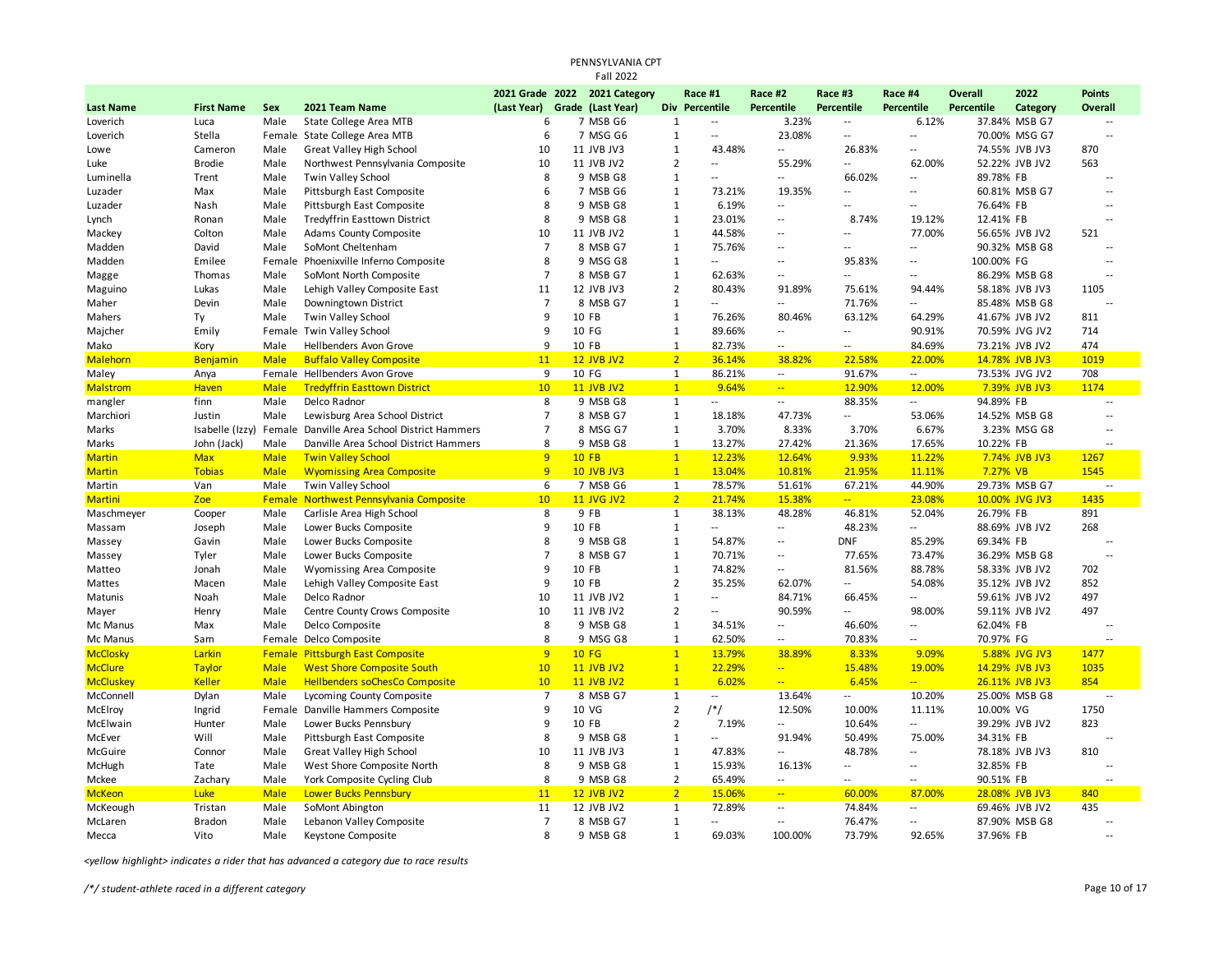|                  |                   |               |                                       |                | PENNSYLVANIA CPT<br><b>Fall 2022</b> |                |                          |                          |                          |                          |                   |                |                |
|------------------|-------------------|---------------|---------------------------------------|----------------|--------------------------------------|----------------|--------------------------|--------------------------|--------------------------|--------------------------|-------------------|----------------|----------------|
|                  |                   |               |                                       |                | 2021 Grade 2022 2021 Category        |                | Race #1                  | Race #2                  | Race #3                  | Race #4                  | <b>Overall</b>    | 2022           | <b>Points</b>  |
| <b>Last Name</b> | <b>First Name</b> | Sex           | 2021 Team Name                        | (Last Year)    | Grade (Last Year)                    |                | Div Percentile           | Percentile               | <b>Percentile</b>        | <b>Percentile</b>        | <b>Percentile</b> | Category       | Overall        |
| Loverich         | Luca              | Male          | State College Area MTB                | 6              | 7 MSB G6                             | $\mathbf{1}$   | $\sim$                   | 3.23%                    | $\overline{\phantom{a}}$ | 6.12%                    |                   | 37.84% MSB G7  | ٠.             |
| Loverich         | Stella            | Female        | State College Area MTB                | 6              | 7 MSG G6                             | $\mathbf{1}$   | $\overline{\phantom{a}}$ | 23.08%                   | $\sim$ $\sim$            | Ξ.                       |                   | 70.00% MSG G7  | Ξ.             |
| Lowe             | Cameron           | Male          | <b>Great Valley High School</b>       | 10             | 11 JVB JV3                           | $\mathbf{1}$   | 43.48%                   | $\overline{\phantom{a}}$ | 26.83%                   | $\overline{a}$           |                   | 74.55% JVB JV3 | 870            |
| Luke             | <b>Brodie</b>     | Male          | Northwest Pennsylvania Composite      | 10             | 11 JVB JV2                           | $\overline{2}$ | $\overline{\phantom{a}}$ | 55.29%                   | Ξ.                       | 62.00%                   |                   | 52.22% JVB JV2 | 563            |
| Luminella        | Trent             | Male          | <b>Twin Valley School</b>             | 8              | 9 MSB G8                             | $\mathbf{1}$   | $\overline{\phantom{a}}$ | $\overline{a}$           | 66.02%                   | $\overline{\phantom{a}}$ | 89.78% FB         |                |                |
| Luzader          | Max               | Male          | Pittsburgh East Composite             | 6              | 7 MSB G6                             | $\mathbf{1}$   | 73.21%                   | 19.35%                   | $\sim$                   | $\overline{a}$           |                   | 60.81% MSB G7  | $\sim$ $\sim$  |
| Luzader          | Nash              | Male          | Pittsburgh East Composite             | 8              | 9 MSB G8                             | $\mathbf{1}$   | 6.19%                    | $\overline{a}$           | $\sim$                   | $\overline{\phantom{a}}$ | 76.64% FB         |                | $\sim$         |
| Lynch            | Ronan             | Male          | Tredyffrin Easttown District          | 8              | 9 MSB G8                             | $\mathbf{1}$   | 23.01%                   | 44                       | 8.74%                    | 19.12%                   | 12.41% FB         |                |                |
| Mackey           | Colton            | Male          | Adams County Composite                | 10             | 11 JVB JV2                           | $\mathbf{1}$   | 44.58%                   | ٠.                       | Ξ.                       | 77.00%                   |                   | 56.65% JVB JV2 | 521            |
| Madden           | David             | Male          | SoMont Cheltenham                     | $\overline{7}$ | 8 MSB G7                             | $\mathbf{1}$   | 75.76%                   | 44                       | $\overline{a}$           | --                       |                   | 90.32% MSB G8  | $\sim$         |
| Madden           | Emilee            | Female        | Phoenixville Inferno Composite        | 8              | 9 MSG G8                             | $\mathbf{1}$   | $\overline{\phantom{a}}$ | 44                       | 95.83%                   | $\overline{\phantom{a}}$ | 100.00% FG        |                | $\overline{a}$ |
| Magge            | Thomas            | Male          | SoMont North Composite                | $\overline{7}$ | 8 MSB G7                             | $\mathbf{1}$   | 62.63%                   | ٠.                       | $\overline{a}$           | $\overline{\phantom{a}}$ |                   | 86.29% MSB G8  | $\overline{a}$ |
| Maguino          | Lukas             | Male          | Lehigh Valley Composite East          | 11             | 12 JVB JV3                           | $\overline{2}$ | 80.43%                   | 91.89%                   | 75.61%                   | 94.44%                   |                   | 58.18% JVB JV3 | 1105           |
| Maher            | Devin             | Male          | Downingtown District                  | $\overline{7}$ | 8 MSB G7                             | $\mathbf{1}$   | $\overline{\phantom{a}}$ | 44                       | 71.76%                   |                          |                   | 85.48% MSB G8  |                |
| Mahers           | Ty                | Male          | Twin Valley School                    | 9              | 10 FB                                | $\mathbf{1}$   | 76.26%                   | 80.46%                   | 63.12%                   | 64.29%                   |                   | 41.67% JVB JV2 | 811            |
| Majcher          | Emily             |               | Female Twin Valley School             | 9              | 10 FG                                | $1\,$          | 89.66%                   | $\overline{a}$           | $\overline{a}$           | 90.91%                   |                   | 70.59% JVG JV2 | 714            |
| Mako             | Kory              | Male          | Hellbenders Avon Grove                | 9              | 10 FB                                | $\mathbf{1}$   | 82.73%                   | $\overline{a}$           | $\overline{a}$           | 84.69%                   |                   | 73.21% JVB JV2 | 474            |
| <b>Malehorn</b>  | Benjamin          | <b>Male</b>   | <b>Buffalo Valley Composite</b>       | 11             | <b>12 JVB JV2</b>                    | 2 <sup>2</sup> | 36.14%                   | 38.82%                   | 22.58%                   | 22.00%                   |                   | 14.78% JVB JV3 | 1019           |
| Maley            | Anya              | Female        | Hellbenders Avon Grove                | 9              | 10 FG                                | $\mathbf{1}$   | 86.21%                   | 4                        | 91.67%                   | $\sim$                   |                   | 73.53% JVG JV2 | 708            |
| <b>Malstrom</b>  | <b>Haven</b>      | <b>Male</b>   | <b>Tredyffrin Easttown District</b>   | 10             | <b>11 JVB JV2</b>                    | $\overline{1}$ | 9.64%                    | ÷,                       | 12.90%                   | 12.00%                   |                   | 7.39% JVB JV3  | 1174           |
| mangler          | finn              | Male          | Delco Radnor                          | 8              | 9 MSB G8                             | $\mathbf{1}$   | $\overline{a}$           | $\overline{\phantom{a}}$ | 88.35%                   | $\overline{\phantom{a}}$ | 94.89% FB         |                |                |
| Marchiori        | Justin            | Male          | Lewisburg Area School District        | $\overline{7}$ | 8 MSB G7                             | $\mathbf{1}$   | 18.18%                   | 47.73%                   | Ξ.                       | 53.06%                   |                   | 14.52% MSB G8  | $\overline{a}$ |
| Marks            | Isabelle (Izzy)   | Female        | Danville Area School District Hammers | $\overline{7}$ | 8 MSG G7                             | $\mathbf{1}$   | 3.70%                    | 8.33%                    | 3.70%                    | 6.67%                    |                   | 3.23% MSG G8   | $\sim$         |
| Marks            | John (Jack)       | Male          | Danville Area School District Hammers | 8              | 9 MSB G8                             | $\mathbf{1}$   | 13.27%                   | 27.42%                   | 21.36%                   | 17.65%                   | 10.22% FB         |                |                |
| <b>Martin</b>    | <b>Max</b>        | <b>Male</b>   | <b>Twin Valley School</b>             | 9              | <b>10 FB</b>                         | $\mathbf{1}$   | 12.23%                   | 12.64%                   | 9.93%                    | 11.22%                   |                   | 7.74% JVB JV3  | 1267           |
| <b>Martin</b>    | <b>Tobias</b>     | <b>Male</b>   | <b>Wyomissing Area Composite</b>      | 9              | <b>10 JVB JV3</b>                    | $\overline{1}$ | 13.04%                   | 10.81%                   | 21.95%                   | 11.11%                   | 7.27% VB          |                | 1545           |
| Martin           | Van               | Male          | Twin Valley School                    | 6              | 7 MSB G6                             | $\mathbf{1}$   | 78.57%                   | 51.61%                   | 67.21%                   | 44.90%                   |                   | 29.73% MSB G7  | $\sim$ $\sim$  |
| <b>Martini</b>   | Zoe               | <b>Female</b> | Northwest Pennsylvania Composite      | 10             | <b>11 JVG JV2</b>                    | $\overline{2}$ | 21.74%                   | 15.38%                   | $\frac{1}{2}$            | 23.08%                   |                   | 10.00% JVG JV3 | 1435           |
| Maschmeyer       | Cooper            | Male          | Carlisle Area High School             | 8              | 9 FB                                 | $\mathbf{1}$   | 38.13%                   | 48.28%                   | 46.81%                   | 52.04%                   | 26.79% FB         |                | 891            |
| Massam           | Joseph            | Male          | Lower Bucks Composite                 | 9              | 10 FB                                | $\mathbf{1}$   | $\overline{a}$           | $\overline{\phantom{a}}$ | 48.23%                   |                          |                   | 88.69% JVB JV2 | 268            |
| Massey           | Gavin             | Male          | Lower Bucks Composite                 | 8              | 9 MSB G8                             | $\mathbf{1}$   | 54.87%                   | $\overline{a}$           | <b>DNF</b>               | 85.29%                   | 69.34% FB         |                | $\sim$ $\sim$  |
| Massey           | Tyler             | Male          | Lower Bucks Composite                 | $\overline{7}$ | 8 MSB G7                             | $1\,$          | 70.71%                   | $\overline{a}$           | 77.65%                   | 73.47%                   |                   | 36.29% MSB G8  | $\sim$ $\sim$  |
| Matteo           | Jonah             | Male          | Wyomissing Area Composite             | 9              | 10 FB                                | $\mathbf{1}$   | 74.82%                   | $\overline{\phantom{a}}$ | 81.56%                   | 88.78%                   |                   | 58.33% JVB JV2 | 702            |
| Mattes           | Macen             | Male          | Lehigh Valley Composite East          | 9              | 10 FB                                | $\overline{2}$ | 35.25%                   | 62.07%                   | Ξ.                       | 54.08%                   |                   | 35.12% JVB JV2 | 852            |
| Matunis          | Noah              | Male          | Delco Radnor                          | 10             | 11 JVB JV2                           | $\mathbf{1}$   | $\sim$                   | 84.71%                   | 66.45%                   |                          |                   | 59.61% JVB JV2 | 497            |
| Mayer            | Henry             | Male          | Centre County Crows Composite         | 10             | 11 JVB JV2                           | $\overline{2}$ | $\sim$                   | 90.59%                   | $\overline{a}$           | 98.00%                   |                   | 59.11% JVB JV2 | 497            |
| Mc Manus         | Max               | Male          | Delco Composite                       | 8              | 9 MSB G8                             | $\mathbf{1}$   | 34.51%                   | $\overline{\phantom{a}}$ | 46.60%                   |                          | 62.04% FB         |                | $\overline{a}$ |
| Mc Manus         | Sam               |               | Female Delco Composite                | 8              | 9 MSG G8                             | $\mathbf{1}$   | 62.50%                   | --                       | 70.83%                   | --                       | 70.97% FG         |                |                |
| <b>McClosky</b>  | Larkin            | Female        | <b>Pittsburgh East Composite</b>      | 9              | <b>10 FG</b>                         | $\mathbf{1}$   | 13.79%                   | 38.89%                   | 8.33%                    | 9.09%                    |                   | 5.88% JVG JV3  | 1477           |
| <b>McClure</b>   | <b>Taylor</b>     | <b>Male</b>   | <b>West Shore Composite South</b>     | 10             | <b>11 JVB JV2</b>                    | $\mathbf{1}$   | 22.29%                   | Ξ.                       | 15.48%                   | 19.00%                   |                   | 14.29% JVB JV3 | 1035           |
| <b>McCluskey</b> | <b>Keller</b>     | <b>Male</b>   | <b>Hellbenders soChesCo Composite</b> | 10             | <b>11 JVB JV2</b>                    | $\overline{1}$ | 6.02%                    | 44                       | 6.45%                    | $\overline{a}$           |                   | 26.11% JVB JV3 | 854            |
| McConnell        | Dylan             | Male          | Lycoming County Composite             | $\overline{7}$ | 8 MSB G7                             | $\mathbf{1}$   | $\overline{\phantom{a}}$ | 13.64%                   | $\overline{\phantom{a}}$ | 10.20%                   |                   | 25.00% MSB G8  |                |
| McElroy          | Ingrid            | Female        | Danville Hammers Composite            | 9              | 10 VG                                | $\overline{2}$ | $/*/$                    | 12.50%                   | 10.00%                   | 11.11%                   | 10.00% VG         |                | 1750           |
| McElwain         | Hunter            | Male          | Lower Bucks Pennsbury                 | 9              | 10 FB                                | $\overline{2}$ | 7.19%                    | $\overline{\phantom{a}}$ | 10.64%                   | $\overline{a}$           |                   | 39.29% JVB JV2 | 823            |
| McEver           | Will              | Male          | Pittsburgh East Composite             | 8              | 9 MSB G8                             | $\mathbf{1}$   | $\overline{a}$           | 91.94%                   | 50.49%                   | 75.00%                   | 34.31% FB         |                |                |
| McGuire          | Connor            | Male          | <b>Great Valley High School</b>       | 10             | 11 JVB JV3                           | $\mathbf{1}$   | 47.83%                   | $\overline{\phantom{a}}$ | 48.78%                   |                          |                   | 78.18% JVB JV3 | 810            |
| McHugh           | Tate              | Male          | West Shore Composite North            | 8              | 9 MSB G8                             | $\mathbf{1}$   | 15.93%                   | 16.13%                   | $\overline{a}$           | $\overline{\phantom{a}}$ | 32.85% FB         |                | $\overline{a}$ |
| Mckee            | Zachary           | Male          | York Composite Cycling Club           | 8              | 9 MSB G8                             | $\overline{2}$ | 65.49%                   | $\overline{\phantom{a}}$ | $\overline{a}$           | $\overline{\phantom{a}}$ | 90.51% FB         |                |                |
| <b>McKeon</b>    | Luke              | <b>Male</b>   | <b>Lower Bucks Pennsbury</b>          | 11             | <b>12 JVB JV2</b>                    | $\overline{2}$ | 15.06%                   | ц,                       | 60.00%                   | 87.00%                   |                   | 28.08% JVB JV3 | 840            |
| McKeough         | Tristan           | Male          | SoMont Abington                       | 11             | 12 JVB JV2                           | $\mathbf{1}$   | 72.89%                   | 44                       | 74.84%                   | ٠.                       |                   | 69.46% JVB JV2 | 435            |
| McLaren          | <b>Bradon</b>     | Male          | Lebanon Valley Composite              | $\overline{7}$ | 8 MSB G7                             | $\mathbf{1}$   |                          | 44                       | 76.47%                   | $\overline{a}$           |                   | 87.90% MSB G8  |                |
| Mecca            | Vito              | Male          | Keystone Composite                    | $\mathsf{R}$   | 9 MSB G8                             | $\mathbf{1}$   | 69.03%                   | 100.00%                  | 73.79%                   | 92.65%                   | 37.96% FB         |                |                |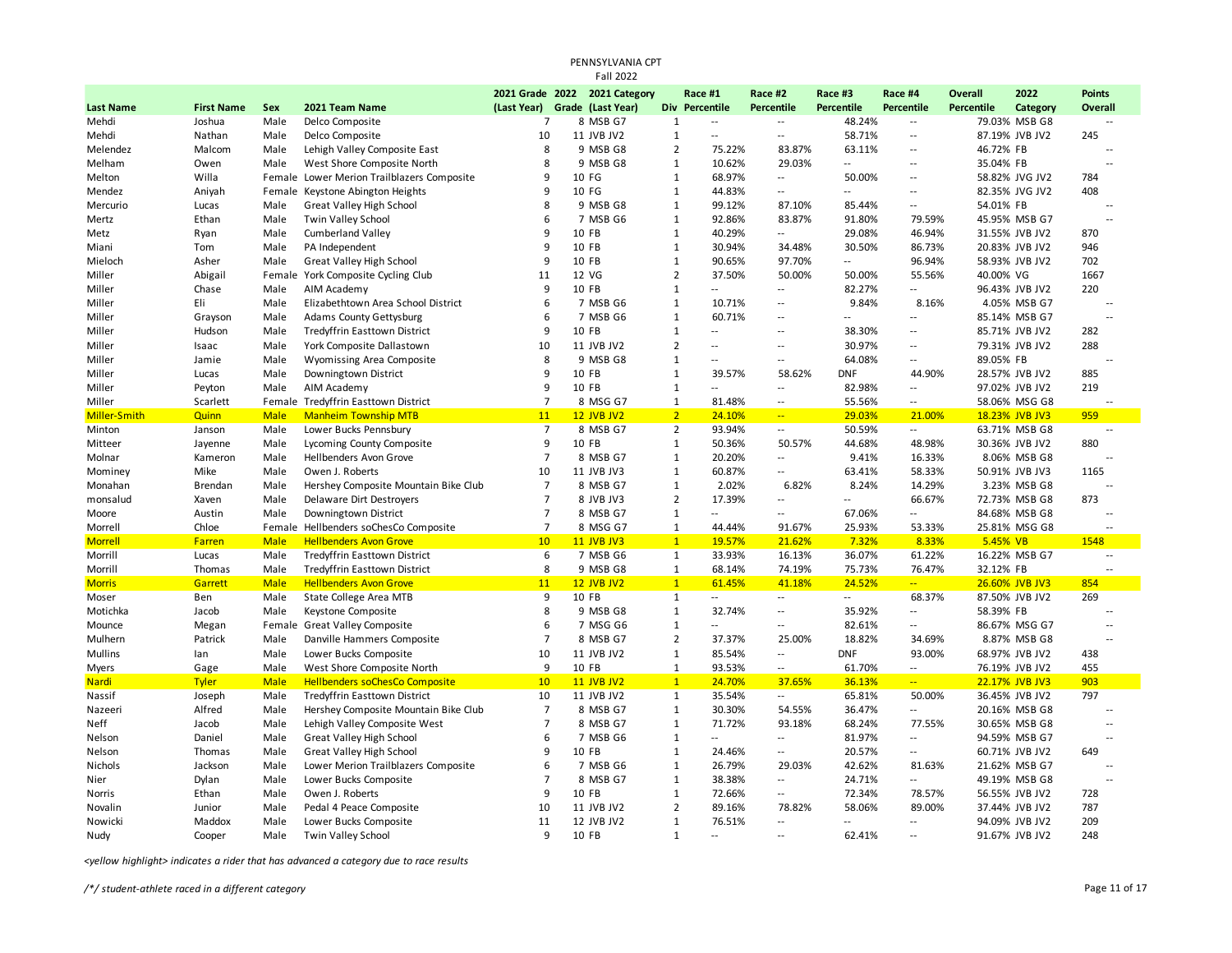|                  |                   |             |                                            |                | PENNSYLVANIA CPT<br><b>Fall 2022</b> |                |                          |                          |                   |                          |                |                |                          |
|------------------|-------------------|-------------|--------------------------------------------|----------------|--------------------------------------|----------------|--------------------------|--------------------------|-------------------|--------------------------|----------------|----------------|--------------------------|
|                  |                   |             |                                            |                | 2021 Grade 2022 2021 Category        |                | Race #1                  | Race #2                  | Race #3           | Race #4                  | <b>Overall</b> | 2022           | <b>Points</b>            |
| <b>Last Name</b> | <b>First Name</b> | Sex         | 2021 Team Name                             | (Last Year)    | Grade (Last Year)                    |                | Div Percentile           | Percentile               | <b>Percentile</b> | <b>Percentile</b>        | Percentile     | Category       | Overall                  |
| Mehdi            | Joshua            | Male        | Delco Composite                            | $\overline{7}$ | 8 MSB G7                             | $\mathbf{1}$   | Щ.                       | $\sim$ $\sim$            | 48.24%            |                          |                | 79.03% MSB G8  | $\overline{\phantom{a}}$ |
| Mehdi            | Nathan            | Male        | Delco Composite                            | 10             | 11 JVB JV2                           | $\mathbf{1}$   | $\sim$                   | --                       | 58.71%            | ٠.                       |                | 87.19% JVB JV2 | 245                      |
| Melendez         | Malcom            | Male        | Lehigh Valley Composite East               | 8              | 9 MSB G8                             | $\overline{2}$ | 75.22%                   | 83.87%                   | 63.11%            | $\overline{\phantom{a}}$ | 46.72% FB      |                |                          |
| Melham           | Owen              | Male        | West Shore Composite North                 | 8              | 9 MSB G8                             | $1\,$          | 10.62%                   | 29.03%                   | $\overline{a}$    | Ξ.                       | 35.04% FB      |                | $\overline{a}$           |
| Melton           | Willa             |             | Female Lower Merion Trailblazers Composite | 9              | 10 FG                                | $1\,$          | 68.97%                   | Ξ.                       | 50.00%            | $\overline{\phantom{a}}$ |                | 58.82% JVG JV2 | 784                      |
| Mendez           | Aniyah            | Female      | Keystone Abington Heights                  | 9              | 10 FG                                | $\mathbf{1}$   | 44.83%                   | Ξ.                       | $\overline{a}$    | --                       |                | 82.35% JVG JV2 | 408                      |
| Mercurio         | Lucas             | Male        | <b>Great Valley High School</b>            | 8              | 9 MSB G8                             | $\mathbf{1}$   | 99.12%                   | 87.10%                   | 85.44%            |                          | 54.01% FB      |                | $\overline{\phantom{a}}$ |
| Mertz            | Ethan             | Male        | Twin Valley School                         | 6              | 7 MSB G6                             | $1\,$          | 92.86%                   | 83.87%                   | 91.80%            | 79.59%                   |                | 45.95% MSB G7  | $\sim$                   |
| Metz             | Ryan              | Male        | <b>Cumberland Valley</b>                   | 9              | 10 FB                                | $\mathbf{1}$   | 40.29%                   | $\overline{\phantom{a}}$ | 29.08%            | 46.94%                   |                | 31.55% JVB JV2 | 870                      |
| Miani            | Tom               | Male        | PA Independent                             | 9              | 10 FB                                | $\mathbf{1}$   | 30.94%                   | 34.48%                   | 30.50%            | 86.73%                   |                | 20.83% JVB JV2 | 946                      |
| Mieloch          | Asher             | Male        | <b>Great Valley High School</b>            | 9              | 10 FB                                | $1\,$          | 90.65%                   | 97.70%                   | щ.                | 96.94%                   |                | 58.93% JVB JV2 | 702                      |
| Miller           | Abigail           | Female      | York Composite Cycling Club                | 11             | 12 VG                                | $\overline{2}$ | 37.50%                   | 50.00%                   | 50.00%            | 55.56%                   | 40.00% VG      |                | 1667                     |
| Miller           | Chase             | Male        | AIM Academy                                | 9              | 10 FB                                | $\mathbf{1}$   | Щ.                       | $\overline{\phantom{a}}$ | 82.27%            | Ξ.                       |                | 96.43% JVB JV2 | 220                      |
| Miller           | Eli               | Male        | Elizabethtown Area School District         | 6              | 7 MSB G6                             | $1\,$          | 10.71%                   | $\overline{\phantom{a}}$ | 9.84%             | 8.16%                    |                | 4.05% MSB G7   | $\sim$                   |
| Miller           | Grayson           | Male        | <b>Adams County Gettysburg</b>             | 6              | 7 MSB G6                             | $\mathbf{1}$   | 60.71%                   | Ξ.                       | Ξ.                | $\overline{a}$           |                | 85.14% MSB G7  | $\sim$ $\sim$            |
| Miller           | Hudson            | Male        | Tredyffrin Easttown District               | 9              | 10 FB                                | $\mathbf{1}$   | Щ.                       | Ξ.                       | 38.30%            | Ξ.                       |                | 85.71% JVB JV2 | 282                      |
| Miller           | Isaac             | Male        | York Composite Dallastown                  | 10             | 11 JVB JV2                           | $\overline{2}$ | $\overline{a}$           | Ξ.                       | 30.97%            | ٠.                       |                | 79.31% JVB JV2 | 288                      |
| Miller           | Jamie             | Male        | Wyomissing Area Composite                  | 8              | 9 MSB G8                             | $\mathbf{1}$   | $\overline{\phantom{a}}$ | Ξ.                       | 64.08%            | --                       | 89.05% FB      |                |                          |
| Miller           | Lucas             | Male        | Downingtown District                       | 9              | 10 FB                                | $\mathbf{1}$   | 39.57%                   | 58.62%                   | <b>DNF</b>        | 44.90%                   |                | 28.57% JVB JV2 | 885                      |
| Miller           | Peyton            | Male        | AIM Academy                                | 9              | 10 FB                                | $\mathbf{1}$   | $\overline{a}$           | Ξ.                       | 82.98%            | --                       |                | 97.02% JVB JV2 | 219                      |
| Miller           | Scarlett          | Female      | <b>Tredyffrin Easttown District</b>        | $\overline{7}$ | 8 MSG G7                             | $\mathbf{1}$   | 81.48%                   | ٠.                       | 55.56%            |                          |                | 58.06% MSG G8  |                          |
| Miller-Smith     | <b>Quinn</b>      | <b>Male</b> | <b>Manheim Township MTB</b>                | 11             | <b>12 JVB JV2</b>                    | $\overline{2}$ | 24.10%                   | ш,                       | 29.03%            | 21.00%                   |                | 18.23% JVB JV3 | 959                      |
| Minton           | Janson            | Male        | Lower Bucks Pennsbury                      | $\overline{7}$ | 8 MSB G7                             | $\overline{2}$ | 93.94%                   | 4                        | 50.59%            | н.                       |                | 63.71% MSB G8  |                          |
| Mitteer          | Jayenne           | Male        | Lycoming County Composite                  | 9              | 10 FB                                | 1              | 50.36%                   | 50.57%                   | 44.68%            | 48.98%                   |                | 30.36% JVB JV2 | 880                      |
| Molnar           | Kameron           | Male        | Hellbenders Avon Grove                     | $\overline{7}$ | 8 MSB G7                             | $\mathbf{1}$   | 20.20%                   | Ξ.                       | 9.41%             | 16.33%                   |                | 8.06% MSB G8   | $\sim$                   |
| Mominey          | Mike              | Male        | Owen J. Roberts                            | 10             | 11 JVB JV3                           | $1\,$          | 60.87%                   | --                       | 63.41%            | 58.33%                   |                | 50.91% JVB JV3 | 1165                     |
| Monahan          | Brendan           | Male        | Hershey Composite Mountain Bike Club       | $\overline{7}$ | 8 MSB G7                             | $\mathbf{1}$   | 2.02%                    | 6.82%                    | 8.24%             | 14.29%                   |                | 3.23% MSB G8   |                          |
| monsalud         | Xaven             | Male        | Delaware Dirt Destroyers                   | $\overline{7}$ | 8 JVB JV3                            | $\overline{2}$ | 17.39%                   | Ξ.                       | Ξ.                | 66.67%                   |                | 72.73% MSB G8  | 873                      |
| Moore            | Austin            | Male        | Downingtown District                       | $\overline{7}$ | 8 MSB G7                             | $\mathbf{1}$   |                          | $\overline{\phantom{a}}$ | 67.06%            | --                       |                | 84.68% MSB G8  | $\overline{a}$           |
| Morrell          | Chloe             | Female      | Hellbenders soChesCo Composite             | $\overline{7}$ | 8 MSG G7                             | $\mathbf{1}$   | 44.44%                   | 91.67%                   | 25.93%            | 53.33%                   |                | 25.81% MSG G8  |                          |
| <b>Morrell</b>   | Farren            | <b>Male</b> | <b>Hellbenders Avon Grove</b>              | 10             | <b>11 JVB JV3</b>                    | $\mathbf{1}$   | 19.57%                   | 21.62%                   | 7.32%             | 8.33%                    | 5.45% VB       |                | 1548                     |
| Morrill          | Lucas             | Male        | Tredyffrin Easttown District               | 6              | 7 MSB G6                             | $\mathbf{1}$   | 33.93%                   | 16.13%                   | 36.07%            | 61.22%                   |                | 16.22% MSB G7  | $\overline{\phantom{a}}$ |
| Morrill          | Thomas            | Male        | <b>Tredyffrin Easttown District</b>        | 8              | 9 MSB G8                             | $\mathbf{1}$   | 68.14%                   | 74.19%                   | 75.73%            | 76.47%                   | 32.12% FB      |                |                          |
| <b>Morris</b>    | Garrett           | <b>Male</b> | <b>Hellbenders Avon Grove</b>              | 11             | <b>12 JVB JV2</b>                    | $\mathbf{1}$   | 61.45%                   | 41.18%                   | 24.52%            | $\overline{a}$           |                | 26.60% JVB JV3 | 854                      |
| Moser            | Ben               | Male        | <b>State College Area MTB</b>              | 9              | 10 FB                                | $\mathbf{1}$   | $\sim$                   | 4                        | $\sim$            | 68.37%                   |                | 87.50% JVB JV2 | 269                      |
| Motichka         | Jacob             | Male        | Keystone Composite                         | 8              | 9 MSB G8                             | 1              | 32.74%                   | Ξ.                       | 35.92%            |                          | 58.39% FB      |                |                          |
| Mounce           | Megan             | Female      | <b>Great Valley Composite</b>              | 6              | 7 MSG G6                             | $1\,$          | Щ.                       | Ξ.                       | 82.61%            |                          |                | 86.67% MSG G7  | $\overline{\phantom{a}}$ |
| Mulhern          | Patrick           | Male        | Danville Hammers Composite                 | $\overline{7}$ | 8 MSB G7                             | $\overline{2}$ | 37.37%                   | 25.00%                   | 18.82%            | 34.69%                   |                | 8.87% MSB G8   | $\sim$                   |
| <b>Mullins</b>   | lan               | Male        | Lower Bucks Composite                      | 10             | 11 JVB JV2                           | $\mathbf{1}$   | 85.54%                   | Ξ.                       | <b>DNF</b>        | 93.00%                   |                | 68.97% JVB JV2 | 438                      |
| Myers            | Gage              | Male        | West Shore Composite North                 | 9              | 10 FB                                | $\mathbf{1}$   | 93.53%                   | $\overline{\phantom{a}}$ | 61.70%            | $\overline{\phantom{a}}$ |                | 76.19% JVB JV2 | 455                      |
| <b>Nardi</b>     | <b>Tyler</b>      | <b>Male</b> | <b>Hellbenders soChesCo Composite</b>      | 10             | <b>11 JVB JV2</b>                    | $\mathbf{1}$   | 24.70%                   | 37.65%                   | 36.13%            | $\sim$                   |                | 22.17% JVB JV3 | 903                      |
| Nassif           | Joseph            | Male        | <b>Tredyffrin Easttown District</b>        | 10             | 11 JVB JV2                           | 1              | 35.54%                   | $\overline{\phantom{a}}$ | 65.81%            | 50.00%                   |                | 36.45% JVB JV2 | 797                      |
| Nazeeri          | Alfred            | Male        | Hershey Composite Mountain Bike Club       | $\overline{7}$ | 8 MSB G7                             | $\mathbf{1}$   | 30.30%                   | 54.55%                   | 36.47%            |                          |                | 20.16% MSB G8  | $\overline{\phantom{a}}$ |
| Neff             | Jacob             | Male        | Lehigh Valley Composite West               | $\overline{7}$ | 8 MSB G7                             | $1\,$          | 71.72%                   | 93.18%                   | 68.24%            | 77.55%                   |                | 30.65% MSB G8  | $\overline{a}$           |
| Nelson           | Daniel            | Male        | Great Valley High School                   | 6              | 7 MSB G6                             | $\mathbf{1}$   | $\overline{a}$           | $\overline{\phantom{a}}$ | 81.97%            | $\overline{\phantom{a}}$ |                | 94.59% MSB G7  | $\overline{a}$           |
| Nelson           | Thomas            | Male        | <b>Great Valley High School</b>            | 9              | 10 FB                                | $1\,$          | 24.46%                   | $\overline{\phantom{a}}$ | 20.57%            |                          |                | 60.71% JVB JV2 | 649                      |
| Nichols          | Jackson           | Male        | Lower Merion Trailblazers Composite        | 6              | 7 MSB G6                             | $1\,$          | 26.79%                   | 29.03%                   | 42.62%            | 81.63%                   |                | 21.62% MSB G7  | $\overline{a}$           |
| Nier             | Dylan             | Male        | Lower Bucks Composite                      | $\overline{7}$ | 8 MSB G7                             | $\mathbf{1}$   | 38.38%                   | ٠.                       | 24.71%            |                          |                | 49.19% MSB G8  | $\overline{a}$           |
| Norris           | Ethan             | Male        | Owen J. Roberts                            | 9              | 10 FB                                | $\mathbf{1}$   | 72.66%                   | $\overline{a}$           | 72.34%            | 78.57%                   |                | 56.55% JVB JV2 | 728                      |
| Novalin          | Junior            | Male        | Pedal 4 Peace Composite                    | 10             | 11 JVB JV2                           | $\overline{2}$ | 89.16%                   | 78.82%                   | 58.06%            | 89.00%                   |                | 37.44% JVB JV2 | 787                      |
| Nowicki          | Maddox            | Male        | Lower Bucks Composite                      | 11             | 12 JVB JV2                           | $\mathbf{1}$   | 76.51%                   | $\overline{\phantom{a}}$ | $\overline{a}$    | --                       |                | 94.09% JVB JV2 | 209                      |
| Nudy             | Cooper            | Male        | Twin Valley School                         | 9              | 10 FB                                | $\mathbf{1}$   | $-1$                     | Ξ.                       | 62.41%            | $\overline{a}$           |                | 91.67% JVB JV2 | 248                      |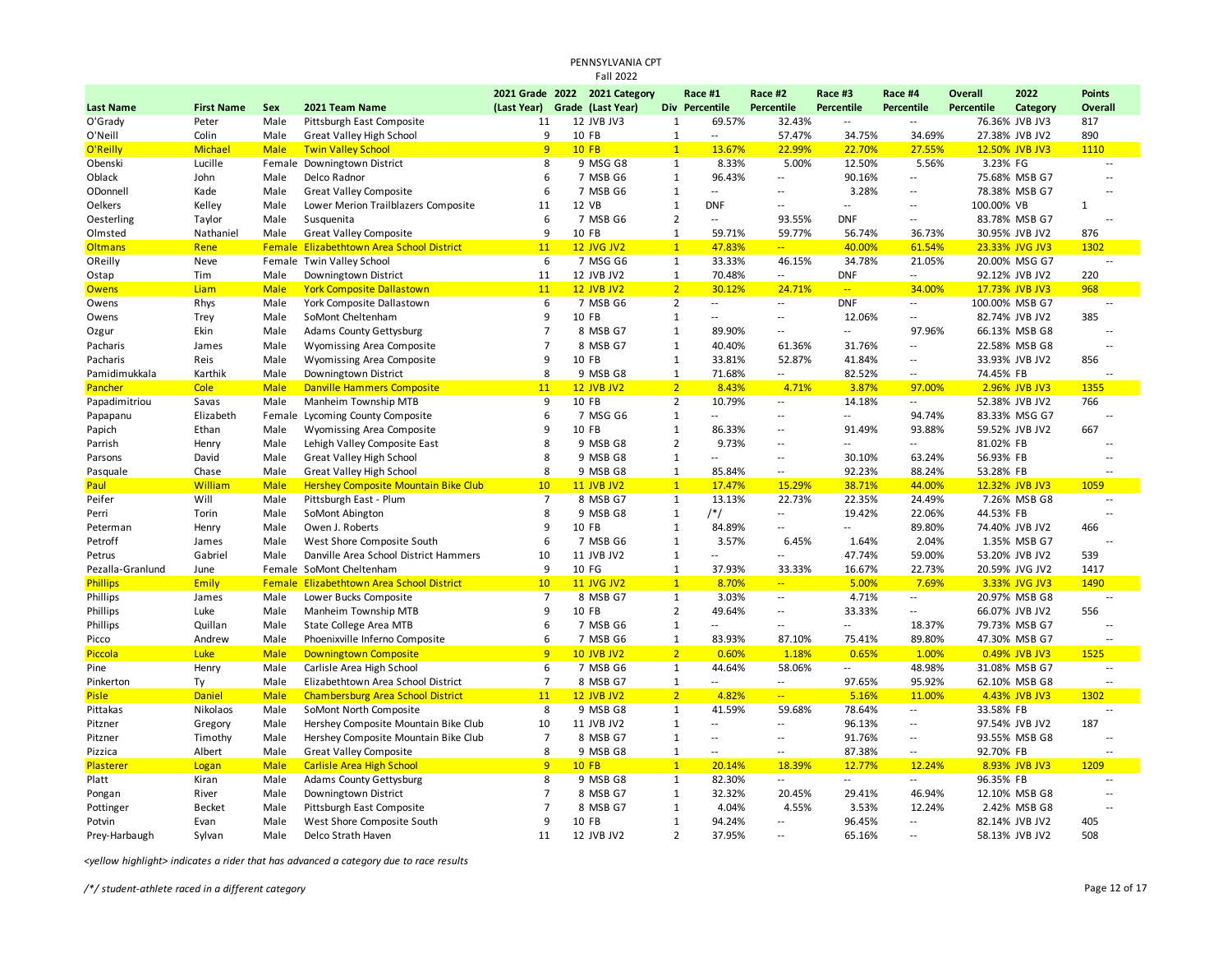|                  |                   |             |                                             |                | PENNSYLVANIA CPT              |                |                          |                          |                             |                          |                   |                |                          |
|------------------|-------------------|-------------|---------------------------------------------|----------------|-------------------------------|----------------|--------------------------|--------------------------|-----------------------------|--------------------------|-------------------|----------------|--------------------------|
|                  |                   |             |                                             |                | <b>Fall 2022</b>              |                |                          |                          |                             |                          |                   |                |                          |
|                  |                   |             |                                             |                | 2021 Grade 2022 2021 Category |                | Race #1                  | Race #2                  | Race #3                     | Race #4                  | <b>Overall</b>    | 2022           | <b>Points</b>            |
| <b>Last Name</b> | <b>First Name</b> | Sex         | 2021 Team Name                              | (Last Year)    | Grade (Last Year)             |                | Div Percentile           | <b>Percentile</b>        | <b>Percentile</b>           | <b>Percentile</b>        | <b>Percentile</b> | Category       | Overall                  |
| O'Grady          | Peter             | Male        | Pittsburgh East Composite                   | 11             | 12 JVB JV3                    | $\mathbf{1}$   | 69.57%                   | 32.43%                   | $\mathcal{L}_{\mathcal{A}}$ | $\overline{\phantom{a}}$ |                   | 76.36% JVB JV3 | 817                      |
| O'Neill          | Colin             | Male        | <b>Great Valley High School</b>             | 9              | 10 FB                         | $\mathbf 1$    | $\overline{a}$           | 57.47%                   | 34.75%                      | 34.69%                   |                   | 27.38% JVB JV2 | 890                      |
| O'Reilly         | Michael           | <b>Male</b> | <b>Twin Valley School</b>                   | 9              | $10$ FB                       | $\mathbf{1}$   | 13.67%                   | 22.99%                   | 22.70%                      | 27.55%                   |                   | 12.50% JVB JV3 | 1110                     |
| Obenski          | Lucille           | Female      | Downingtown District                        | 8              | 9 MSG G8                      | $\mathbf{1}$   | 8.33%                    | 5.00%                    | 12.50%                      | 5.56%                    | 3.23% FG          |                | $\overline{a}$           |
| Oblack           | John              | Male        | Delco Radnor                                | 6              | 7 MSB G6                      | $\mathbf 1$    | 96.43%                   | $\overline{\phantom{a}}$ | 90.16%                      | Ξ.                       |                   | 75.68% MSB G7  | $\sim$ $\sim$            |
| ODonnell         | Kade              | Male        | <b>Great Valley Composite</b>               | 6              | 7 MSB G6                      | $\mathbf{1}$   | $\overline{a}$           | --                       | 3.28%                       |                          |                   | 78.38% MSB G7  |                          |
| Oelkers          | Kelley            | Male        | Lower Merion Trailblazers Composite         | 11             | 12 VB                         | $\mathbf 1$    | <b>DNF</b>               | --                       | $\overline{a}$              |                          | 100.00% VB        |                | $\mathbf{1}$             |
| Oesterling       | Taylor            | Male        | Susquenita                                  | 6              | 7 MSB G6                      | $\overline{2}$ | $\overline{a}$           | 93.55%                   | <b>DNF</b>                  | $\overline{a}$           |                   | 83.78% MSB G7  | $\sim$                   |
| Olmsted          | Nathaniel         | Male        | <b>Great Valley Composite</b>               | 9              | 10 FB                         | $\mathbf{1}$   | 59.71%                   | 59.77%                   | 56.74%                      | 36.73%                   |                   | 30.95% JVB JV2 | 876                      |
| <b>Oltmans</b>   | Rene              |             | Female Elizabethtown Area School District   | 11             | <b>12 JVG JV2</b>             | $\mathbf{1}$   | 47.83%                   | u,                       | 40.00%                      | 61.54%                   |                   | 23.33% JVG JV3 | 1302                     |
| OReilly          | Neve              |             | Female Twin Valley School                   | 6              | 7 MSG G6                      | $\mathbf 1$    | 33.33%                   | 46.15%                   | 34.78%                      | 21.05%                   |                   | 20.00% MSG G7  | $\overline{a}$           |
| Ostap            | Tim               | Male        | Downingtown District                        | 11             | 12 JVB JV2                    | $\mathbf{1}$   | 70.48%                   | $\overline{\phantom{a}}$ | <b>DNF</b>                  | $\overline{\phantom{a}}$ |                   | 92.12% JVB JV2 | 220                      |
| <b>Owens</b>     | Liam              | <b>Male</b> | <b>York Composite Dallastown</b>            | 11             | <b>12 JVB JV2</b>             | $\overline{2}$ | 30.12%                   | 24.71%                   | $\omega_{\rm m}$            | 34.00%                   |                   | 17.73% JVB JV3 | 968                      |
| Owens            | Rhys              | Male        | York Composite Dallastown                   | 6              | 7 MSB G6                      | $\overline{2}$ | н.                       | 44                       | <b>DNF</b>                  | $\overline{\phantom{a}}$ |                   | 100.00% MSB G7 | $\overline{a}$           |
| Owens            | Trey              | Male        | SoMont Cheltenham                           | 9              | 10 FB                         | 1              | $\overline{\phantom{a}}$ | --                       | 12.06%                      |                          |                   | 82.74% JVB JV2 | 385                      |
| Ozgur            | Ekin              | Male        | <b>Adams County Gettysburg</b>              | $\overline{7}$ | 8 MSB G7                      | $\mathbf 1$    | 89.90%                   | Ξ.                       | Щ.                          | 97.96%                   |                   | 66.13% MSB G8  | $\overline{a}$           |
| Pacharis         | James             | Male        | Wyomissing Area Composite                   | $\overline{7}$ | 8 MSB G7                      | $\mathbf 1$    | 40.40%                   | 61.36%                   | 31.76%                      | --                       |                   | 22.58% MSB G8  |                          |
| Pacharis         | Reis              | Male        | Wyomissing Area Composite                   | 9              | 10 FB                         | $\mathbf{1}$   | 33.81%                   | 52.87%                   | 41.84%                      | $\overline{\phantom{a}}$ |                   | 33.93% JVB JV2 | 856                      |
| Pamidimukkala    | Karthik           | Male        | Downingtown District                        | 8              | 9 MSB G8                      | $\mathbf{1}$   | 71.68%                   | --                       | 82.52%                      | ۰.                       | 74.45% FB         |                |                          |
| Pancher          | Cole              | <b>Male</b> | <b>Danville Hammers Composite</b>           | 11             | <b>12 JVB JV2</b>             | 2 <sup>2</sup> | 8.43%                    | 4.71%                    | 3.87%                       | 97.00%                   |                   | 2.96% JVB JV3  | 1355                     |
| Papadimitriou    | Savas             | Male        | Manheim Township MTB                        | 9              | 10 FB                         | $\overline{2}$ | 10.79%                   | --                       | 14.18%                      | $\overline{\phantom{a}}$ |                   | 52.38% JVB JV2 | 766                      |
| Papapanu         | Elizabeth         |             | Female Lycoming County Composite            | 6              | 7 MSG G6                      | $\mathbf{1}$   | $\overline{a}$           | --                       | $\overline{a}$              | 94.74%                   |                   | 83.33% MSG G7  | $\overline{a}$           |
| Papich           | Ethan             | Male        | Wyomissing Area Composite                   | 9              | 10 FB                         | $\mathbf 1$    | 86.33%                   | $\overline{\phantom{a}}$ | 91.49%                      | 93.88%                   |                   | 59.52% JVB JV2 | 667                      |
| Parrish          | Henry             | Male        | Lehigh Valley Composite East                | 8              | 9 MSB G8                      | $\overline{2}$ | 9.73%                    | --                       | Ξ.                          | $\overline{\phantom{a}}$ | 81.02% FB         |                |                          |
| Parsons          | David             | Male        | <b>Great Valley High School</b>             | 8              | 9 MSB G8                      | $\mathbf 1$    | н.                       | $\overline{\phantom{a}}$ | 30.10%                      | 63.24%                   | 56.93% FB         |                | $\sim$ $\sim$            |
| Pasquale         | Chase             | Male        | <b>Great Valley High School</b>             | 8              | 9 MSB G8                      | $\mathbf 1$    | 85.84%                   | $\overline{\phantom{a}}$ | 92.23%                      | 88.24%                   | 53.28% FB         |                |                          |
| Paul             | <b>William</b>    | <b>Male</b> | <b>Hershey Composite Mountain Bike Club</b> | 10             | <b>11 JVB JV2</b>             | $\mathbf{1}$   | 17.47%                   | 15.29%                   | 38.71%                      | 44.00%                   |                   | 12.32% JVB JV3 | 1059                     |
| Peifer           | Will              | Male        | Pittsburgh East - Plum                      | $\overline{7}$ | 8 MSB G7                      | $\mathbf{1}$   | 13.13%                   | 22.73%                   | 22.35%                      | 24.49%                   |                   | 7.26% MSB G8   | $\overline{a}$           |
| Perri            | Torin             | Male        | SoMont Abington                             | 8              | 9 MSB G8                      | $\mathbf 1$    | $/*/$                    | --                       | 19.42%                      | 22.06%                   | 44.53% FB         |                |                          |
| Peterman         | Henry             | Male        | Owen J. Roberts                             | 9              | 10 FB                         | $\mathbf{1}$   | 84.89%                   | --                       | Ξ.                          | 89.80%                   |                   | 74.40% JVB JV2 | 466                      |
| Petroff          | James             | Male        | West Shore Composite South                  | 6              | 7 MSB G6                      | $\mathbf{1}$   | 3.57%                    | 6.45%                    | 1.64%                       | 2.04%                    |                   | 1.35% MSB G7   | $\overline{\phantom{a}}$ |
| Petrus           | Gabriel           | Male        | Danville Area School District Hammers       | 10             | 11 JVB JV2                    | $\mathbf 1$    | --                       | --                       | 47.74%                      | 59.00%                   |                   | 53.20% JVB JV2 | 539                      |
| Pezalla-Granlund | June              | Female      | SoMont Cheltenham                           | 9              | 10 FG                         | $\mathbf{1}$   | 37.93%                   | 33.33%                   | 16.67%                      | 22.73%                   |                   | 20.59% JVG JV2 | 1417                     |
| <b>Phillips</b>  | <b>Emily</b>      |             | Female Elizabethtown Area School District   | 10             | <b>11 JVG JV2</b>             | $\mathbf{1}$   | 8.70%                    | ш,                       | 5.00%                       | 7.69%                    |                   | 3.33% JVG JV3  | 1490                     |
| Phillips         | James             | Male        | Lower Bucks Composite                       | $\overline{7}$ | 8 MSB G7                      | $\mathbf{1}$   | 3.03%                    | 44                       | 4.71%                       | $\sim$                   |                   | 20.97% MSB G8  |                          |
| <b>Phillips</b>  | Luke              | Male        | Manheim Township MTB                        | 9              | 10 FB                         | 2              | 49.64%                   | --                       | 33.33%                      |                          |                   | 66.07% JVB JV2 | 556                      |
| Phillips         | Quillan           | Male        | <b>State College Area MTB</b>               | 6              | 7 MSB G6                      | $\mathbf 1$    | $\overline{a}$           | --                       | $\overline{a}$              | 18.37%                   |                   | 79.73% MSB G7  | $\overline{a}$           |
| Picco            | Andrew            | Male        | Phoenixville Inferno Composite              | 6              | 7 MSB G6                      | $\mathbf 1$    | 83.93%                   | 87.10%                   | 75.41%                      | 89.80%                   |                   | 47.30% MSB G7  | $\sim$                   |
| Piccola          | Luke              | <b>Male</b> | <b>Downingtown Composite</b>                | 9              | <b>10 JVB JV2</b>             | $\overline{2}$ | 0.60%                    | 1.18%                    | 0.65%                       | 1.00%                    |                   | 0.49% JVB JV3  | 1525                     |
| Pine             | Henry             | Male        | Carlisle Area High School                   | 6              | 7 MSB G6                      | $\mathbf 1$    | 44.64%                   | 58.06%                   | ٠.                          | 48.98%                   |                   | 31.08% MSB G7  | $\overline{a}$           |
| Pinkerton        | Ty                | Male        | Elizabethtown Area School District          | $\overline{7}$ | 8 MSB G7                      | $\mathbf 1$    | $-1$                     | --                       | 97.65%                      | 95.92%                   |                   | 62.10% MSB G8  |                          |
| <b>Pisle</b>     | <b>Daniel</b>     | <b>Male</b> | <b>Chambersburg Area School District</b>    | 11             | <b>12 JVB JV2</b>             | $\overline{2}$ | 4.82%                    | 44                       | 5.16%                       | 11.00%                   |                   | 4.43% JVB JV3  | 1302                     |
| Pittakas         | Nikolaos          | Male        | SoMont North Composite                      | 8              | 9 MSB G8                      | $\mathbf 1$    | 41.59%                   | 59.68%                   | 78.64%                      | Ξ.                       | 33.58% FB         |                |                          |
| Pitzner          | Gregory           | Male        | Hershey Composite Mountain Bike Club        | 10             | 11 JVB JV2                    | $\mathbf 1$    | $\sim$                   | $\overline{\phantom{a}}$ | 96.13%                      | $\overline{\phantom{a}}$ |                   | 97.54% JVB JV2 | 187                      |
| Pitzner          | Timothy           | Male        | Hershey Composite Mountain Bike Club        | $\overline{7}$ | 8 MSB G7                      | $\mathbf{1}$   | $\overline{\phantom{a}}$ | --                       | 91.76%                      | $\overline{\phantom{a}}$ |                   | 93.55% MSB G8  | $\overline{a}$           |
| Pizzica          | Albert            | Male        | <b>Great Valley Composite</b>               | 8              | 9 MSB G8                      | $\mathbf 1$    | $\cdots$                 | --                       | 87.38%                      | $\overline{\phantom{a}}$ | 92.70% FB         |                |                          |
| Plasterer        | Logan             | <b>Male</b> | <b>Carlisle Area High School</b>            | 9              | <b>10 FB</b>                  | $\mathbf{1}$   | 20.14%                   | 18.39%                   | 12.77%                      | 12.24%                   |                   | 8.93% JVB JV3  | 1209                     |
| Platt            | Kiran             | Male        | Adams County Gettysburg                     | 8              | 9 MSB G8                      | $\mathbf{1}$   | 82.30%                   | ٠.                       | $\overline{a}$              | $\overline{\phantom{a}}$ | 96.35% FB         |                | $\overline{\phantom{a}}$ |
| Pongan           | River             | Male        | Downingtown District                        | $\overline{7}$ | 8 MSB G7                      | $\mathbf{1}$   | 32.32%                   | 20.45%                   | 29.41%                      | 46.94%                   |                   | 12.10% MSB G8  | $\overline{\phantom{a}}$ |
| Pottinger        | <b>Becket</b>     | Male        | Pittsburgh East Composite                   | $\overline{7}$ | 8 MSB G7                      | $\mathbf 1$    | 4.04%                    | 4.55%                    | 3.53%                       | 12.24%                   |                   | 2.42% MSB G8   | $\sim$                   |
| Potvin           | Evan              | Male        | West Shore Composite South                  | 9              | 10 FB                         | $\mathbf{1}$   | 94.24%                   | --                       | 96.45%                      | ۰.                       |                   | 82.14% JVB JV2 | 405                      |
| Prey-Harbaugh    | Sylvan            | Male        | Delco Strath Haven                          | 11             | 12 JVB JV2                    | $\overline{2}$ | 37.95%                   | --                       | 65.16%                      | $\overline{a}$           |                   | 58.13% JVB JV2 | 508                      |
|                  |                   |             |                                             |                |                               |                |                          |                          |                             |                          |                   |                |                          |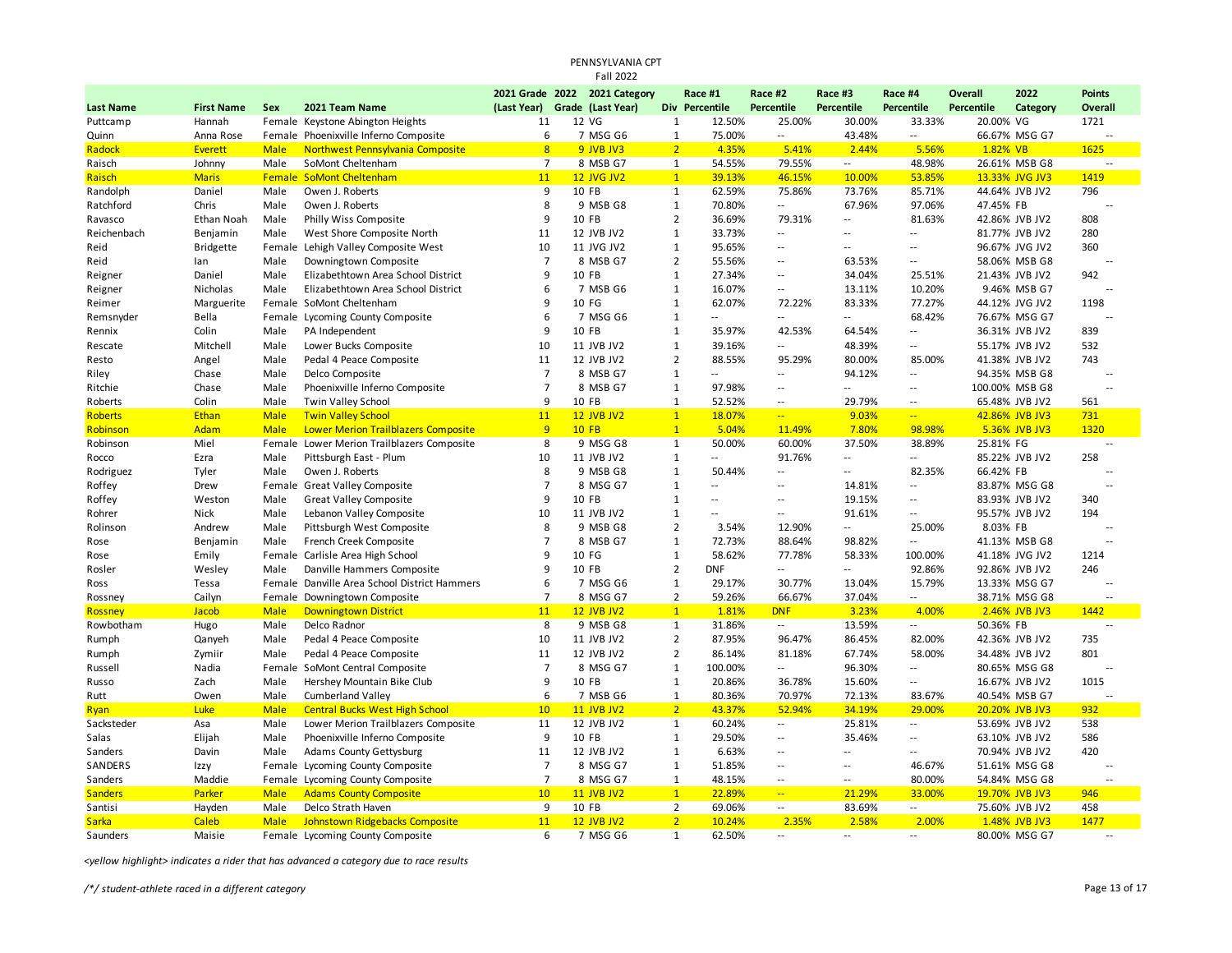| PENNSYLVANIA CPT<br><b>Fall 2022</b> |                   |             |                                            |                |  |                               |                |                          |                          |                   |                          |                   |                |                          |  |
|--------------------------------------|-------------------|-------------|--------------------------------------------|----------------|--|-------------------------------|----------------|--------------------------|--------------------------|-------------------|--------------------------|-------------------|----------------|--------------------------|--|
|                                      |                   |             |                                            |                |  | 2021 Grade 2022 2021 Category |                | Race #1                  | Race #2                  | Race #3           | Race #4                  | <b>Overall</b>    | 2022           | <b>Points</b>            |  |
| <b>Last Name</b>                     | <b>First Name</b> | <b>Sex</b>  | 2021 Team Name                             | (Last Year)    |  | Grade (Last Year)             | <b>Div</b>     | Percentile               | <b>Percentile</b>        | <b>Percentile</b> | <b>Percentile</b>        | <b>Percentile</b> | Category       | Overall                  |  |
| Puttcamp                             | Hannah            |             | Female Keystone Abington Heights           | 11             |  | 12 VG                         | $\mathbf{1}$   | 12.50%                   | 25.00%                   | 30.00%            | 33.33%                   | 20.00% VG         |                | 1721                     |  |
| Quinn                                | Anna Rose         |             | Female Phoenixville Inferno Composite      | 6              |  | 7 MSG G6                      | $1\,$          | 75.00%                   | $\overline{a}$           | 43.48%            | Ξ.                       |                   | 66.67% MSG G7  | $\sim$                   |  |
| Radock                               | <b>Everett</b>    | <b>Male</b> | Northwest Pennsylvania Composite           | 8              |  | 9 JVB JV3                     | $\overline{2}$ | 4.35%                    | 5.41%                    | 2.44%             | 5.56%                    | 1.82% VB          |                | 1625                     |  |
| Raisch                               | Johnny            | Male        | SoMont Cheltenham                          | $\overline{7}$ |  | 8 MSB G7                      | $\mathbf{1}$   | 54.55%                   | 79.55%                   | $\overline{a}$    | 48.98%                   |                   | 26.61% MSB G8  |                          |  |
| Raisch                               | <b>Maris</b>      | Female      | <b>SoMont Cheltenham</b>                   | 11             |  | <b>12 JVG JV2</b>             | $\mathbf{1}$   | 39.13%                   | 46.15%                   | 10.00%            | 53.85%                   |                   | 13.33% JVG JV3 | 1419                     |  |
| Randolph                             | Daniel            | Male        | Owen J. Roberts                            | 9              |  | 10 FB                         | $\mathbf{1}$   | 62.59%                   | 75.86%                   | 73.76%            | 85.71%                   |                   | 44.64% JVB JV2 | 796                      |  |
| Ratchford                            | Chris             | Male        | Owen J. Roberts                            | 8              |  | 9 MSB G8                      | $\mathbf{1}$   | 70.80%                   | $\overline{\phantom{a}}$ | 67.96%            | 97.06%                   | 47.45% FB         |                |                          |  |
| Ravasco                              | Ethan Noah        | Male        | Philly Wiss Composite                      | q              |  | 10 FB                         | $\overline{2}$ | 36.69%                   | 79.31%                   | $\overline{a}$    | 81.63%                   |                   | 42.86% JVB JV2 | 808                      |  |
| Reichenbach                          | Benjamin          | Male        | West Shore Composite North                 | 11             |  | 12 JVB JV2                    | $\mathbf{1}$   | 33.73%                   | $\overline{\phantom{a}}$ | $\overline{a}$    | --                       |                   | 81.77% JVB JV2 | 280                      |  |
| Reid                                 | <b>Bridgette</b>  | Female      | Lehigh Valley Composite West               | 10             |  | 11 JVG JV2                    | $\mathbf{1}$   | 95.65%                   | 44                       | ٠.                |                          |                   | 96.67% JVG JV2 | 360                      |  |
| Reid                                 | lan               | Male        | Downingtown Composite                      | $\overline{7}$ |  | 8 MSB G7                      | $\overline{2}$ | 55.56%                   | ц,                       | 63.53%            | --                       |                   | 58.06% MSB G8  |                          |  |
| Reigner                              | Daniel            | Male        | Elizabethtown Area School District         | 9              |  | 10 FB                         | $\mathbf{1}$   | 27.34%                   | 44                       | 34.04%            | 25.51%                   |                   | 21.43% JVB JV2 | 942                      |  |
| Reigner                              | Nicholas          | Male        | Elizabethtown Area School District         | 6              |  | 7 MSB G6                      | $\mathbf{1}$   | 16.07%                   | 44                       | 13.11%            | 10.20%                   |                   | 9.46% MSB G7   | $\sim$                   |  |
| Reimer                               | Marguerite        |             | Female SoMont Cheltenham                   | q              |  | 10 FG                         | $\mathbf{1}$   | 62.07%                   | 72.22%                   | 83.33%            | 77.27%                   |                   | 44.12% JVG JV2 | 1198                     |  |
| Remsnyder                            | Bella             | Female      | Lycoming County Composite                  | 6              |  | 7 MSG G6                      | $\mathbf{1}$   | $\overline{a}$           | 44                       | $\overline{a}$    | 68.42%                   |                   | 76.67% MSG G7  |                          |  |
| Rennix                               | Colin             | Male        | PA Independent                             | 9              |  | 10 FB                         | $\mathbf{1}$   | 35.97%                   | 42.53%                   | 64.54%            |                          |                   | 36.31% JVB JV2 | 839                      |  |
| Rescate                              | Mitchell          | Male        | Lower Bucks Composite                      | 10             |  | 11 JVB JV2                    | $\mathbf{1}$   | 39.16%                   | $\overline{\phantom{a}}$ | 48.39%            | --                       |                   | 55.17% JVB JV2 | 532                      |  |
| Resto                                | Angel             | Male        | Pedal 4 Peace Composite                    | 11             |  | 12 JVB JV2                    | $\overline{2}$ | 88.55%                   | 95.29%                   | 80.00%            | 85.00%                   |                   | 41.38% JVB JV2 | 743                      |  |
| Riley                                | Chase             | Male        | Delco Composite                            | $\overline{7}$ |  | 8 MSB G7                      | $\mathbf{1}$   | $\overline{a}$           | $\overline{\phantom{a}}$ | 94.12%            |                          |                   | 94.35% MSB G8  | $\sim$ $\sim$            |  |
| Ritchie                              | Chase             | Male        | Phoenixville Inferno Composite             | $\overline{7}$ |  | 8 MSB G7                      | $\mathbf{1}$   | 97.98%                   | $\overline{\phantom{a}}$ | $\sim$            | $\overline{\phantom{a}}$ |                   | 100.00% MSB G8 | $\sim$                   |  |
| Roberts                              | Colin             | Male        | Twin Valley School                         | 9              |  | 10 FB                         | $\mathbf{1}$   | 52.52%                   | $\overline{\phantom{a}}$ | 29.79%            | $\overline{\phantom{a}}$ |                   | 65.48% JVB JV2 | 561                      |  |
| <b>Roberts</b>                       | Ethan             | <b>Male</b> | <b>Twin Valley School</b>                  | 11             |  | <b>12 JVB JV2</b>             | $\mathbf{1}$   | 18.07%                   | u,                       | 9.03%             | ш,                       |                   | 42.86% JVB JV3 | 731                      |  |
| Robinson                             | <b>Adam</b>       | <b>Male</b> | <b>Lower Merion Trailblazers Composite</b> | 9              |  | <b>10 FB</b>                  | $\mathbf{1}$   | 5.04%                    | 11.49%                   | 7.80%             | 98.98%                   |                   | 5.36% JVB JV3  | 1320                     |  |
| Robinson                             | Miel              | Female      | Lower Merion Trailblazers Composite        | 8              |  | 9 MSG G8                      | 1              | 50.00%                   | 60.00%                   | 37.50%            | 38.89%                   | 25.81% FG         |                | $\overline{a}$           |  |
| Rocco                                | Ezra              | Male        | Pittsburgh East - Plum                     | 10             |  | 11 JVB JV2                    | $\mathbf{1}$   | щ.                       | 91.76%                   | $\overline{a}$    |                          |                   | 85.22% JVB JV2 | 258                      |  |
| Rodriguez                            | Tyler             | Male        | Owen J. Roberts                            | 8              |  | 9 MSB G8                      | $1\,$          | 50.44%                   | $\ddot{\phantom{a}}$     | $\overline{a}$    | 82.35%                   | 66.42% FB         |                | $\sim$                   |  |
| Roffey                               | Drew              | Female      | Great Valley Composite                     | $\overline{7}$ |  | 8 MSG G7                      | $\mathbf{1}$   | ۰.                       | 44                       | 14.81%            | --                       |                   | 83.87% MSG G8  |                          |  |
| Roffey                               | Weston            | Male        | <b>Great Valley Composite</b>              | 9              |  | 10 FB                         | $\mathbf{1}$   | $\overline{\phantom{a}}$ | 44                       | 19.15%            |                          |                   | 83.93% JVB JV2 | 340                      |  |
| Rohrer                               | Nick              | Male        | Lebanon Valley Composite                   | 10             |  | 11 JVB JV2                    | $\mathbf{1}$   | $\overline{a}$           | $\overline{\phantom{a}}$ | 91.61%            | --                       |                   | 95.57% JVB JV2 | 194                      |  |
| Rolinson                             | Andrew            | Male        | Pittsburgh West Composite                  | 8              |  | 9 MSB G8                      | $\overline{2}$ | 3.54%                    | 12.90%                   | $\overline{a}$    | 25.00%                   | 8.03% FB          |                |                          |  |
| Rose                                 | Benjamin          | Male        | French Creek Composite                     | $\overline{7}$ |  | 8 MSB G7                      | $\mathbf{1}$   | 72.73%                   | 88.64%                   | 98.82%            |                          |                   | 41.13% MSB G8  | $\sim$ $\sim$            |  |
| Rose                                 | Emily             | Female      | Carlisle Area High School                  | 9              |  | 10 FG                         | $\mathbf{1}$   | 58.62%                   | 77.78%                   | 58.33%            | 100.00%                  |                   | 41.18% JVG JV2 | 1214                     |  |
| Rosler                               | Wesley            | Male        | Danville Hammers Composite                 | 9              |  | 10 FB                         | $\overline{2}$ | DNF                      | 44                       | $\overline{a}$    | 92.86%                   |                   | 92.86% JVB JV2 | 246                      |  |
| Ross                                 | Tessa             | Female      | Danville Area School District Hammers      | 6              |  | 7 MSG G6                      | $\mathbf{1}$   | 29.17%                   | 30.77%                   | 13.04%            | 15.79%                   |                   | 13.33% MSG G7  | $\overline{\phantom{a}}$ |  |
| Rossney                              | Cailyn            | Female      | Downingtown Composite                      | $\overline{7}$ |  | 8 MSG G7                      | $\overline{2}$ | 59.26%                   | 66.67%                   | 37.04%            | Ξ.                       |                   | 38.71% MSG G8  | $\sim$                   |  |
| <b>Rossney</b>                       | Jacob             | <b>Male</b> | <b>Downingtown District</b>                | 11             |  | <b>12 JVB JV2</b>             | $\overline{1}$ | 1.81%                    | <b>DNF</b>               | 3.23%             | 4.00%                    |                   | 2.46% JVB JV3  | 1442                     |  |
| Rowbotham                            | Hugo              | Male        | Delco Radnor                               | 8              |  | 9 MSB G8                      | $\mathbf{1}$   | 31.86%                   | $\overline{a}$           | 13.59%            |                          | 50.36% FB         |                |                          |  |
| Rumph                                | Qanyeh            | Male        | Pedal 4 Peace Composite                    | 10             |  | 11 JVB JV2                    | $\overline{2}$ | 87.95%                   | 96.47%                   | 86.45%            | 82.00%                   |                   | 42.36% JVB JV2 | 735                      |  |
| Rumph                                | Zymiir            | Male        | Pedal 4 Peace Composite                    | 11             |  | 12 JVB JV2                    | $\overline{2}$ | 86.14%                   | 81.18%                   | 67.74%            | 58.00%                   |                   | 34.48% JVB JV2 | 801                      |  |
| Russell                              | Nadia             | Female      | SoMont Central Composite                   | $\overline{7}$ |  | 8 MSG G7                      | $1\,$          | 100.00%                  | $\overline{\phantom{a}}$ | 96.30%            |                          |                   | 80.65% MSG G8  | $\sim$ $\sim$            |  |
| Russo                                | Zach              | Male        | Hershey Mountain Bike Club                 | 9              |  | 10 FB                         | $\mathbf{1}$   | 20.86%                   | 36.78%                   | 15.60%            | $\overline{\phantom{a}}$ |                   | 16.67% JVB JV2 | 1015                     |  |
| Rutt                                 | Owen              | Male        | <b>Cumberland Valley</b>                   | 6              |  | 7 MSB G6                      | $\mathbf{1}$   | 80.36%                   | 70.97%                   | 72.13%            | 83.67%                   |                   | 40.54% MSB G7  |                          |  |
| Ryan                                 | Luke              | <b>Male</b> | <b>Central Bucks West High School</b>      | 10             |  | <b>11 JVB JV2</b>             | $\overline{2}$ | 43.37%                   | 52.94%                   | 34.19%            | 29.00%                   |                   | 20.20% JVB JV3 | 932                      |  |
| Sacksteder                           | Asa               | Male        | Lower Merion Trailblazers Composite        | 11             |  | 12 JVB JV2                    | $\mathbf{1}$   | 60.24%                   | ٠.                       | 25.81%            | ٠.                       |                   | 53.69% JVB JV2 | 538                      |  |
| Salas                                | Elijah            | Male        | Phoenixville Inferno Composite             | 9              |  | 10 FB                         | $\mathbf{1}$   | 29.50%                   | 44                       | 35.46%            | --                       |                   | 63.10% JVB JV2 | 586                      |  |
| Sanders                              | Davin             | Male        | <b>Adams County Gettysburg</b>             | 11             |  | 12 JVB JV2                    | $\mathbf{1}$   | 6.63%                    | 44                       | $\overline{a}$    |                          |                   | 70.94% JVB JV2 | 420                      |  |
| SANDERS                              | Izzy              | Female      | Lycoming County Composite                  | $\overline{7}$ |  | 8 MSG G7                      | $\mathbf{1}$   | 51.85%                   | 44                       | Ξ.                | 46.67%                   |                   | 51.61% MSG G8  | $\overline{a}$           |  |
| Sanders                              | Maddie            |             | Female Lycoming County Composite           | $\overline{7}$ |  | 8 MSG G7                      | $\mathbf{1}$   | 48.15%                   | --                       | $\overline{a}$    | 80.00%                   |                   | 54.84% MSG G8  |                          |  |
| <b>Sanders</b>                       | Parker            | <b>Male</b> | <b>Adams County Composite</b>              | 10             |  | <b>11 JVB JV2</b>             | $\mathbf{1}$   | 22.89%                   | ц,                       | 21.29%            | 33.00%                   |                   | 19.70% JVB JV3 | 946                      |  |
| Santisi                              | Hayden            | Male        | Delco Strath Haven                         | 9              |  | 10 FB                         | $\overline{2}$ | 69.06%                   | $\overline{\phantom{a}}$ | 83.69%            | н.                       |                   | 75.60% JVB JV2 | 458                      |  |
| <b>Sarka</b>                         | <b>Caleb</b>      | <b>Male</b> | Johnstown Ridgebacks Composite             | 11             |  | <b>12 JVB JV2</b>             | $\overline{2}$ | 10.24%                   | 2.35%                    | 2.58%             | 2.00%                    |                   | 1.48% JVB JV3  | 1477                     |  |
| Saunders                             | Maisie            |             | Female Lycoming County Composite           | 6              |  | 7 MSG G6                      | $\mathbf{1}$   | 62.50%                   | $\overline{\phantom{a}}$ | $\sim$ $\sim$     | $\overline{\phantom{a}}$ |                   | 80.00% MSG G7  | $\overline{a}$           |  |
|                                      |                   |             |                                            |                |  |                               |                |                          |                          |                   |                          |                   |                |                          |  |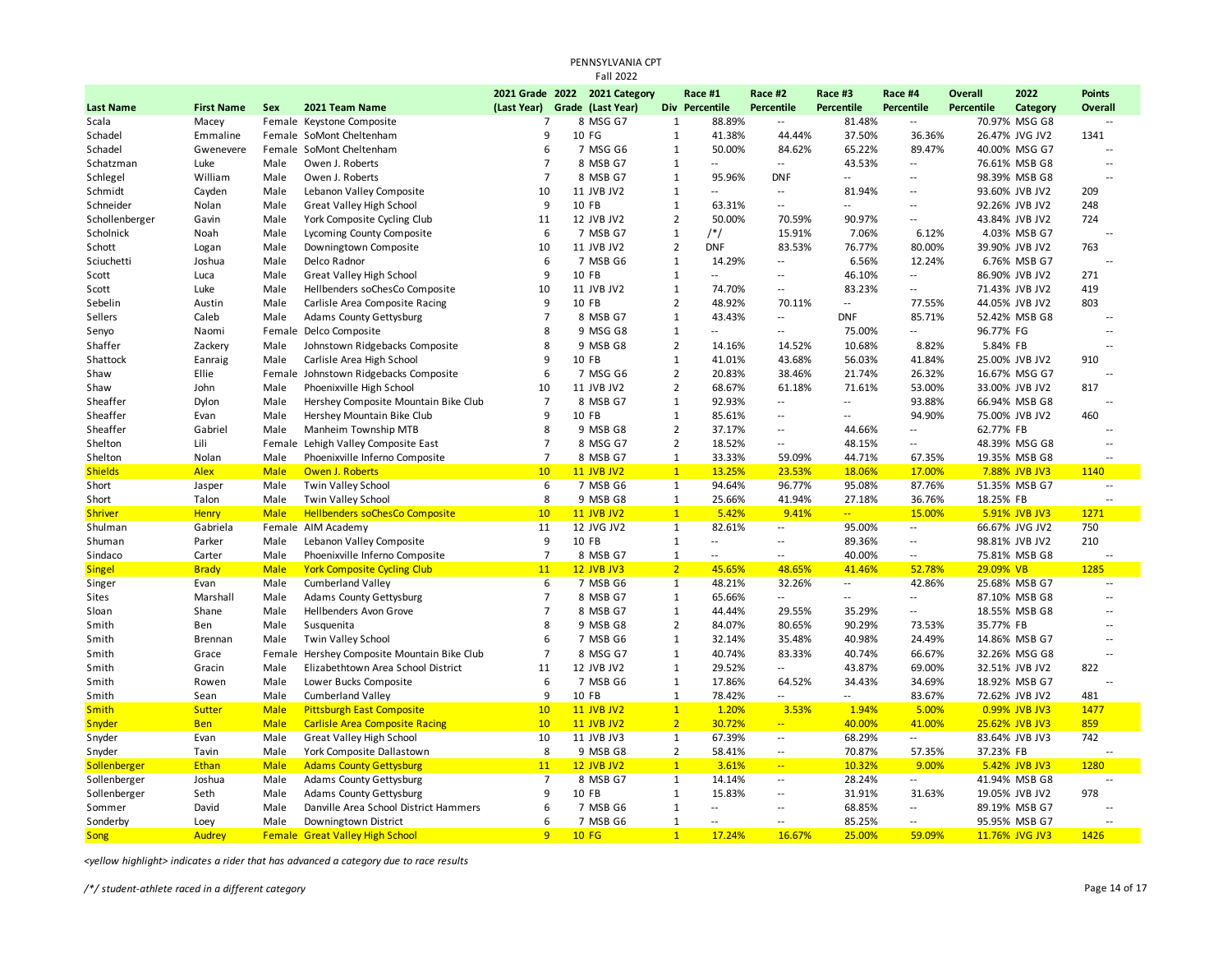|                  |                   |             |                                       |                               | PENNSYLVANIA CPT<br><b>Fall 2022</b> |                |                          |                             |                            |                          |                |                |                          |  |
|------------------|-------------------|-------------|---------------------------------------|-------------------------------|--------------------------------------|----------------|--------------------------|-----------------------------|----------------------------|--------------------------|----------------|----------------|--------------------------|--|
|                  |                   |             |                                       |                               | 2021 Grade 2022 2021 Category        |                | Race #1                  | Race #2                     | Race #3                    | Race #4                  | <b>Overall</b> | 2022           | <b>Points</b>            |  |
| <b>Last Name</b> | <b>First Name</b> | Sex         | 2021 Team Name                        | (Last Year) Grade (Last Year) |                                      |                | Div Percentile           | Percentile                  | Percentile                 | Percentile               | Percentile     | Category       | <b>Overall</b>           |  |
| Scala            | Macey             |             | Female Keystone Composite             | 7                             | 8 MSG G7                             | $\mathbf{1}$   | 88.89%                   | ٠.                          | 81.48%                     | $\overline{a}$           |                | 70.97% MSG G8  | $\overline{\phantom{a}}$ |  |
| Schadel          | Emmaline          |             | Female SoMont Cheltenham              | 9                             | 10 FG                                | $\mathbf{1}$   | 41.38%                   | 44.44%                      | 37.50%                     | 36.36%                   |                | 26.47% JVG JV2 | 1341                     |  |
| Schadel          | Gwenevere         |             | Female SoMont Cheltenham              | 6                             | 7 MSG G6                             | $\mathbf{1}$   | 50.00%                   | 84.62%                      | 65.22%                     | 89.47%                   |                | 40.00% MSG G7  | $\overline{a}$           |  |
| Schatzman        | Luke              | Male        | Owen J. Roberts                       | 7                             | 8 MSB G7                             | $\mathbf{1}$   | $\overline{a}$           | $\sim$                      | 43.53%                     | $\overline{\phantom{a}}$ |                | 76.61% MSB G8  | $\overline{a}$           |  |
| Schlegel         | William           | Male        | Owen J. Roberts                       | $\overline{7}$                | 8 MSB G7                             | $\mathbf{1}$   | 95.96%                   | <b>DNF</b>                  | $\overline{\phantom{a}}$   | $\overline{\phantom{a}}$ |                | 98.39% MSB G8  |                          |  |
| Schmidt          | Cayden            | Male        | Lebanon Valley Composite              | 10                            | 11 JVB JV2                           | $\mathbf{1}$   | $\sim$                   | $\sim$ $\sim$               | 81.94%                     | $\overline{a}$           |                | 93.60% JVB JV2 | 209                      |  |
| Schneider        | Nolan             | Male        | <b>Great Valley High School</b>       | 9                             | 10 FB                                | $\mathbf{1}$   | 63.31%                   | $\overline{\phantom{a}}$    | $\sim$                     | $\overline{\phantom{a}}$ |                | 92.26% JVB JV2 | 248                      |  |
| Schollenberger   | Gavin             | Male        | York Composite Cycling Club           | 11                            | 12 JVB JV2                           | $\overline{2}$ | 50.00%                   | 70.59%                      | 90.97%                     | $\overline{\phantom{a}}$ |                | 43.84% JVB JV2 | 724                      |  |
| Scholnick        | Noah              | Male        | Lycoming County Composite             | 6                             | 7 MSB G7                             | $\mathbf{1}$   | $/*/$                    | 15.91%                      | 7.06%                      | 6.12%                    |                | 4.03% MSB G7   | $\overline{a}$           |  |
| Schott           | Logan             | Male        | Downingtown Composite                 | 10                            | 11 JVB JV2                           | $\overline{2}$ | <b>DNF</b>               | 83.53%                      | 76.77%                     | 80.00%                   |                | 39.90% JVB JV2 | 763                      |  |
| Sciuchetti       | Joshua            | Male        | Delco Radnor                          | 6                             | 7 MSB G6                             | $\mathbf{1}$   | 14.29%                   | $\mathcal{L}_{\mathcal{A}}$ | 6.56%                      | 12.24%                   |                | 6.76% MSB G7   |                          |  |
| Scott            | Luca              | Male        | <b>Great Valley High School</b>       | 9                             | 10 FB                                | $\mathbf{1}$   | $\overline{a}$           | $\sim$ $\sim$               | 46.10%                     | $\sim$                   |                | 86.90% JVB JV2 | 271                      |  |
| Scott            | Luke              | Male        | Hellbenders soChesCo Composite        | 10                            | 11 JVB JV2                           | $\mathbf 1$    | 74.70%                   | $\overline{\phantom{a}}$    | 83.23%                     | $\overline{a}$           |                | 71.43% JVB JV2 | 419                      |  |
| Sebelin          | Austin            | Male        | Carlisle Area Composite Racing        | 9                             | 10 FB                                | $\overline{2}$ | 48.92%                   | 70.11%                      | $\sim$                     | 77.55%                   |                | 44.05% JVB JV2 | 803                      |  |
| Sellers          | Caleb             | Male        | <b>Adams County Gettysburg</b>        | $\overline{7}$                | 8 MSB G7                             | $\mathbf{1}$   | 43.43%                   | $\sim$                      | <b>DNF</b>                 | 85.71%                   |                | 52.42% MSB G8  | $\overline{a}$           |  |
| Senyo            | Naomi             |             | Female Delco Composite                | 8                             | 9 MSG G8                             | $\mathbf 1$    | $\overline{a}$           | $\sim$                      | 75.00%                     | $\overline{a}$           | 96.77% FG      |                | $\sim$                   |  |
| Shaffer          | Zackery           | Male        | Johnstown Ridgebacks Composite        | 8                             | 9 MSB G8                             | $\overline{2}$ | 14.16%                   | 14.52%                      | 10.68%                     | 8.82%                    | 5.84% FB       |                |                          |  |
| Shattock         | Eanraig           | Male        | Carlisle Area High School             | 9                             | 10 FB                                | $\mathbf{1}$   | 41.01%                   | 43.68%                      | 56.03%                     | 41.84%                   |                | 25.00% JVB JV2 | 910                      |  |
| Shaw             | Ellie             |             | Female Johnstown Ridgebacks Composite | 6                             | 7 MSG G6                             | $\overline{2}$ | 20.83%                   | 38.46%                      | 21.74%                     | 26.32%                   |                | 16.67% MSG G7  | $\overline{a}$           |  |
| Shaw             | John              | Male        | Phoenixville High School              | 10                            | 11 JVB JV2                           | $\overline{2}$ | 68.67%                   | 61.18%                      | 71.61%                     | 53.00%                   |                | 33.00% JVB JV2 | 817                      |  |
| Sheaffer         | Dylon             | Male        | Hershey Composite Mountain Bike Club  | $\overline{7}$                | 8 MSB G7                             | $\mathbf{1}$   | 92.93%                   | $\mathcal{L}_{\mathcal{A}}$ | $\sim$                     | 93.88%                   |                | 66.94% MSB G8  | --                       |  |
| Sheaffer         | Evan              | Male        | Hershey Mountain Bike Club            | 9                             | 10 FB                                | $\mathbf 1$    | 85.61%                   | н,                          | $\overline{\phantom{a}}$   | 94.90%                   |                | 75.00% JVB JV2 | 460                      |  |
| Sheaffer         | Gabriel           | Male        | Manheim Township MTB                  | 8                             | 9 MSB G8                             | $\overline{2}$ | 37.17%                   | $\sim$                      | 44.66%                     | $\overline{\phantom{a}}$ | 62.77% FB      |                |                          |  |
| Shelton          | Lili              |             | Female Lehigh Valley Composite East   | $\overline{7}$                | 8 MSG G7                             | $\overline{2}$ | 18.52%                   | $\sim$ $\sim$               | 48.15%                     | $\overline{\phantom{a}}$ |                | 48.39% MSG G8  | $\overline{\phantom{a}}$ |  |
| Shelton          | Nolan             | Male        | Phoenixville Inferno Composite        | $\overline{7}$                | 8 MSB G7                             | $\mathbf{1}$   | 33.33%                   | 59.09%                      | 44.71%                     | 67.35%                   |                | 19.35% MSB G8  | --                       |  |
| <b>Shields</b>   | <b>Alex</b>       | <b>Male</b> | Owen J. Roberts                       | 10                            | <b>11 JVB JV2</b>                    | $\overline{1}$ | 13.25%                   | 23.53%                      | 18.06%                     | 17.00%                   |                | 7.88% JVB JV3  | 1140                     |  |
| Short            | Jasper            | Male        | Twin Valley School                    | 6                             | 7 MSB G6                             | $\mathbf{1}$   | 94.64%                   | 96.77%                      | 95.08%                     | 87.76%                   |                | 51.35% MSB G7  | $\overline{a}$           |  |
| Short            | Talon             | Male        | Twin Valley School                    | 8                             | 9 MSB G8                             | $\mathbf{1}$   | 25.66%                   | 41.94%                      | 27.18%                     | 36.76%                   | 18.25% FB      |                |                          |  |
| <b>Shriver</b>   | <b>Henry</b>      | <b>Male</b> | <b>Hellbenders soChesCo Composite</b> | 10                            | <b>11 JVB JV2</b>                    | $\overline{1}$ | 5.42%                    | 9.41%                       | $\mathbb{Z}[\mathbb{Z}_p]$ | 15.00%                   |                | 5.91% JVB JV3  | 1271                     |  |
| Shulman          | Gabriela          |             | Female AIM Academy                    | 11                            | 12 JVG JV2                           | $\mathbf{1}$   | 82.61%                   | $\mathcal{L}_{\mathcal{A}}$ | 95.00%                     | $\overline{\phantom{a}}$ |                | 66.67% JVG JV2 | 750                      |  |
| Shuman           | Parker            | Male        | Lebanon Valley Composite              | 9                             | 10 FB                                | $\mathbf 1$    | $\sim$                   | $\overline{a}$              | 89.36%                     | $\sim$                   |                | 98.81% JVB JV2 | 210                      |  |
| Sindaco          | Carter            | Male        | Phoenixville Inferno Composite        | $\overline{7}$                | 8 MSB G7                             | $\mathbf{1}$   | ۰.                       | $\overline{\phantom{a}}$    | 40.00%                     | $\overline{\phantom{a}}$ |                | 75.81% MSB G8  |                          |  |
| <b>Singel</b>    | <b>Brady</b>      | <b>Male</b> | <b>York Composite Cycling Club</b>    | 11                            | <b>12 JVB JV3</b>                    | 2 <sup>1</sup> | 45.65%                   | 48.65%                      | 41.46%                     | 52.78%                   | 29.09% VB      |                | 1285                     |  |
| Singer           | Evan              | Male        | <b>Cumberland Valley</b>              | 6                             | 7 MSB G6                             | $\mathbf{1}$   | 48.21%                   | 32.26%                      | $\sim$                     | 42.86%                   |                | 25.68% MSB G7  | $\overline{a}$           |  |
| Sites            | Marshall          | Male        | Adams County Gettysburg               | $\overline{7}$                | 8 MSB G7                             | $\mathbf{1}$   | 65.66%                   | $\overline{\phantom{a}}$    | $\sim$                     | $\overline{\phantom{a}}$ |                | 87.10% MSB G8  | Ξ.                       |  |
| Sloan            | Shane             | Male        | <b>Hellbenders Avon Grove</b>         | $\overline{7}$                | 8 MSB G7                             | $\mathbf{1}$   | 44.44%                   | 29.55%                      | 35.29%                     | $\overline{\phantom{a}}$ |                | 18.55% MSB G8  | --                       |  |
| Smith            | Ben               | Male        | Susquenita                            | 8                             | 9 MSB G8                             | $\overline{2}$ | 84.07%                   | 80.65%                      | 90.29%                     | 73.53%                   | 35.77% FB      |                | $\overline{a}$           |  |
| Smith            | <b>Brennan</b>    | Male        | <b>Twin Valley School</b>             | 6                             | 7 MSB G6                             | $\mathbf{1}$   | 32.14%                   | 35.48%                      | 40.98%                     | 24.49%                   |                | 14.86% MSB G7  | Ξ.                       |  |
| Smith            | Grace             | Female      | Hershey Composite Mountain Bike Club  | $\overline{7}$                | 8 MSG G7                             | 1              | 40.74%                   | 83.33%                      | 40.74%                     | 66.67%                   |                | 32.26% MSG G8  | $\overline{a}$           |  |
| Smith            | Gracin            | Male        | Elizabethtown Area School District    | 11                            | 12 JVB JV2                           | $\mathbf 1$    | 29.52%                   | Ξ.                          | 43.87%                     | 69.00%                   |                | 32.51% JVB JV2 | 822                      |  |
| Smith            | Rowen             | Male        | Lower Bucks Composite                 | 6                             | 7 MSB G6                             | $\mathbf{1}$   | 17.86%                   | 64.52%                      | 34.43%                     | 34.69%                   |                | 18.92% MSB G7  | $\overline{a}$           |  |
| Smith            | Sean              | Male        | <b>Cumberland Valley</b>              | 9                             | 10 FB                                | $\mathbf{1}$   | 78.42%                   | $\sim$ $\sim$               | $\sim$ $\sim$              | 83.67%                   |                | 72.62% JVB JV2 | 481                      |  |
| <b>Smith</b>     | Sutter            | <b>Male</b> | <b>Pittsburgh East Composite</b>      | 10                            | <b>11 JVB JV2</b>                    | $\mathbf{1}$   | 1.20%                    | 3.53%                       | 1.94%                      | 5.00%                    |                | 0.99% JVB JV3  | 1477                     |  |
| Snyder           | <b>Ben</b>        | <b>Male</b> | <b>Carlisle Area Composite Racing</b> | 10                            | <b>11 JVB JV2</b>                    | $\overline{2}$ | 30.72%                   | $\mathbb{Z}^2$              | 40.00%                     | 41.00%                   |                | 25.62% JVB JV3 | 859                      |  |
| Snyder           | Evan              | Male        | <b>Great Valley High School</b>       | 10                            | 11 JVB JV3                           | $\mathbf{1}$   | 67.39%                   | $\overline{\phantom{a}}$    | 68.29%                     | $\overline{\phantom{a}}$ |                | 83.64% JVB JV3 | 742                      |  |
| Snyder           | Tavin             | Male        | York Composite Dallastown             | 8                             | 9 MSB G8                             | $\overline{2}$ | 58.41%                   | $\overline{\phantom{a}}$    | 70.87%                     | 57.35%                   | 37.23% FB      |                |                          |  |
| Sollenberger     | Ethan             | <b>Male</b> | <b>Adams County Gettysburg</b>        | 11                            | <b>12 JVB JV2</b>                    | $\mathbf{1}$   | 3.61%                    | $\rightarrow$               | 10.32%                     | 9.00%                    |                | 5.42% JVB JV3  | 1280                     |  |
| Sollenberger     | Joshua            | Male        | Adams County Gettysburg               | $\overline{7}$                | 8 MSB G7                             | $\mathbf{1}$   | 14.14%                   | $\sim$                      | 28.24%                     | $\sim$                   |                | 41.94% MSB G8  | $\overline{a}$           |  |
| Sollenberger     | Seth              | Male        | <b>Adams County Gettysburg</b>        | 9                             | 10 FB                                | $\mathbf 1$    | 15.83%                   | $\sim$                      | 31.91%                     | 31.63%                   |                | 19.05% JVB JV2 | 978                      |  |
| Sommer           | David             | Male        | Danville Area School District Hammers | 6                             | 7 MSB G6                             | $\mathbf 1$    | $\overline{a}$           | $\overline{\phantom{a}}$    | 68.85%                     | $\overline{\phantom{a}}$ |                | 89.19% MSB G7  | $\overline{a}$           |  |
| Sonderby         | Loey              | Male        | Downingtown District                  | 6                             | 7 MSB G6                             | $\mathbf{1}$   | $\overline{\phantom{a}}$ | $\mathcal{L}_{\mathcal{A}}$ | 85.25%                     | $\overline{a}$           |                | 95.95% MSB G7  |                          |  |
| <b>Song</b>      | Audrey            |             | Female Great Valley High School       | $\mathsf{q}$                  | <b>10 FG</b>                         | $\mathbf{1}$   | 17.24%                   | 16.67%                      | 25.00%                     | 59.09%                   |                | 11.76% JVG JV3 | 1426                     |  |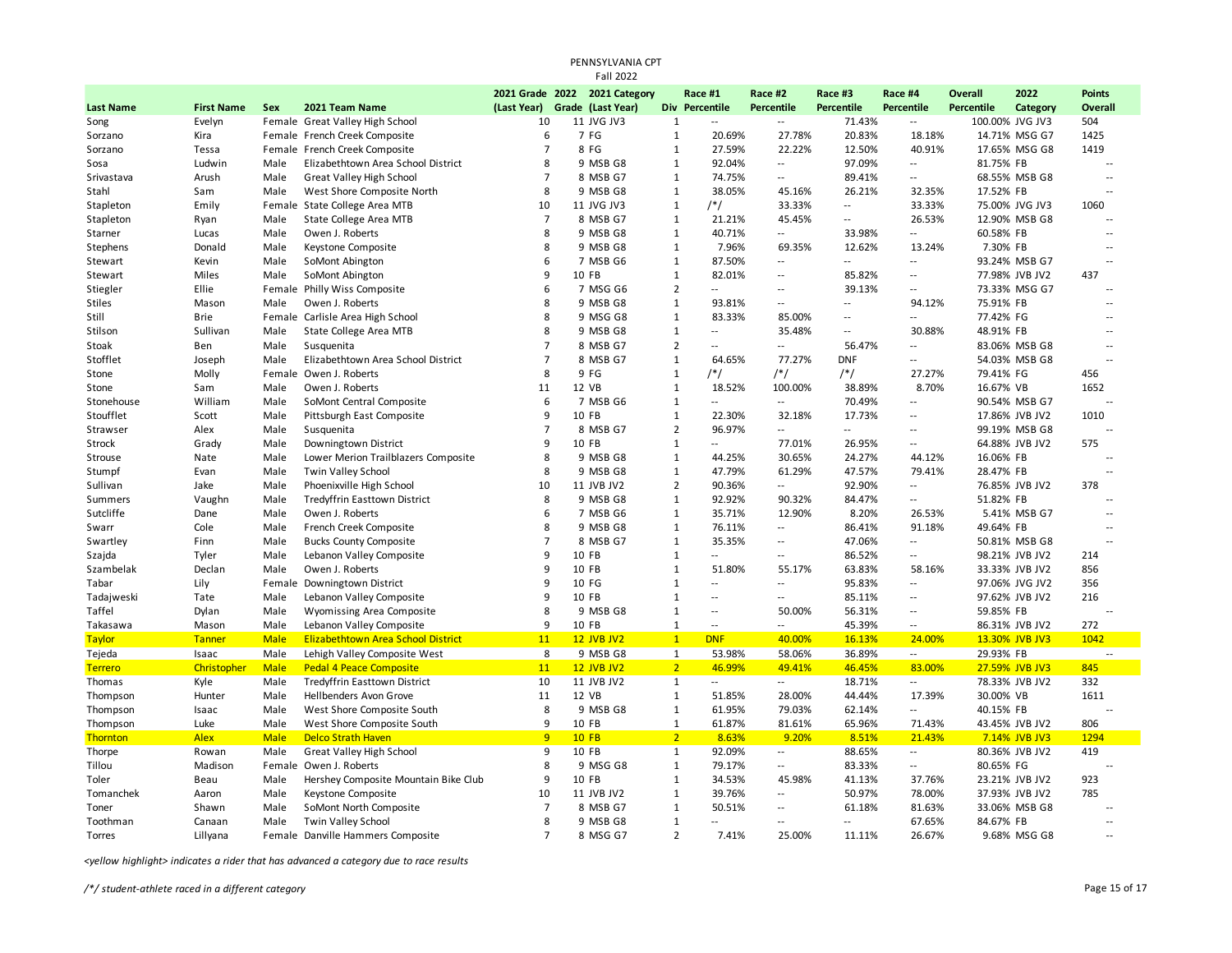| PENNSYLVANIA CPT<br><b>Fall 2022</b> |                   |             |                                           |                |  |                               |                |                          |                          |                   |                          |                   |                 |                          |
|--------------------------------------|-------------------|-------------|-------------------------------------------|----------------|--|-------------------------------|----------------|--------------------------|--------------------------|-------------------|--------------------------|-------------------|-----------------|--------------------------|
|                                      |                   |             |                                           |                |  | 2021 Grade 2022 2021 Category |                | Race #1                  | Race #2                  | Race #3           | Race #4                  | <b>Overall</b>    | 2022            | <b>Points</b>            |
| <b>Last Name</b>                     | <b>First Name</b> | Sex         | 2021 Team Name                            | (Last Year)    |  | Grade (Last Year)             | <b>Div</b>     | Percentile               | <b>Percentile</b>        | <b>Percentile</b> | <b>Percentile</b>        | <b>Percentile</b> | Category        | Overall                  |
| Song                                 | Evelyn            |             | Female Great Valley High School           | 10             |  | 11 JVG JV3                    | 1              | $\overline{a}$           | $\overline{\phantom{a}}$ | 71.43%            | $\overline{\phantom{a}}$ |                   | 100.00% JVG JV3 | 504                      |
| Sorzano                              | Kira              |             | Female French Creek Composite             | 6              |  | 7 FG                          | $\mathbf 1$    | 20.69%                   | 27.78%                   | 20.83%            | 18.18%                   |                   | 14.71% MSG G7   | 1425                     |
| Sorzano                              | Tessa             |             | Female French Creek Composite             | $\overline{7}$ |  | 8 FG                          | $\mathbf{1}$   | 27.59%                   | 22.22%                   | 12.50%            | 40.91%                   |                   | 17.65% MSG G8   | 1419                     |
| Sosa                                 | Ludwin            | Male        | Elizabethtown Area School District        | 8              |  | 9 MSB G8                      | $\mathbf{1}$   | 92.04%                   | --                       | 97.09%            | $\overline{a}$           | 81.75% FB         |                 |                          |
| Srivastava                           | Arush             | Male        | Great Valley High School                  | $\overline{7}$ |  | 8 MSB G7                      | $\mathbf{1}$   | 74.75%                   | $\overline{\phantom{a}}$ | 89.41%            | $\overline{a}$           |                   | 68.55% MSB G8   | $\overline{a}$           |
| Stahl                                | Sam               | Male        | West Shore Composite North                | 8              |  | 9 MSB G8                      | $\mathbf{1}$   | 38.05%                   | 45.16%                   | 26.21%            | 32.35%                   | 17.52% FB         |                 | $\overline{\phantom{a}}$ |
| Stapleton                            | Emily             | Female      | State College Area MTB                    | 10             |  | 11 JVG JV3                    | $\mathbf{1}$   | /*/                      | 33.33%                   | $\overline{a}$    | 33.33%                   |                   | 75.00% JVG JV3  | 1060                     |
| Stapleton                            | Ryan              | Male        | State College Area MTB                    | $\overline{7}$ |  | 8 MSB G7                      | $\mathbf{1}$   | 21.21%                   | 45.45%                   | $\overline{a}$    | 26.53%                   |                   | 12.90% MSB G8   | $\overline{a}$           |
| Starner                              | Lucas             | Male        | Owen J. Roberts                           | 8              |  | 9 MSB G8                      | $\mathbf{1}$   | 40.71%                   | $\overline{\phantom{a}}$ | 33.98%            | --                       | 60.58% FB         |                 | $\overline{\phantom{a}}$ |
| Stephens                             | Donald            | Male        | Keystone Composite                        | 8              |  | 9 MSB G8                      | $\mathbf{1}$   | 7.96%                    | 69.35%                   | 12.62%            | 13.24%                   | 7.30% FB          |                 | $\ddot{\phantom{a}}$     |
| Stewart                              | Kevin             | Male        | SoMont Abington                           | 6              |  | 7 MSB G6                      | $\mathbf{1}$   | 87.50%                   | $\overline{\phantom{a}}$ | $\overline{a}$    | $\overline{a}$           |                   | 93.24% MSB G7   | $\overline{a}$           |
| Stewart                              | Miles             | Male        | SoMont Abington                           | 9              |  | 10 FB                         | $\mathbf{1}$   | 82.01%                   | --                       | 85.82%            | $\overline{a}$           |                   | 77.98% JVB JV2  | 437                      |
| Stiegler                             | Ellie             |             | Female Philly Wiss Composite              | 6              |  | 7 MSG G6                      | $\overline{2}$ | $\overline{a}$           | --                       | 39.13%            | $\overline{a}$           |                   | 73.33% MSG G7   |                          |
| <b>Stiles</b>                        | Mason             | Male        | Owen J. Roberts                           | 8              |  | 9 MSB G8                      | $\mathbf 1$    | 93.81%                   | $\overline{a}$           | $\overline{a}$    | 94.12%                   | 75.91% FB         |                 | $\overline{a}$           |
| Still                                | <b>Brie</b>       | Female      | Carlisle Area High School                 | 8              |  | 9 MSG G8                      | $\mathbf{1}$   | 83.33%                   | 85.00%                   | $\overline{a}$    | $\overline{\phantom{a}}$ | 77.42% FG         |                 | $\overline{a}$           |
| Stilson                              | Sullivan          | Male        | State College Area MTB                    | 8              |  | 9 MSB G8                      | $\mathbf{1}$   | $\overline{\phantom{a}}$ | 35.48%                   | $\overline{a}$    | 30.88%                   | 48.91% FB         |                 | Ξ.                       |
| Stoak                                | Ben               | Male        | Susquenita                                | $\overline{7}$ |  | 8 MSB G7                      | $\overline{2}$ | н.                       | --                       | 56.47%            |                          |                   | 83.06% MSB G8   | $\ddotsc$                |
| Stofflet                             | Joseph            | Male        | Elizabethtown Area School District        | $\overline{7}$ |  | 8 MSB G7                      | $\mathbf 1$    | 64.65%                   | 77.27%                   | <b>DNF</b>        | $\overline{a}$           |                   | 54.03% MSB G8   | $\sim$                   |
| Stone                                | Molly             | Female      | Owen J. Roberts                           | 8              |  | 9 FG                          | $\mathbf{1}$   | /*/                      | $/*/$                    | /*/               | 27.27%                   | 79.41% FG         |                 | 456                      |
| Stone                                | Sam               | Male        | Owen J. Roberts                           | 11             |  | 12 VB                         | $\mathbf{1}$   | 18.52%                   | 100.00%                  | 38.89%            | 8.70%                    | 16.67% VB         |                 | 1652                     |
| Stonehouse                           | William           | Male        | SoMont Central Composite                  | 6              |  | 7 MSB G6                      | $\mathbf 1$    |                          | $\overline{\phantom{a}}$ | 70.49%            | $\overline{\phantom{a}}$ |                   | 90.54% MSB G7   | $\sim$                   |
| Stoufflet                            | Scott             | Male        | Pittsburgh East Composite                 | q              |  | 10 FB                         | $\mathbf 1$    | 22.30%                   | 32.18%                   | 17.73%            | $\overline{\phantom{a}}$ |                   | 17.86% JVB JV2  | 1010                     |
| Strawser                             | Alex              | Male        | Susquenita                                | 7              |  | 8 MSB G7                      | $\overline{2}$ | 96.97%                   | --                       | $\overline{a}$    | $\overline{\phantom{a}}$ |                   | 99.19% MSB G8   |                          |
| Strock                               | Grady             | Male        | Downingtown District                      | 9              |  | 10 FB                         | $\mathbf 1$    | $\sim$                   | 77.01%                   | 26.95%            | $\sim$                   |                   | 64.88% JVB JV2  | 575                      |
| Strouse                              | Nate              | Male        | Lower Merion Trailblazers Composite       | 8              |  | 9 MSB G8                      | $\mathbf 1$    | 44.25%                   | 30.65%                   | 24.27%            | 44.12%                   | 16.06% FB         |                 | $\overline{a}$           |
| Stumpf                               | Evan              | Male        | Twin Valley School                        | 8              |  | 9 MSB G8                      | $\mathbf{1}$   | 47.79%                   | 61.29%                   | 47.57%            | 79.41%                   | 28.47% FB         |                 | $\overline{a}$           |
| Sullivan                             | Jake              | Male        | Phoenixville High School                  | 10             |  | 11 JVB JV2                    | $\overline{2}$ | 90.36%                   | --                       | 92.90%            | $\overline{\phantom{a}}$ |                   | 76.85% JVB JV2  | 378                      |
| Summers                              | Vaughn            | Male        | <b>Tredyffrin Easttown District</b>       | 8              |  | 9 MSB G8                      | $\mathbf 1$    | 92.92%                   | 90.32%                   | 84.47%            | --                       | 51.82% FB         |                 | $\overline{a}$           |
| Sutcliffe                            | Dane              | Male        | Owen J. Roberts                           | 6              |  | 7 MSB G6                      | $\mathbf{1}$   | 35.71%                   | 12.90%                   | 8.20%             | 26.53%                   |                   | 5.41% MSB G7    | $\overline{\phantom{a}}$ |
| Swarr                                | Cole              | Male        | French Creek Composite                    | 8              |  | 9 MSB G8                      | $\mathbf{1}$   | 76.11%                   | $\overline{\phantom{a}}$ | 86.41%            | 91.18%                   | 49.64% FB         |                 | $\overline{a}$           |
| Swartley                             | Finn              | Male        | <b>Bucks County Composite</b>             | $\overline{7}$ |  | 8 MSB G7                      | $\mathbf{1}$   | 35.35%                   | $-1$                     | 47.06%            | $\overline{\phantom{a}}$ |                   | 50.81% MSB G8   | $\overline{a}$           |
| Szajda                               | Tyler             | Male        | Lebanon Valley Composite                  | 9              |  | 10 FB                         | $\mathbf{1}$   | $\overline{\phantom{a}}$ | $\overline{\phantom{a}}$ | 86.52%            | $\overline{\phantom{a}}$ |                   | 98.21% JVB JV2  | 214                      |
| Szambelak                            | Declan            | Male        | Owen J. Roberts                           | 9              |  | 10 FB                         | $\mathbf{1}$   | 51.80%                   | 55.17%                   | 63.83%            | 58.16%                   |                   | 33.33% JVB JV2  | 856                      |
| Tabar                                | Lily              | Female      | Downingtown District                      | 9              |  | 10 FG                         | $\mathbf{1}$   | $\overline{a}$           | --                       | 95.83%            | $\overline{a}$           |                   | 97.06% JVG JV2  | 356                      |
| Tadajweski                           | Tate              | Male        | Lebanon Valley Composite                  | 9              |  | 10 FB                         | $\mathbf{1}$   | Ξ.                       | --                       | 85.11%            | $\overline{\phantom{a}}$ |                   | 97.62% JVB JV2  | 216                      |
| Taffel                               | Dylan             | Male        | Wyomissing Area Composite                 | 8              |  | 9 MSB G8                      | $\mathbf{1}$   |                          | 50.00%                   | 56.31%            | $\overline{\phantom{a}}$ | 59.85% FB         |                 |                          |
| Takasawa                             | Mason             | Male        | Lebanon Valley Composite                  | 9              |  | 10 FB                         | $\mathbf 1$    | $\overline{a}$           | ۰.                       | 45.39%            | $\sim$ $\sim$            |                   | 86.31% JVB JV2  | 272                      |
| <b>Taylor</b>                        | Tanner            | <b>Male</b> | <b>Elizabethtown Area School District</b> | 11             |  | <b>12 JVB JV2</b>             | $\overline{1}$ | <b>DNF</b>               | 40.00%                   | 16.13%            | 24.00%                   |                   | 13.30% JVB JV3  | 1042                     |
| Tejeda                               | Isaac             | Male        | Lehigh Valley Composite West              | 8              |  | 9 MSB G8                      | $\mathbf{1}$   | 53.98%                   | 58.06%                   | 36.89%            | $\overline{\phantom{a}}$ | 29.93% FB         |                 |                          |
| <b>Terrero</b>                       | Christopher       | <b>Male</b> | <b>Pedal 4 Peace Composite</b>            | 11             |  | <b>12 JVB JV2</b>             | 2 <sup>7</sup> | 46.99%                   | 49.41%                   | 46.45%            | 83.00%                   |                   | 27.59% JVB JV3  | 845                      |
| Thomas                               | Kyle              | Male        | <b>Tredyffrin Easttown District</b>       | 10             |  | 11 JVB JV2                    | $\mathbf{1}$   | $\sim$                   | $\overline{\phantom{a}}$ | 18.71%            | $\overline{\phantom{a}}$ |                   | 78.33% JVB JV2  | 332                      |
| Thompson                             | Hunter            | Male        | Hellbenders Avon Grove                    | 11             |  | 12 VB                         | $\mathbf 1$    | 51.85%                   | 28.00%                   | 44.44%            | 17.39%                   | 30.00% VB         |                 | 1611                     |
| Thompson                             | Isaac             | Male        | West Shore Composite South                | 8              |  | 9 MSB G8                      | $\mathbf 1$    | 61.95%                   | 79.03%                   | 62.14%            | $\overline{\phantom{a}}$ | 40.15% FB         |                 | $\sim$                   |
| Thompson                             | Luke              | Male        | West Shore Composite South                | 9              |  | 10 FB                         | $\mathbf{1}$   | 61.87%                   | 81.61%                   | 65.96%            | 71.43%                   |                   | 43.45% JVB JV2  | 806                      |
| <b>Thornton</b>                      | <b>Alex</b>       | <b>Male</b> | <b>Delco Strath Haven</b>                 | 9              |  | <b>10 FB</b>                  | $\overline{2}$ | 8.63%                    | 9.20%                    | 8.51%             | 21.43%                   |                   | 7.14% JVB JV3   | 1294                     |
| Thorpe                               | Rowan             | Male        | Great Valley High School                  | 9              |  | 10 FB                         | $\mathbf{1}$   | 92.09%                   | --                       | 88.65%            | $\overline{\phantom{a}}$ |                   | 80.36% JVB JV2  | 419                      |
| Tillou                               | Madison           | Female      | Owen J. Roberts                           | 8              |  | 9 MSG G8                      | $\mathbf 1$    | 79.17%                   | $\overline{\phantom{a}}$ | 83.33%            | $\overline{\phantom{a}}$ | 80.65% FG         |                 | $\ddotsc$                |
| Toler                                | Beau              | Male        | Hershey Composite Mountain Bike Club      | 9              |  | 10 FB                         | $\mathbf{1}$   | 34.53%                   | 45.98%                   | 41.13%            | 37.76%                   |                   | 23.21% JVB JV2  | 923                      |
| Tomanchek                            | Aaron             | Male        | Keystone Composite                        | 10             |  | 11 JVB JV2                    | $\mathbf{1}$   | 39.76%                   | $\overline{\phantom{a}}$ | 50.97%            | 78.00%                   |                   | 37.93% JVB JV2  | 785                      |
| Toner                                | Shawn             | Male        | SoMont North Composite                    | $\overline{7}$ |  | 8 MSB G7                      | $\mathbf 1$    | 50.51%                   | $\overline{\phantom{a}}$ | 61.18%            | 81.63%                   |                   | 33.06% MSB G8   | $\overline{\phantom{a}}$ |
| Toothman                             | Canaan            | Male        | Twin Valley School                        | 8              |  | 9 MSB G8                      | $\mathbf{1}$   | $\overline{a}$           | $\overline{a}$           | $\overline{a}$    | 67.65%                   | 84.67% FB         |                 | $\ddot{\phantom{a}}$     |
| Torres                               | Lillyana          |             | Female Danville Hammers Composite         | $\overline{7}$ |  | 8 MSG G7                      | $\overline{2}$ | 7.41%                    | 25.00%                   | 11.11%            | 26.67%                   |                   | 9.68% MSG G8    | $\overline{a}$           |
|                                      |                   |             |                                           |                |  |                               |                |                          |                          |                   |                          |                   |                 |                          |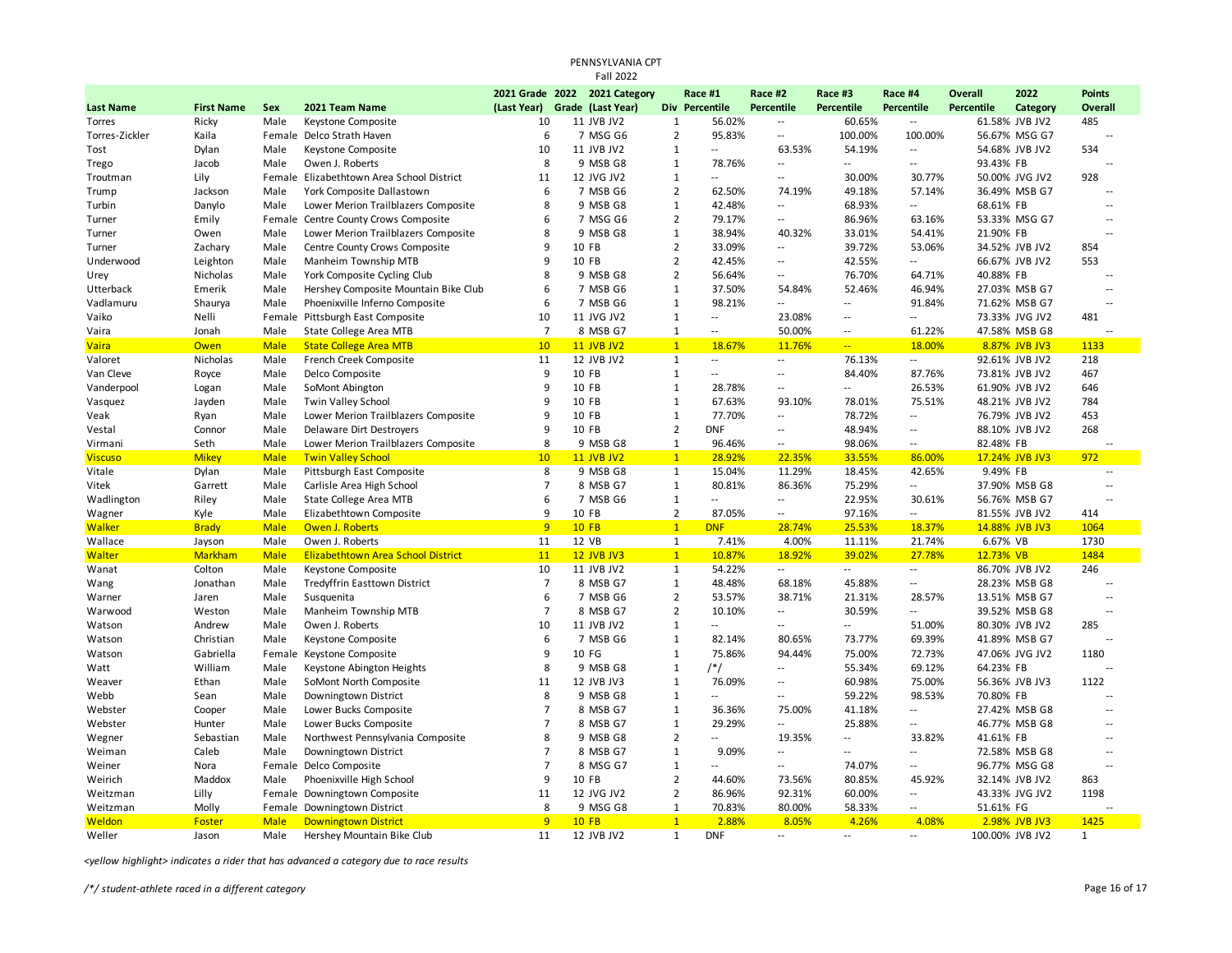|                      |                     |                     |                                                             |                      | PENNSYLVANIA CPT              |                                |                          |                          |                             |                                    |                       |                                 |                                  |  |
|----------------------|---------------------|---------------------|-------------------------------------------------------------|----------------------|-------------------------------|--------------------------------|--------------------------|--------------------------|-----------------------------|------------------------------------|-----------------------|---------------------------------|----------------------------------|--|
|                      |                     |                     |                                                             |                      | <b>Fall 2022</b>              |                                |                          |                          |                             |                                    |                       |                                 |                                  |  |
|                      |                     |                     |                                                             |                      | 2021 Grade 2022 2021 Category |                                | Race #1                  | Race #2                  | Race #3                     | Race #4                            | <b>Overall</b>        | 2022                            | <b>Points</b>                    |  |
| <b>Last Name</b>     | <b>First Name</b>   | <b>Sex</b>          | 2021 Team Name                                              | (Last Year)          | Grade (Last Year)             |                                | Div Percentile           | <b>Percentile</b>        | <b>Percentile</b>           | <b>Percentile</b>                  | <b>Percentile</b>     | Category                        | Overall                          |  |
| Torres               | Ricky               | Male                | Keystone Composite                                          | 10                   | 11 JVB JV2                    | $\mathbf{1}$                   | 56.02%                   | Ξ.                       | 60.65%                      | $\overline{\phantom{a}}$           |                       | 61.58% JVB JV2                  | 485                              |  |
| Torres-Zickler       | Kaila               |                     | Female Delco Strath Haven                                   | 6                    | 7 MSG G6                      | $\overline{2}$                 | 95.83%                   | $\overline{\phantom{a}}$ | 100.00%                     | 100.00%                            |                       | 56.67% MSG G7                   | $\sim$                           |  |
| Tost                 | Dylan               | Male                | Keystone Composite                                          | 10                   | 11 JVB JV2                    | $\mathbf{1}$                   | $\overline{a}$           | 63.53%                   | 54.19%                      | $\overline{\phantom{a}}$           |                       | 54.68% JVB JV2                  | 534                              |  |
| Trego                | Jacob               | Male                | Owen J. Roberts                                             | 8                    | 9 MSB G8                      | $\mathbf{1}$                   | 78.76%                   | Ξ.                       | Ξ.                          | $\overline{\phantom{a}}$           | 93.43% FB             |                                 |                                  |  |
| Troutman             | Lily                |                     | Female Elizabethtown Area School District                   | 11                   | 12 JVG JV2                    | $\mathbf{1}$                   | $\overline{a}$           | $\overline{\phantom{a}}$ | 30.00%                      | 30.77%                             |                       | 50.00% JVG JV2                  | 928                              |  |
| Trump                | Jackson             | Male                | York Composite Dallastown                                   | 6                    | 7 MSB G6                      | $\overline{2}$                 | 62.50%                   | 74.19%                   | 49.18%                      | 57.14%                             |                       | 36.49% MSB G7                   | $\overline{a}$                   |  |
| Turbin               | Danylo              | Male                | Lower Merion Trailblazers Composite                         | 8                    | 9 MSB G8                      | $\mathbf{1}$                   | 42.48%                   | $\sim$                   | 68.93%                      | $\overline{a}$                     | 68.61% FB             |                                 | $\sim$                           |  |
| Turner               | Emily               |                     | Female Centre County Crows Composite                        | 6                    | 7 MSG G6                      | $\overline{2}$                 | 79.17%                   | ٠.                       | 86.96%                      | 63.16%                             |                       | 53.33% MSG G7                   | $\overline{a}$                   |  |
| Turner               | Owen                | Male                | Lower Merion Trailblazers Composite                         | 8                    | 9 MSB G8                      | $\mathbf{1}$                   | 38.94%                   | 40.32%                   | 33.01%                      | 54.41%                             | 21.90% FB             |                                 |                                  |  |
| Turner               | Zachary             | Male                | Centre County Crows Composite                               | 9                    | 10 FB                         | $\overline{2}$                 | 33.09%                   | $\overline{a}$           | 39.72%                      | 53.06%                             |                       | 34.52% JVB JV2                  | 854                              |  |
| Underwood            | Leighton            | Male                | Manheim Township MTB                                        | 9                    | 10 FB                         | $\overline{2}$                 | 42.45%                   | ٠.                       | 42.55%                      | $\overline{\phantom{a}}$           |                       | 66.67% JVB JV2                  | 553                              |  |
| Urey                 | Nicholas            | Male                | York Composite Cycling Club                                 | 8                    | 9 MSB G8                      | $\overline{2}$                 | 56.64%                   | $\overline{\phantom{a}}$ | 76.70%                      | 64.71%                             | 40.88% FB             |                                 | $\overline{\phantom{a}}$         |  |
| Utterback            | Emerik              | Male                | Hershey Composite Mountain Bike Club                        | 6                    | 7 MSB G6                      | $\mathbf{1}$                   | 37.50%                   | 54.84%                   | 52.46%                      | 46.94%                             |                       | 27.03% MSB G7                   | $\overline{a}$                   |  |
| Vadlamuru            | Shaurya             | Male                | Phoenixville Inferno Composite                              | 6                    | 7 MSB G6                      | $\mathbf{1}$                   | 98.21%                   | Ξ.                       | $\sim$                      | 91.84%                             |                       | 71.62% MSB G7                   | Ξ.                               |  |
| Vaiko                | Nelli               | Female              | Pittsburgh East Composite                                   | 10                   | 11 JVG JV2                    | $\mathbf{1}$                   | $\overline{\phantom{a}}$ | 23.08%                   | $\mathcal{L}_{\mathcal{A}}$ | $\overline{\phantom{a}}$           |                       | 73.33% JVG JV2                  | 481                              |  |
| Vaira                | Jonah               | Male                | State College Area MTB                                      | $\overline{7}$       | 8 MSB G7                      | $\mathbf{1}$                   | $-1$                     | 50.00%                   | $\sim$ $\sim$               | 61.22%                             |                       | 47.58% MSB G8                   |                                  |  |
| <b>Vaira</b>         | Owen                | <b>Male</b>         | <b>State College Area MTB</b>                               | 10                   | <b>11 JVB JV2</b>             | 1                              | 18.67%                   | 11.76%                   | $\mathbb{Z}[\mathbb{Z}_p]$  | 18.00%                             |                       | 8.87% JVB JV3                   | 1133                             |  |
| Valoret              | Nicholas            | Male                | French Creek Composite                                      | 11                   | 12 JVB JV2                    | $\mathbf{1}$                   |                          | --                       | 76.13%                      | $\sim$                             |                       | 92.61% JVB JV2                  | 218                              |  |
| Van Cleve            | Royce               | Male                | Delco Composite                                             | 9                    | 10 FB                         | $\mathbf{1}$                   | $\overline{a}$           | $\sim$                   | 84.40%                      | 87.76%                             |                       | 73.81% JVB JV2                  | 467                              |  |
| Vanderpool           | Logan               | Male                | SoMont Abington                                             | 9                    | 10 FB                         | $\mathbf{1}$                   | 28.78%                   | $\overline{\phantom{a}}$ | $\sim$                      | 26.53%                             |                       | 61.90% JVB JV2                  | 646                              |  |
| Vasquez              | Jayden              | Male                | Twin Valley School                                          | 9                    | 10 FB                         | $\mathbf{1}$                   | 67.63%                   | 93.10%                   | 78.01%                      | 75.51%                             |                       | 48.21% JVB JV2                  | 784                              |  |
| Veak                 | Ryan                | Male                | Lower Merion Trailblazers Composite                         | 9                    | 10 FB                         | $\mathbf{1}$                   | 77.70%                   | $\overline{\phantom{a}}$ | 78.72%                      | $\overline{\phantom{a}}$           |                       | 76.79% JVB JV2                  | 453                              |  |
| Vestal               | Connor              | Male                | Delaware Dirt Destroyers                                    | 9                    | 10 FB                         | $\overline{2}$                 | <b>DNF</b>               | ٠.                       | 48.94%                      | $\sim$                             |                       | 88.10% JVB JV2                  | 268                              |  |
| Virmani              | Seth                | Male                | Lower Merion Trailblazers Composite                         | 8                    | 9 MSB G8                      | $\mathbf{1}$                   | 96.46%                   | $\overline{\phantom{a}}$ | 98.06%                      | $\sim$                             | 82.48% FB             |                                 |                                  |  |
| <b>Viscuso</b>       | <b>Mikey</b>        | <b>Male</b>         | <b>Twin Valley School</b>                                   | 10                   | <b>11 JVB JV2</b>             | $\mathbf{1}$                   | 28.92%                   | 22.35%                   | 33.55%                      | 86.00%                             |                       | 17.24% JVB JV3                  | 972                              |  |
| Vitale               | Dylan               | Male                | Pittsburgh East Composite                                   | 8<br>$\overline{7}$  | 9 MSB G8                      | $\mathbf{1}$                   | 15.04%                   | 11.29%                   | 18.45%                      | 42.65%                             | 9.49% FB              |                                 | $\overline{a}$<br>$\sim$         |  |
| Vitek                | Garrett             | Male                | Carlisle Area High School                                   | 6                    | 8 MSB G7                      | $\mathbf{1}$                   | 80.81%<br>$\overline{a}$ | 86.36%                   | 75.29%                      | $\overline{\phantom{a}}$           |                       | 37.90% MSB G8                   |                                  |  |
| Wadlington           | Riley               | Male                | State College Area MTB                                      | 9                    | 7 MSB G6                      | $\mathbf{1}$<br>$\overline{2}$ |                          | Ξ.                       | 22.95%                      | 30.61%                             |                       | 56.76% MSB G7                   | $\overline{a}$                   |  |
| Wagner               | Kyle                | Male                | Elizabethtown Composite                                     |                      | 10 FB                         | $\mathbf{1}$                   | 87.05%                   | ٠.                       | 97.16%                      | $\overline{\phantom{a}}$           |                       | 81.55% JVB JV2                  | 414                              |  |
| <b>Walker</b>        | <b>Brady</b>        | <b>Male</b>         | Owen J. Roberts                                             | 9                    | <b>10 FB</b>                  |                                | <b>DNF</b>               | 28.74%                   | 25.53%                      | 18.37%                             |                       | 14.88% JVB JV3                  | 1064                             |  |
| Wallace<br>Walter    | Jayson              | Male<br><b>Male</b> | Owen J. Roberts<br>Elizabethtown Area School District       | 11<br>11             | 12 VB<br><b>12 JVB JV3</b>    | $\mathbf{1}$<br>1              | 7.41%<br>10.87%          | 4.00%<br>18.92%          | 11.11%<br>39.02%            | 21.74%<br>27.78%                   | 6.67% VB<br>12.73% VB |                                 | 1730<br>1484                     |  |
|                      | <b>Markham</b>      |                     |                                                             |                      |                               |                                |                          | $\overline{a}$           | $\sim$ $\sim$               |                                    |                       |                                 |                                  |  |
| Wanat                | Colton              | Male<br>Male        | Keystone Composite                                          | 10<br>$\overline{7}$ | 11 JVB JV2<br>8 MSB G7        | $\mathbf{1}$<br>$\mathbf{1}$   | 54.22%<br>48.48%         | 68.18%                   | 45.88%                      | $\sim$<br>$\overline{\phantom{a}}$ |                       | 86.70% JVB JV2<br>28.23% MSB G8 | 246                              |  |
| Wang                 | Jonathan            | Male                | Tredyffrin Easttown District<br>Susquenita                  | 6                    | 7 MSB G6                      | $\overline{2}$                 | 53.57%                   | 38.71%                   | 21.31%                      |                                    |                       | 13.51% MSB G7                   | $\overline{a}$                   |  |
| Warner<br>Warwood    | Jaren<br>Weston     | Male                | Manheim Township MTB                                        | $\overline{7}$       | 8 MSB G7                      | $\overline{2}$                 | 10.10%                   | $\overline{a}$           | 30.59%                      | 28.57%<br>$\overline{a}$           |                       | 39.52% MSB G8                   |                                  |  |
| Watson               | Andrew              | Male                | Owen J. Roberts                                             | 10                   | 11 JVB JV2                    | $\mathbf{1}$                   | $\overline{a}$           | $\overline{a}$           | $\sim$ $\sim$               | 51.00%                             |                       | 80.30% JVB JV2                  | 285                              |  |
|                      | Christian           | Male                |                                                             | 6                    | 7 MSB G6                      | $\mathbf{1}$                   | 82.14%                   | 80.65%                   | 73.77%                      | 69.39%                             |                       | 41.89% MSB G7                   |                                  |  |
| Watson<br>Watson     | Gabriella           | Female              | Keystone Composite<br>Keystone Composite                    | $\mathbf{q}$         | 10 FG                         | $\mathbf{1}$                   | 75.86%                   | 94.44%                   | 75.00%                      | 72.73%                             |                       | 47.06% JVG JV2                  | 1180                             |  |
| Watt                 | William             | Male                | Keystone Abington Heights                                   | 8                    | 9 MSB G8                      | $\mathbf{1}$                   | /*/                      | $\overline{a}$           | 55.34%                      | 69.12%                             | 64.23% FB             |                                 |                                  |  |
| Weaver               | Ethan               | Male                | SoMont North Composite                                      | 11                   | 12 JVB JV3                    | $\mathbf{1}$                   | 76.09%                   | --                       | 60.98%                      | 75.00%                             |                       | 56.36% JVB JV3                  | 1122                             |  |
| Webb                 | Sean                | Male                | Downingtown District                                        | 8                    | 9 MSB G8                      | 1                              | $\overline{a}$           | $\overline{\phantom{a}}$ | 59.22%                      | 98.53%                             | 70.80% FB             |                                 | $\overline{a}$                   |  |
|                      |                     | Male                | Lower Bucks Composite                                       | $\overline{7}$       | 8 MSB G7                      | $\mathbf{1}$                   | 36.36%                   | 75.00%                   | 41.18%                      | $\overline{a}$                     |                       | 27.42% MSB G8                   | $\overline{a}$                   |  |
| Webster              | Cooper              |                     |                                                             | $\overline{7}$       |                               | $\mathbf{1}$                   |                          | Ξ.                       |                             |                                    |                       |                                 |                                  |  |
| Webster              | Hunter<br>Sebastian | Male<br>Male        | Lower Bucks Composite                                       | 8                    | 8 MSB G7<br>9 MSB G8          | $\overline{2}$                 | 29.29%<br>۰.             | 19.35%                   | 25.88%<br>$\sim$            | $\overline{\phantom{a}}$<br>33.82% | 41.61% FB             | 46.77% MSB G8                   | $\overline{a}$<br>$\overline{a}$ |  |
| Wegner               | Caleb               | Male                | Northwest Pennsylvania Composite<br>Downingtown District    | $\overline{7}$       | 8 MSB G7                      | $\mathbf{1}$                   | 9.09%                    | $\overline{\phantom{a}}$ | $\sim$ $\sim$               | $\overline{\phantom{a}}$           |                       | 72.58% MSB G8                   | $\overline{a}$                   |  |
| Weiman               | Nora                |                     | Female Delco Composite                                      | $\overline{7}$       | 8 MSG G7                      | $\mathbf{1}$                   | --                       | --                       | 74.07%                      | $\overline{\phantom{a}}$           |                       | 96.77% MSG G8                   | $\overline{a}$                   |  |
| Weiner               | Maddox              | Male                | Phoenixville High School                                    | 9                    | 10 FB                         | $\overline{2}$                 |                          |                          | 80.85%                      | 45.92%                             |                       |                                 | 863                              |  |
| Weirich              |                     |                     |                                                             | 11                   | 12 JVG JV2                    | $\overline{2}$                 | 44.60%<br>86.96%         | 73.56%<br>92.31%         | 60.00%                      | $\overline{\phantom{a}}$           |                       | 32.14% JVB JV2                  | 1198                             |  |
| Weitzman<br>Weitzman | Lilly<br>Molly      |                     | Female Downingtown Composite<br>Female Downingtown District | 8                    | 9 MSG G8                      | $\mathbf{1}$                   | 70.83%                   | 80.00%                   | 58.33%                      | $\overline{\phantom{a}}$           |                       | 43.33% JVG JV2                  |                                  |  |
| Weldon               | Foster              | <b>Male</b>         | <b>Downingtown District</b>                                 | 9                    | <b>10 FB</b>                  | $\mathbf{1}$                   | 2.88%                    | 8.05%                    | 4.26%                       | 4.08%                              | 51.61% FG             | 2.98% JVB JV3                   | 1425                             |  |
| Weller               | Jason               | Male                | Hershey Mountain Bike Club                                  | 11                   | 12 JVB JV2                    | $\mathbf{1}$                   | <b>DNF</b>               | $\sim$ $\sim$            | $\sim$ $\sim$               | $\sim$                             |                       | 100.00% JVB JV2                 | $\mathbf{1}$                     |  |
|                      |                     |                     |                                                             |                      |                               |                                |                          |                          |                             |                                    |                       |                                 |                                  |  |